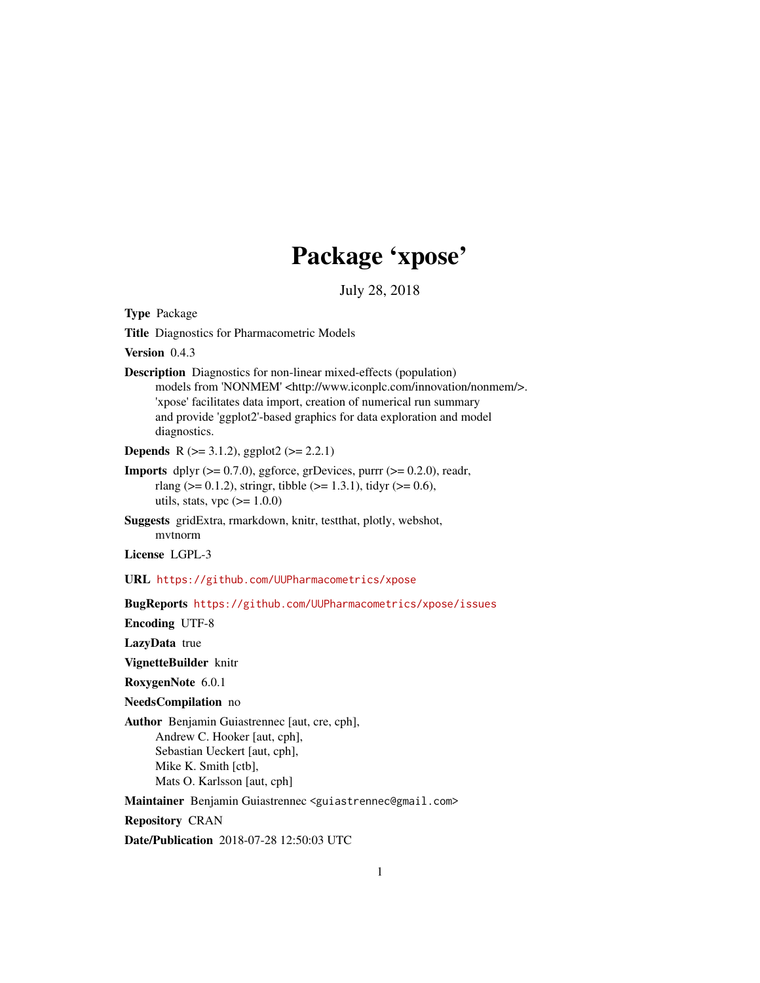# Package 'xpose'

<span id="page-0-0"></span>July 28, 2018 Type Package Title Diagnostics for Pharmacometric Models Version 0.4.3 Description Diagnostics for non-linear mixed-effects (population) models from 'NONMEM' <http://www.iconplc.com/innovation/nonmem/>. 'xpose' facilitates data import, creation of numerical run summary and provide 'ggplot2'-based graphics for data exploration and model diagnostics. **Depends** R ( $>= 3.1.2$ ), ggplot2 ( $>= 2.2.1$ ) **Imports** dplyr  $(>= 0.7.0)$ , ggforce, grDevices, purrr  $(>= 0.2.0)$ , readr, rlang ( $> = 0.1.2$ ), stringr, tibble ( $> = 1.3.1$ ), tidyr ( $> = 0.6$ ), utils, stats, vpc  $(>= 1.0.0)$ Suggests gridExtra, rmarkdown, knitr, testthat, plotly, webshot, mvtnorm License LGPL-3 URL <https://github.com/UUPharmacometrics/xpose> BugReports <https://github.com/UUPharmacometrics/xpose/issues> Encoding UTF-8 LazyData true VignetteBuilder knitr RoxygenNote 6.0.1 NeedsCompilation no Author Benjamin Guiastrennec [aut, cre, cph], Andrew C. Hooker [aut, cph], Sebastian Ueckert [aut, cph], Mike K. Smith [ctb], Mats O. Karlsson [aut, cph] Maintainer Benjamin Guiastrennec <guiastrennec@gmail.com> Repository CRAN Date/Publication 2018-07-28 12:50:03 UTC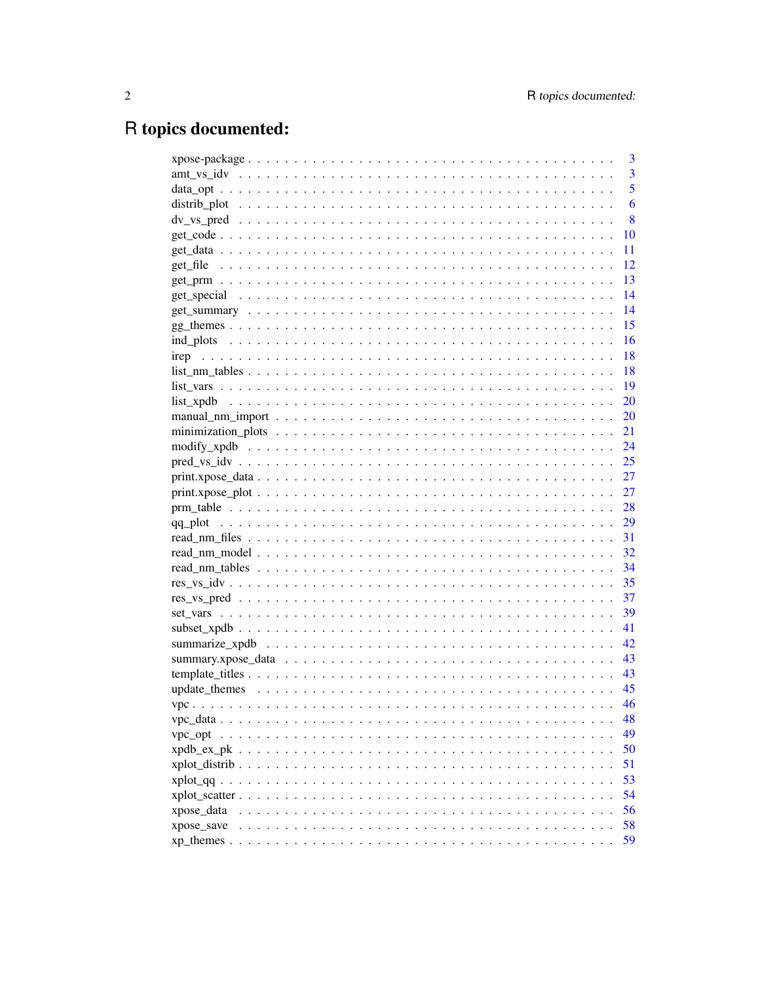# R topics documented:

|                                                                                                               | 3                       |
|---------------------------------------------------------------------------------------------------------------|-------------------------|
|                                                                                                               | $\overline{\mathbf{3}}$ |
|                                                                                                               | $\overline{5}$          |
|                                                                                                               | 6                       |
|                                                                                                               | 8                       |
|                                                                                                               | 10                      |
|                                                                                                               | 11                      |
|                                                                                                               | 12                      |
|                                                                                                               | 13                      |
|                                                                                                               | 14                      |
|                                                                                                               | 14                      |
|                                                                                                               | 15                      |
|                                                                                                               | 16                      |
|                                                                                                               | 18                      |
| $list\_nm\_tables \ldots \ldots \ldots \ldots \ldots \ldots \ldots \ldots \ldots \ldots \ldots \ldots \ldots$ | 18                      |
|                                                                                                               | -19                     |
|                                                                                                               | 20                      |
|                                                                                                               |                         |
|                                                                                                               |                         |
|                                                                                                               | 24                      |
|                                                                                                               | 25                      |
|                                                                                                               | 27                      |
|                                                                                                               | 27                      |
|                                                                                                               | 28                      |
|                                                                                                               | 29                      |
|                                                                                                               | 31                      |
|                                                                                                               | 32                      |
|                                                                                                               | 34                      |
|                                                                                                               | 35                      |
|                                                                                                               | 37                      |
|                                                                                                               | 39                      |
|                                                                                                               | 41                      |
|                                                                                                               |                         |
|                                                                                                               | 43                      |
|                                                                                                               |                         |
|                                                                                                               | 45                      |
|                                                                                                               | 46                      |
|                                                                                                               |                         |
|                                                                                                               | 48                      |
|                                                                                                               | 49                      |
|                                                                                                               | 50                      |
|                                                                                                               | 51                      |
|                                                                                                               | 53                      |
|                                                                                                               | 54                      |
| xpose_data                                                                                                    | 56                      |
| xpose save                                                                                                    | 58                      |
| $xp_\text{themes}$ .                                                                                          | 59                      |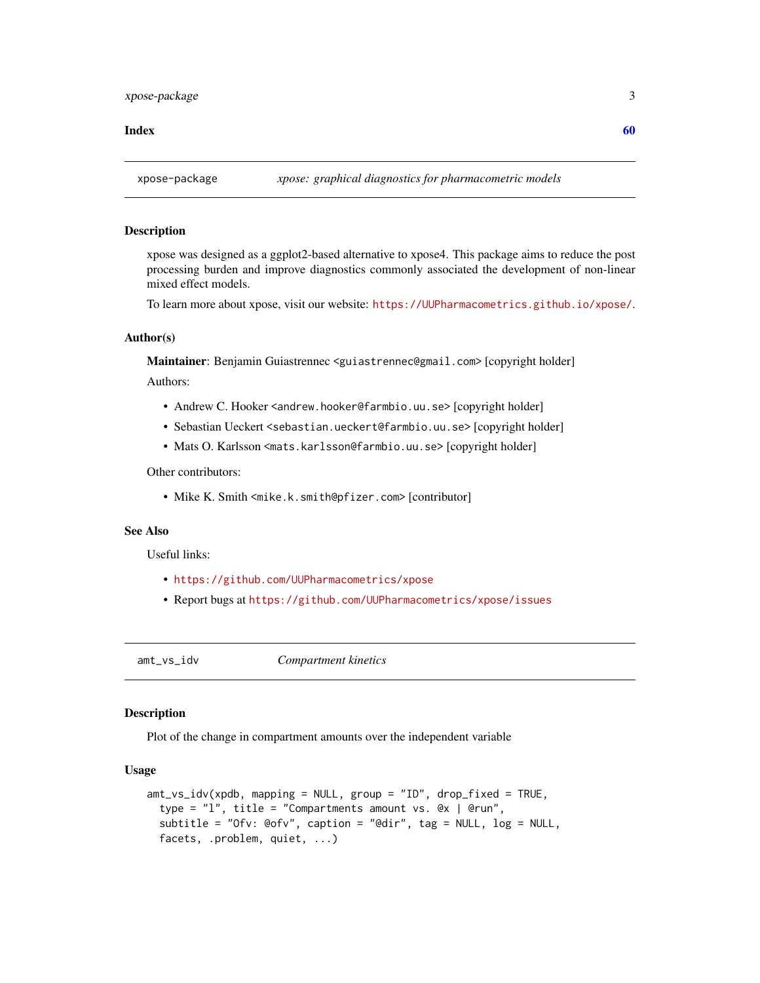#### <span id="page-2-0"></span> $\blacksquare$  Index  $\blacksquare$

### Description

xpose was designed as a ggplot2-based alternative to xpose4. This package aims to reduce the post processing burden and improve diagnostics commonly associated the development of non-linear mixed effect models.

To learn more about xpose, visit our website: <https://UUPharmacometrics.github.io/xpose/>.

### Author(s)

Maintainer: Benjamin Guiastrennec <guiastrennec@gmail.com> [copyright holder] Authors:

- Andrew C. Hooker <andrew.hooker@farmbio.uu.se>[copyright holder]
- Sebastian Ueckert <sebastian.ueckert@farmbio.uu.se> [copyright holder]
- Mats O. Karlsson <mats.karlsson@farmbio.uu.se> [copyright holder]

Other contributors:

• Mike K. Smith <mike.k.smith@pfizer.com> [contributor]

### See Also

Useful links:

- <https://github.com/UUPharmacometrics/xpose>
- Report bugs at <https://github.com/UUPharmacometrics/xpose/issues>

amt\_vs\_idv *Compartment kinetics*

#### Description

Plot of the change in compartment amounts over the independent variable

### Usage

```
amt_vs_idv(xpdb, mapping = NULL, group = "ID", drop_fixed = TRUE,
  type = "l", title = "Compartments amount vs. @x | @run",
 subtitle = "Ofv: @ofv", caption = "@dir", tag = NULL, log = NULL,
  facets, .problem, quiet, ...)
```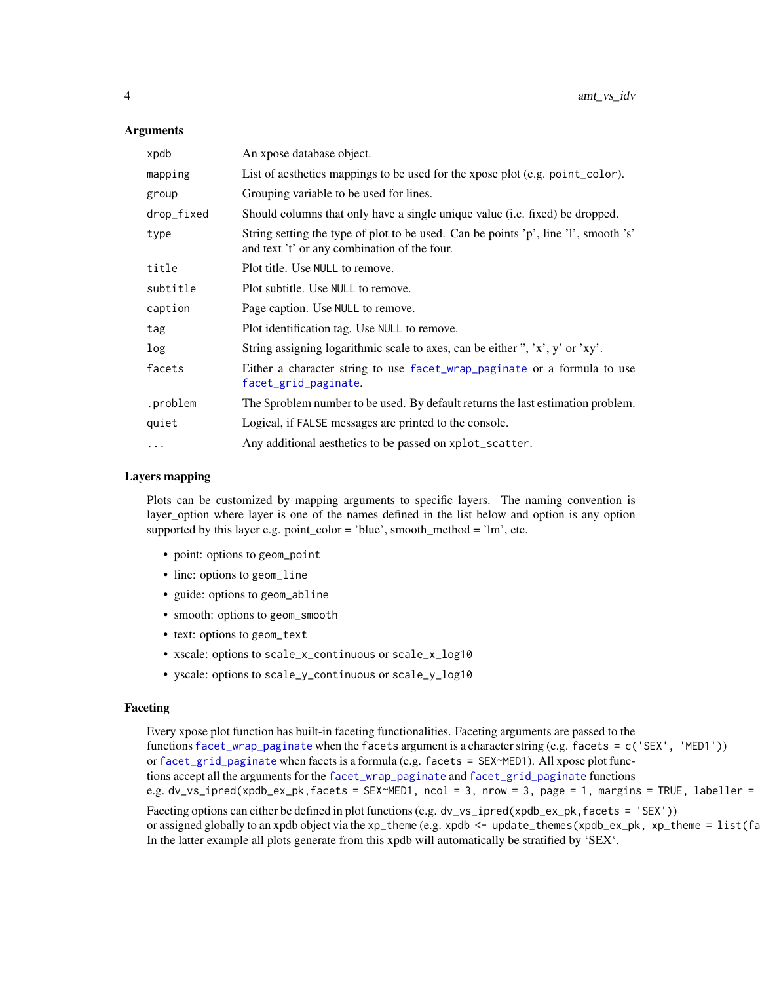#### <span id="page-3-0"></span>Arguments

| xpdb       | An xpose database object.                                                                                                           |
|------------|-------------------------------------------------------------------------------------------------------------------------------------|
| mapping    | List of aesthetics mappings to be used for the xpose plot (e.g. point_color).                                                       |
| group      | Grouping variable to be used for lines.                                                                                             |
| drop_fixed | Should columns that only have a single unique value (i.e. fixed) be dropped.                                                        |
| type       | String setting the type of plot to be used. Can be points 'p', line 'l', smooth 's'<br>and text 't' or any combination of the four. |
| title      | Plot title. Use NULL to remove.                                                                                                     |
| subtitle   | Plot subtitle. Use NULL to remove.                                                                                                  |
| caption    | Page caption. Use NULL to remove.                                                                                                   |
| tag        | Plot identification tag. Use NULL to remove.                                                                                        |
| log        | String assigning logarithmic scale to axes, can be either ", 'x', y' or 'xy'.                                                       |
| facets     | Either a character string to use facet_wrap_paginate or a formula to use<br>facet_grid_paginate.                                    |
| .problem   | The \$problem number to be used. By default returns the last estimation problem.                                                    |
| quiet      | Logical, if FALSE messages are printed to the console.                                                                              |
| $\cdots$   | Any additional aesthetics to be passed on xplot_scatter.                                                                            |

#### Layers mapping

Plots can be customized by mapping arguments to specific layers. The naming convention is layer\_option where layer is one of the names defined in the list below and option is any option supported by this layer e.g. point\_color = 'blue', smooth\_method = 'lm', etc.

- point: options to geom\_point
- line: options to geom\_line
- guide: options to geom\_abline
- smooth: options to geom\_smooth
- text: options to geom\_text
- xscale: options to scale\_x\_continuous or scale\_x\_log10
- yscale: options to scale\_y\_continuous or scale\_y\_log10

#### Faceting

Every xpose plot function has built-in faceting functionalities. Faceting arguments are passed to the functions [facet\\_wrap\\_paginate](#page-0-0) when the facets argument is a character string (e.g. facets = c('SEX', 'MED1')) or [facet\\_grid\\_paginate](#page-0-0) when facets is a formula (e.g. facets = SEX~MED1). All xpose plot functions accept all the arguments for the [facet\\_wrap\\_paginate](#page-0-0) and [facet\\_grid\\_paginate](#page-0-0) functions e.g. dv\_vs\_ipred(xpdb\_ex\_pk,facets = SEX~MED1, ncol = 3, nrow = 3, page = 1, margins = TRUE, labeller = Faceting options can either be defined in plot functions (e.g. dv\_vs\_ipred(xpdb\_ex\_pk,facets = 'SEX')) or assigned globally to an xpdb object via the xp\_theme (e.g. xpdb <- update\_themes(xpdb\_ex\_pk, xp\_theme = list(fa

In the latter example all plots generate from this xpdb will automatically be stratified by 'SEX'.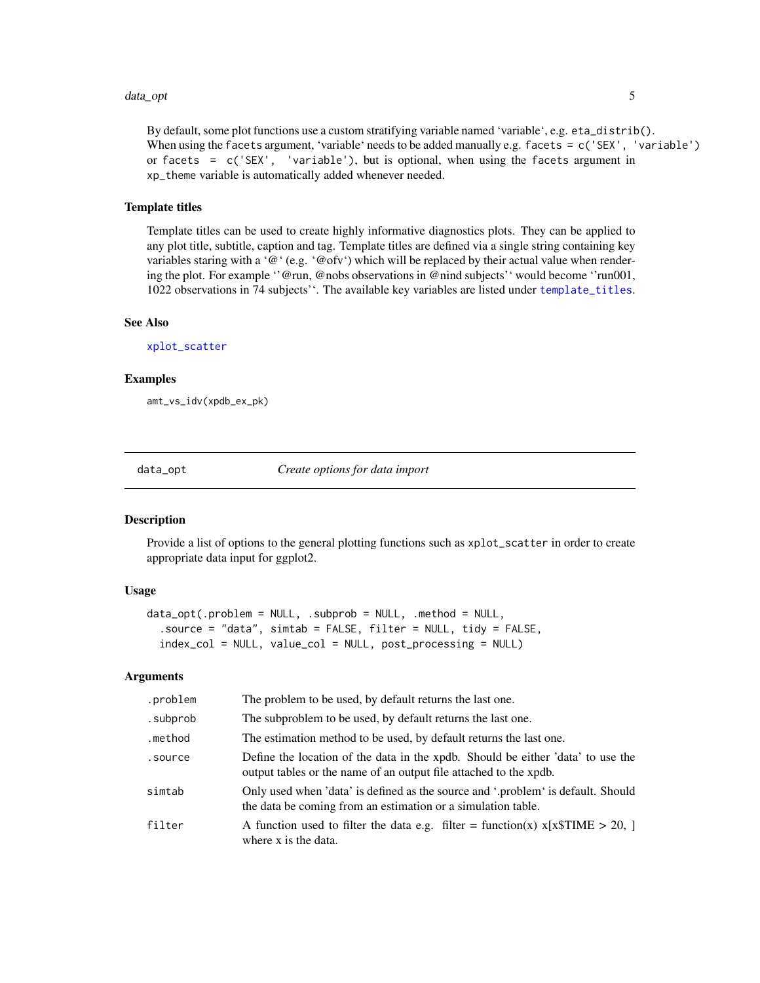#### <span id="page-4-0"></span>data\_opt 5

By default, some plot functions use a custom stratifying variable named 'variable', e.g. eta\_distrib(). When using the facets argument, 'variable' needs to be added manually e.g. facets = c('SEX', 'variable') or facets =  $c('SEX', 'variable'), but is optional, when using the facets argument in$ xp\_theme variable is automatically added whenever needed.

#### Template titles

Template titles can be used to create highly informative diagnostics plots. They can be applied to any plot title, subtitle, caption and tag. Template titles are defined via a single string containing key variables staring with a '@' (e.g. '@ofv') which will be replaced by their actual value when rendering the plot. For example ''@run, @nobs observations in @nind subjects'' would become ''run001, 1022 observations in 74 subjects''. The available key variables are listed under [template\\_titles](#page-42-1).

### See Also

[xplot\\_scatter](#page-53-1)

#### Examples

amt\_vs\_idv(xpdb\_ex\_pk)

<span id="page-4-1"></span>data\_opt *Create options for data import*

#### **Description**

Provide a list of options to the general plotting functions such as xplot\_scatter in order to create appropriate data input for ggplot2.

#### Usage

```
data_opt(.problem = NULL, .subprob = NULL, .method = NULL,
  .source = "data", simtab = FALSE, filter = NULL, tidy = FALSE,
  index_col = NULL, value_col = NULL, post_processing = NULL)
```
#### Arguments

| .problem | The problem to be used, by default returns the last one.                                                                                             |
|----------|------------------------------------------------------------------------------------------------------------------------------------------------------|
| .subprob | The subproblem to be used, by default returns the last one.                                                                                          |
| .method  | The estimation method to be used, by default returns the last one.                                                                                   |
| .source  | Define the location of the data in the xpdb. Should be either 'data' to use the<br>output tables or the name of an output file attached to the xpdb. |
| simtab   | Only used when 'data' is defined as the source and '.problem' is default. Should<br>the data be coming from an estimation or a simulation table.     |
| filter   | A function used to filter the data e.g. filter = function(x) $x[x$TIME > 20, ]$<br>where x is the data.                                              |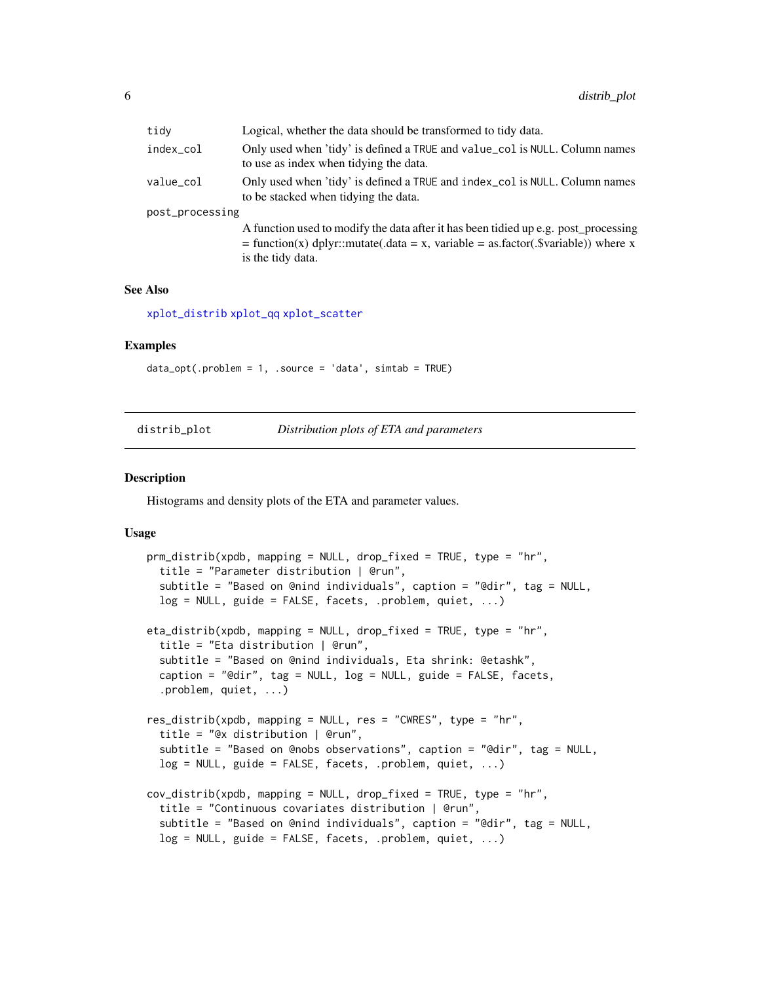<span id="page-5-0"></span>

| tidy            | Logical, whether the data should be transformed to tidy data.                                                                                                              |
|-----------------|----------------------------------------------------------------------------------------------------------------------------------------------------------------------------|
| index_col       | Only used when 'tidy' is defined a TRUE and value_col is NULL. Column names<br>to use as index when tidying the data.                                                      |
| value_col       | Only used when 'tidy' is defined a TRUE and index_col is NULL. Column names<br>to be stacked when tidying the data.                                                        |
| post_processing |                                                                                                                                                                            |
|                 | A function used to modify the data after it has been tidied up e.g. post_processing<br>$=$ function(x) dplyr::mutate(.data = x, variable = as.factor(.\$variable)) where x |
|                 | is the tidy data.                                                                                                                                                          |

#### See Also

[xplot\\_distrib](#page-50-1) [xplot\\_qq](#page-52-1) [xplot\\_scatter](#page-53-1)

#### Examples

data\_opt(.problem = 1, .source = 'data', simtab = TRUE)

| distrib_plot |  |  |
|--------------|--|--|
|              |  |  |
|              |  |  |
|              |  |  |

Distribution plots of ETA and parameters

#### Description

Histograms and density plots of the ETA and parameter values.

#### Usage

```
prm_distrib(xpdb, mapping = NULL, drop_fixed = TRUE, type = "hr",
  title = "Parameter distribution | @run",
  subtitle = "Based on @nind individuals", caption = "@dir", tag = NULL,
  log = NULL, guide = FALSE, facets, .problem, quiet, ...)
eta_distrib(xpdb, mapping = NULL, drop_fixed = TRUE, type = "hr",
  title = "Eta distribution | @run",
  subtitle = "Based on @nind individuals, Eta shrink: @etashk",
  caption = "@dir", tag = NULL, log = NULL, guide = FALSE, facets,
  .problem, quiet, ...)
res_distrib(xpdb, mapping = NULL, res = "CWRES", type = "hr",
  title = "@x distribution | @run",
  subtitle = "Based on @nobs observations", caption = "@dir", tag = NULL,
 log = NULL, guide = FALSE, facets, .problem, quiet, ...)
cov_distrib(xpdb, mapping = NULL, drop_fixed = TRUE, type = "hr",
  title = "Continuous covariates distribution | @run",
  subtitle = "Based on @nind individuals", caption = "@dir", tag = NULL,
  log = NULL, guide = FALSE, facets, .problem, quiet, ...)
```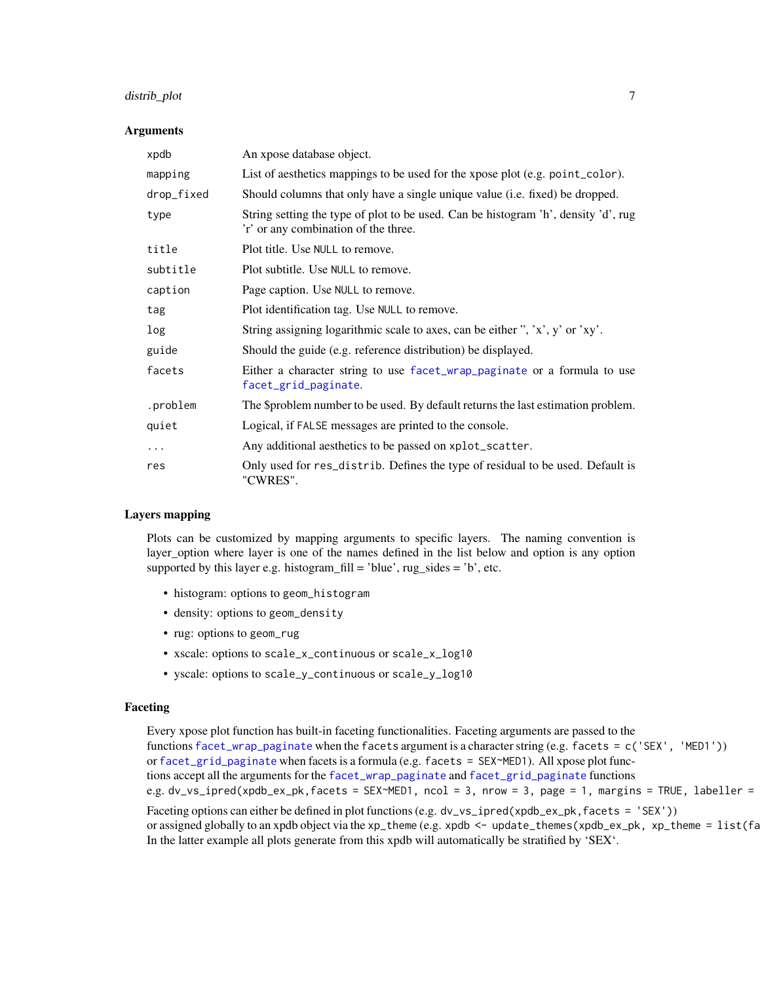### <span id="page-6-0"></span>distrib\_plot 7

#### Arguments

| xpdb       | An xpose database object.                                                                                                  |
|------------|----------------------------------------------------------------------------------------------------------------------------|
| mapping    | List of aesthetics mappings to be used for the xpose plot (e.g. point_color).                                              |
| drop_fixed | Should columns that only have a single unique value (i.e. fixed) be dropped.                                               |
| type       | String setting the type of plot to be used. Can be histogram 'h', density 'd', rug<br>'r' or any combination of the three. |
| title      | Plot title. Use NULL to remove.                                                                                            |
| subtitle   | Plot subtitle. Use NULL to remove.                                                                                         |
| caption    | Page caption. Use NULL to remove.                                                                                          |
| tag        | Plot identification tag. Use NULL to remove.                                                                               |
| log        | String assigning logarithmic scale to axes, can be either ", 'x', y' or 'xy'.                                              |
| guide      | Should the guide (e.g. reference distribution) be displayed.                                                               |
| facets     | Either a character string to use facet_wrap_paginate or a formula to use<br>facet_grid_paginate.                           |
| .problem   | The \$problem number to be used. By default returns the last estimation problem.                                           |
| quiet      | Logical, if FALSE messages are printed to the console.                                                                     |
| $\cdots$   | Any additional aesthetics to be passed on xplot_scatter.                                                                   |
| res        | Only used for res_distrib. Defines the type of residual to be used. Default is<br>"CWRES".                                 |

#### Layers mapping

Plots can be customized by mapping arguments to specific layers. The naming convention is layer\_option where layer is one of the names defined in the list below and option is any option supported by this layer e.g. histogram\_fill = 'blue',  $rug\_sides = 'b'$ , etc.

- histogram: options to geom\_histogram
- density: options to geom\_density
- rug: options to geom\_rug
- xscale: options to scale\_x\_continuous or scale\_x\_log10
- yscale: options to scale\_y\_continuous or scale\_y\_log10

#### Faceting

Every xpose plot function has built-in faceting functionalities. Faceting arguments are passed to the functions [facet\\_wrap\\_paginate](#page-0-0) when the facets argument is a character string (e.g. facets = c('SEX', 'MED1')) or [facet\\_grid\\_paginate](#page-0-0) when facets is a formula (e.g. facets = SEX~MED1). All xpose plot functions accept all the arguments for the [facet\\_wrap\\_paginate](#page-0-0) and [facet\\_grid\\_paginate](#page-0-0) functions e.g. dv\_vs\_ipred(xpdb\_ex\_pk,facets = SEX~MED1, ncol = 3, nrow = 3, page = 1, margins = TRUE, labeller = Faceting options can either be defined in plot functions (e.g. dv\_vs\_ipred(xpdb\_ex\_pk,facets = 'SEX')) or assigned globally to an xpdb object via the xp\_theme (e.g. xpdb <- update\_themes(xpdb\_ex\_pk, xp\_theme = list(fa In the latter example all plots generate from this xpdb will automatically be stratified by 'SEX'.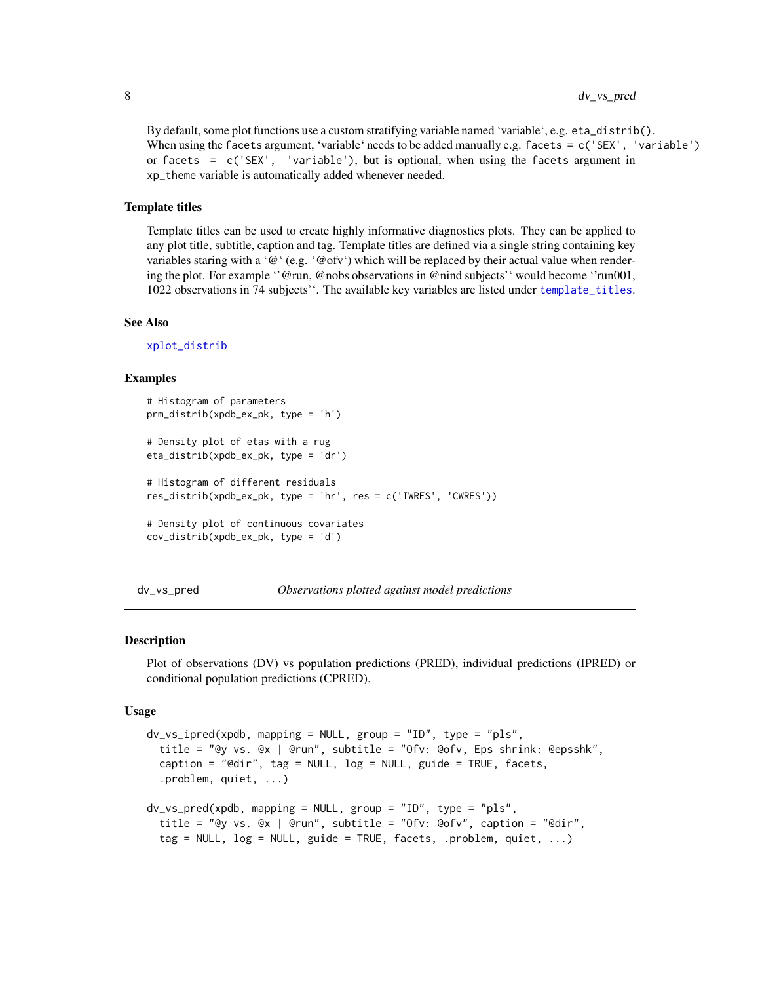### <span id="page-7-0"></span>8 dv\_vs\_pred

By default, some plot functions use a custom stratifying variable named 'variable', e.g. eta\_distrib(). When using the facets argument, 'variable' needs to be added manually e.g. facets = c('SEX', 'variable') or facets =  $c('SEX', 'variable'), but is optional, when using the facets argument in$ xp\_theme variable is automatically added whenever needed.

#### Template titles

Template titles can be used to create highly informative diagnostics plots. They can be applied to any plot title, subtitle, caption and tag. Template titles are defined via a single string containing key variables staring with a '@' (e.g. '@ofv') which will be replaced by their actual value when rendering the plot. For example ''@run, @nobs observations in @nind subjects'' would become ''run001, 1022 observations in 74 subjects''. The available key variables are listed under [template\\_titles](#page-42-1).

### See Also

[xplot\\_distrib](#page-50-1)

#### Examples

```
# Histogram of parameters
prm_distrib(xpdb_ex_pk, type = 'h')
# Density plot of etas with a rug
eta_distrib(xpdb_ex_pk, type = 'dr')
# Histogram of different residuals
res_distrib(xpdb_ex_pk, type = 'hr', res = c('IWRES', 'CWRES'))
# Density plot of continuous covariates
cov_distrib(xpdb_ex_pk, type = 'd')
```
dv\_vs\_pred *Observations plotted against model predictions*

#### Description

Plot of observations (DV) vs population predictions (PRED), individual predictions (IPRED) or conditional population predictions (CPRED).

#### Usage

```
dv_vs_ipred(xpdb, mapping = NULL, group = "ID", type = "pls",
  title = "@y vs. @x | @run", subtitle = "Ofv: @ofv, Eps shrink: @epsshk",
  caption = "@dir", tag = NULL, log = NULL, guide = TRUE, facets,
  .problem, quiet, ...)
dv_{\text{v}} are d(x) and x mapping = NULL, group = "ID", type = "pls",
  title = "@y vs. @x | @run", subtitle = "Ofv: @ofv", caption = "@dir",
  tag = NULL, log = NULL, guide = TRUE, facets, .problem, quiet, ...)
```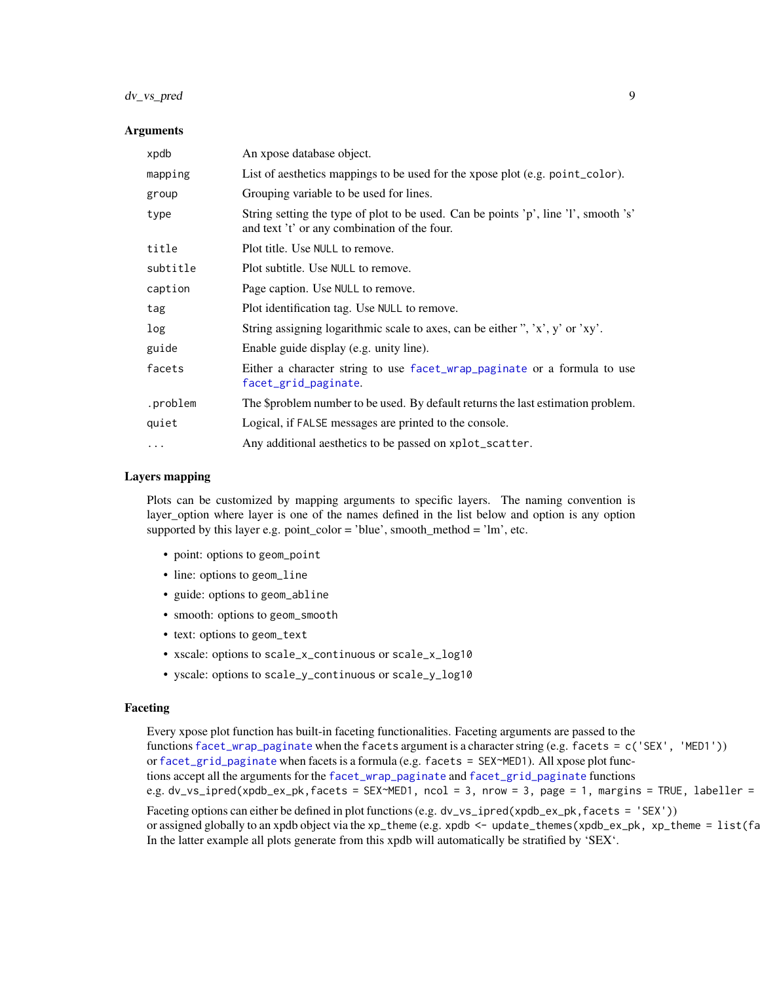### <span id="page-8-0"></span>dv\_vs\_pred 9

#### Arguments

| xpdb     | An xpose database object.                                                                                                           |
|----------|-------------------------------------------------------------------------------------------------------------------------------------|
| mapping  | List of aesthetics mappings to be used for the xpose plot (e.g. point_color).                                                       |
| group    | Grouping variable to be used for lines.                                                                                             |
| type     | String setting the type of plot to be used. Can be points 'p', line 'l', smooth 's'<br>and text 't' or any combination of the four. |
| title    | Plot title. Use NULL to remove.                                                                                                     |
| subtitle | Plot subtitle. Use NULL to remove.                                                                                                  |
| caption  | Page caption. Use NULL to remove.                                                                                                   |
| tag      | Plot identification tag. Use NULL to remove.                                                                                        |
| log      | String assigning logarithmic scale to axes, can be either ", 'x', y' or 'xy'.                                                       |
| guide    | Enable guide display (e.g. unity line).                                                                                             |
| facets   | Either a character string to use facet_wrap_paginate or a formula to use<br>facet_grid_paginate.                                    |
| .problem | The \$problem number to be used. By default returns the last estimation problem.                                                    |
| quiet    | Logical, if FALSE messages are printed to the console.                                                                              |
| $\cdots$ | Any additional aesthetics to be passed on xplot_scatter.                                                                            |

#### Layers mapping

Plots can be customized by mapping arguments to specific layers. The naming convention is layer\_option where layer is one of the names defined in the list below and option is any option supported by this layer e.g. point\_color = 'blue', smooth\_method = 'lm', etc.

- point: options to geom\_point
- line: options to geom\_line
- guide: options to geom\_abline
- smooth: options to geom\_smooth
- text: options to geom\_text
- xscale: options to scale\_x\_continuous or scale\_x\_log10
- yscale: options to scale\_y\_continuous or scale\_y\_log10

#### Faceting

Every xpose plot function has built-in faceting functionalities. Faceting arguments are passed to the functions [facet\\_wrap\\_paginate](#page-0-0) when the facets argument is a character string (e.g. facets = c('SEX', 'MED1')) or [facet\\_grid\\_paginate](#page-0-0) when facets is a formula (e.g. facets = SEX~MED1). All xpose plot functions accept all the arguments for the [facet\\_wrap\\_paginate](#page-0-0) and [facet\\_grid\\_paginate](#page-0-0) functions e.g. dv\_vs\_ipred(xpdb\_ex\_pk,facets = SEX~MED1, ncol = 3, nrow = 3, page = 1, margins = TRUE, labeller = Faceting options can either be defined in plot functions (e.g. dv\_vs\_ipred(xpdb\_ex\_pk,facets = 'SEX')) or assigned globally to an xpdb object via the xp\_theme (e.g. xpdb <- update\_themes(xpdb\_ex\_pk, xp\_theme = list(fa

In the latter example all plots generate from this xpdb will automatically be stratified by 'SEX'.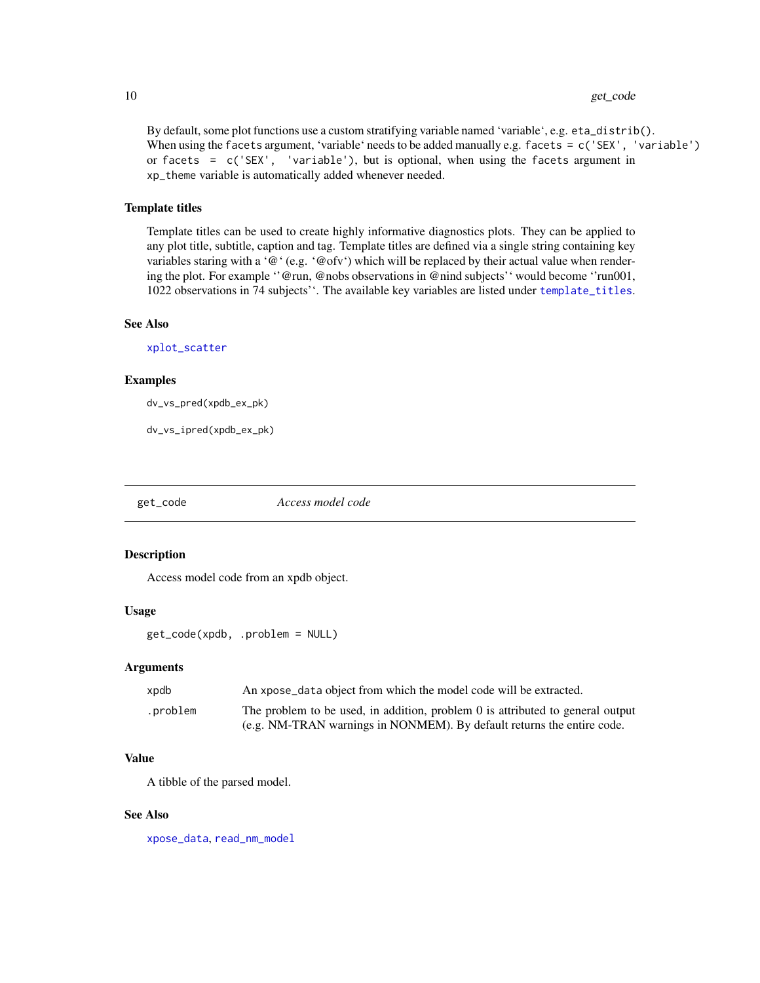#### 10 get\_code and the set of the set of the set of the set of the set of the set of the set of the set of the set of the set of the set of the set of the set of the set of the set of the set of the set of the set of the set

By default, some plot functions use a custom stratifying variable named 'variable', e.g. eta\_distrib(). When using the facets argument, 'variable' needs to be added manually e.g. facets =  $c('SEX', 'variable')$ or facets =  $c('SEX', 'variable'), but is optional, when using the facets argument in$ xp\_theme variable is automatically added whenever needed.

#### Template titles

Template titles can be used to create highly informative diagnostics plots. They can be applied to any plot title, subtitle, caption and tag. Template titles are defined via a single string containing key variables staring with a '@' (e.g. '@ofv') which will be replaced by their actual value when rendering the plot. For example ''@run, @nobs observations in @nind subjects'' would become ''run001, 1022 observations in 74 subjects''. The available key variables are listed under [template\\_titles](#page-42-1).

### See Also

[xplot\\_scatter](#page-53-1)

#### Examples

dv\_vs\_pred(xpdb\_ex\_pk)

dv\_vs\_ipred(xpdb\_ex\_pk)

get\_code *Access model code*

### Description

Access model code from an xpdb object.

#### Usage

get\_code(xpdb, .problem = NULL)

#### Arguments

| xpdb      | An xpose_data object from which the model code will be extracted.              |
|-----------|--------------------------------------------------------------------------------|
| .problem. | The problem to be used, in addition, problem 0 is attributed to general output |
|           | (e.g. NM-TRAN warnings in NONMEM). By default returns the entire code.         |

### Value

A tibble of the parsed model.

#### See Also

[xpose\\_data](#page-55-1), [read\\_nm\\_model](#page-31-1)

<span id="page-9-0"></span>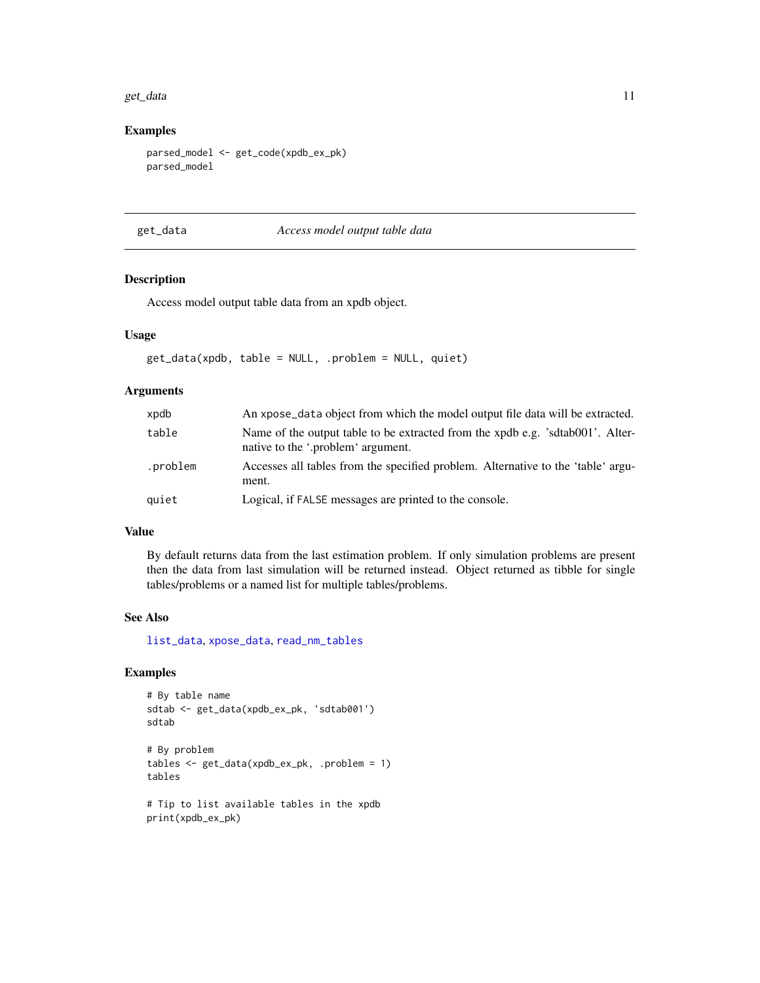#### <span id="page-10-0"></span>get\_data 11

### Examples

```
parsed_model <- get_code(xpdb_ex_pk)
parsed_model
```
<span id="page-10-1"></span>get\_data *Access model output table data*

### Description

Access model output table data from an xpdb object.

### Usage

get\_data(xpdb, table = NULL, .problem = NULL, quiet)

### Arguments

| xpdb     | An xpose_data object from which the model output file data will be extracted.                                        |
|----------|----------------------------------------------------------------------------------------------------------------------|
| table    | Name of the output table to be extracted from the xpdb e.g. 'sdtab001'. Alter-<br>native to the '.problem' argument. |
| .problem | Accesses all tables from the specified problem. Alternative to the 'table' argu-<br>ment.                            |
| quiet    | Logical, if FALSE messages are printed to the console.                                                               |

### Value

By default returns data from the last estimation problem. If only simulation problems are present then the data from last simulation will be returned instead. Object returned as tibble for single tables/problems or a named list for multiple tables/problems.

#### See Also

[list\\_data](#page-19-1), [xpose\\_data](#page-55-1), [read\\_nm\\_tables](#page-33-1)

```
# By table name
sdtab <- get_data(xpdb_ex_pk, 'sdtab001')
sdtab
# By problem
tables <- get_data(xpdb_ex_pk, .problem = 1)
tables
# Tip to list available tables in the xpdb
print(xpdb_ex_pk)
```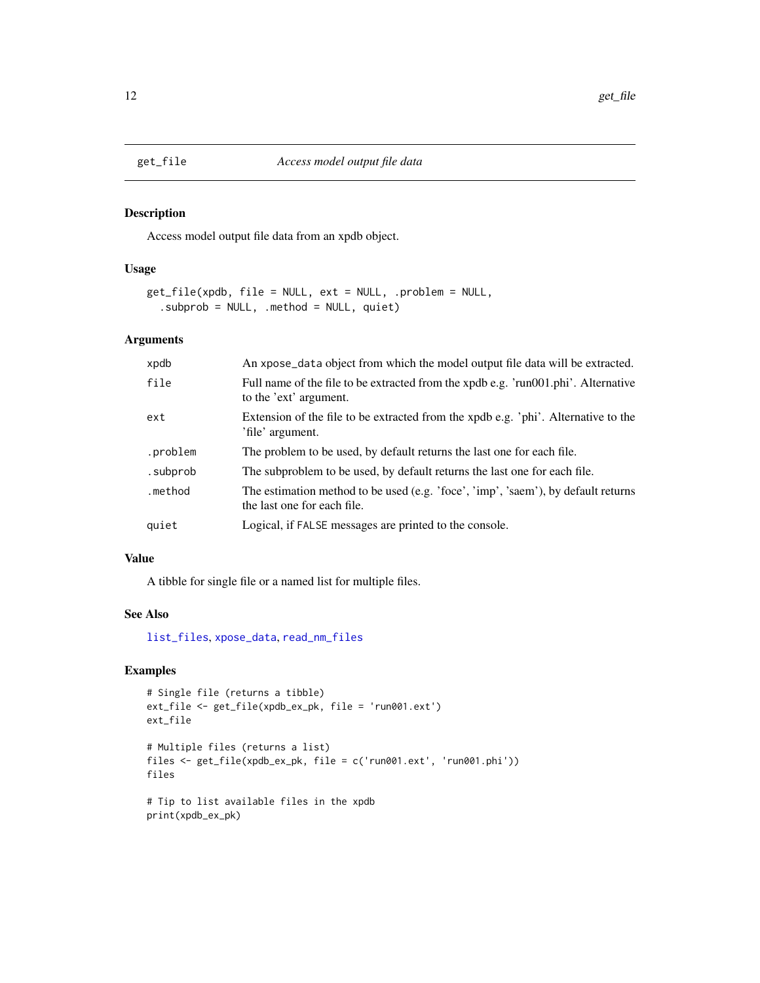Access model output file data from an xpdb object.

#### Usage

```
get_file(xpdb, file = NULL, ext = NULL, .problem = NULL,
  .subprob = NULL, .method = NULL, quiet)
```
#### Arguments

| xpdb     | An xpose_data object from which the model output file data will be extracted.                                    |
|----------|------------------------------------------------------------------------------------------------------------------|
| file     | Full name of the file to be extracted from the xpdb e.g. 'run001.phi'. Alternative<br>to the 'ext' argument.     |
| ext      | Extension of the file to be extracted from the xpdb e.g. 'phi'. Alternative to the<br>'file' argument.           |
| .problem | The problem to be used, by default returns the last one for each file.                                           |
| .subprob | The subproblem to be used, by default returns the last one for each file.                                        |
| .method  | The estimation method to be used (e.g. 'foce', 'imp', 'saem'), by default returns<br>the last one for each file. |
| quiet    | Logical, if FALSE messages are printed to the console.                                                           |

### Value

A tibble for single file or a named list for multiple files.

### See Also

[list\\_files](#page-19-1), [xpose\\_data](#page-55-1), [read\\_nm\\_files](#page-30-1)

```
# Single file (returns a tibble)
ext_file <- get_file(xpdb_ex_pk, file = 'run001.ext')
ext_file
# Multiple files (returns a list)
files <- get_file(xpdb_ex_pk, file = c('run001.ext', 'run001.phi'))
files
# Tip to list available files in the xpdb
print(xpdb_ex_pk)
```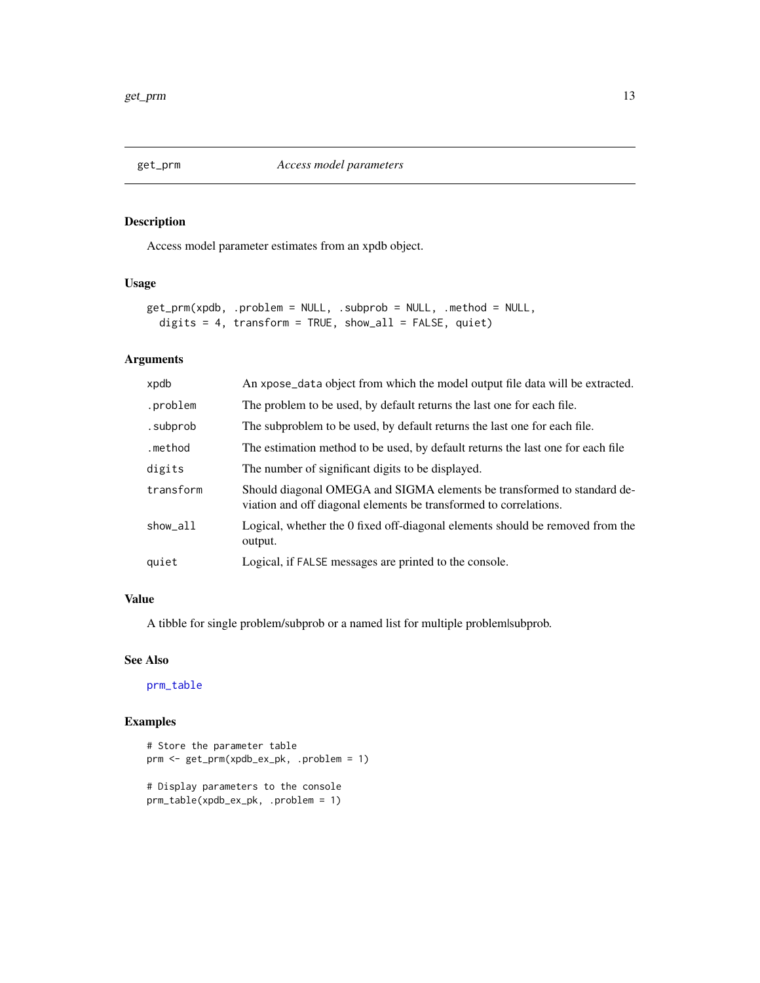<span id="page-12-1"></span><span id="page-12-0"></span>

Access model parameter estimates from an xpdb object.

### Usage

```
get_prm(xpdb, .problem = NULL, .subprob = NULL, .method = NULL,
 digits = 4, transform = TRUE, show_all = FALSE, quiet)
```
### Arguments

| xpdb      | An xpose_data object from which the model output file data will be extracted.                                                                |
|-----------|----------------------------------------------------------------------------------------------------------------------------------------------|
| .problem  | The problem to be used, by default returns the last one for each file.                                                                       |
| .subprob  | The subproblem to be used, by default returns the last one for each file.                                                                    |
| .method   | The estimation method to be used, by default returns the last one for each file                                                              |
| digits    | The number of significant digits to be displayed.                                                                                            |
| transform | Should diagonal OMEGA and SIGMA elements be transformed to standard de-<br>viation and off diagonal elements be transformed to correlations. |
| show all  | Logical, whether the 0 fixed off-diagonal elements should be removed from the<br>output.                                                     |
| quiet     | Logical, if FALSE messages are printed to the console.                                                                                       |

#### Value

A tibble for single problem/subprob or a named list for multiple problem|subprob.

#### See Also

[prm\\_table](#page-27-1)

```
# Store the parameter table
prm <- get_prm(xpdb_ex_pk, .problem = 1)
# Display parameters to the console
prm_table(xpdb_ex_pk, .problem = 1)
```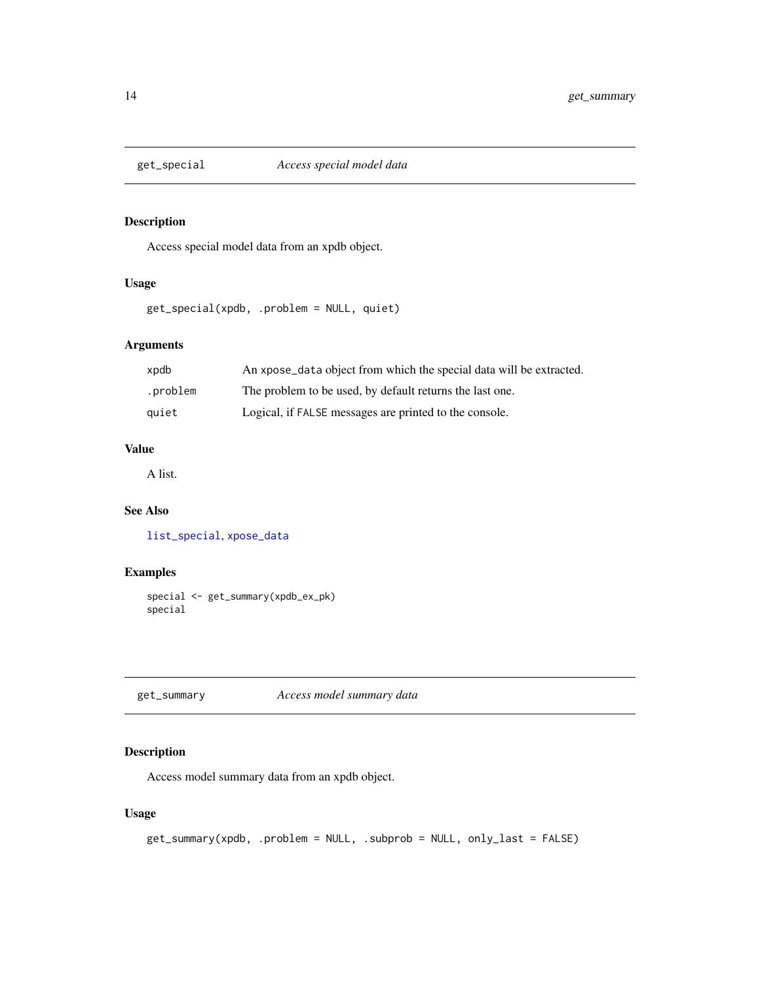<span id="page-13-1"></span><span id="page-13-0"></span>

Access special model data from an xpdb object.

### Usage

get\_special(xpdb, .problem = NULL, quiet)

### Arguments

| xpdb     | An xpose_data object from which the special data will be extracted. |
|----------|---------------------------------------------------------------------|
| .problem | The problem to be used, by default returns the last one.            |
| auiet    | Logical, if FALSE messages are printed to the console.              |

### Value

A list.

### See Also

[list\\_special](#page-19-1), [xpose\\_data](#page-55-1)

### Examples

```
special <- get_summary(xpdb_ex_pk)
special
```
get\_summary *Access model summary data*

### Description

Access model summary data from an xpdb object.

### Usage

```
get_summary(xpdb, .problem = NULL, .subprob = NULL, only_last = FALSE)
```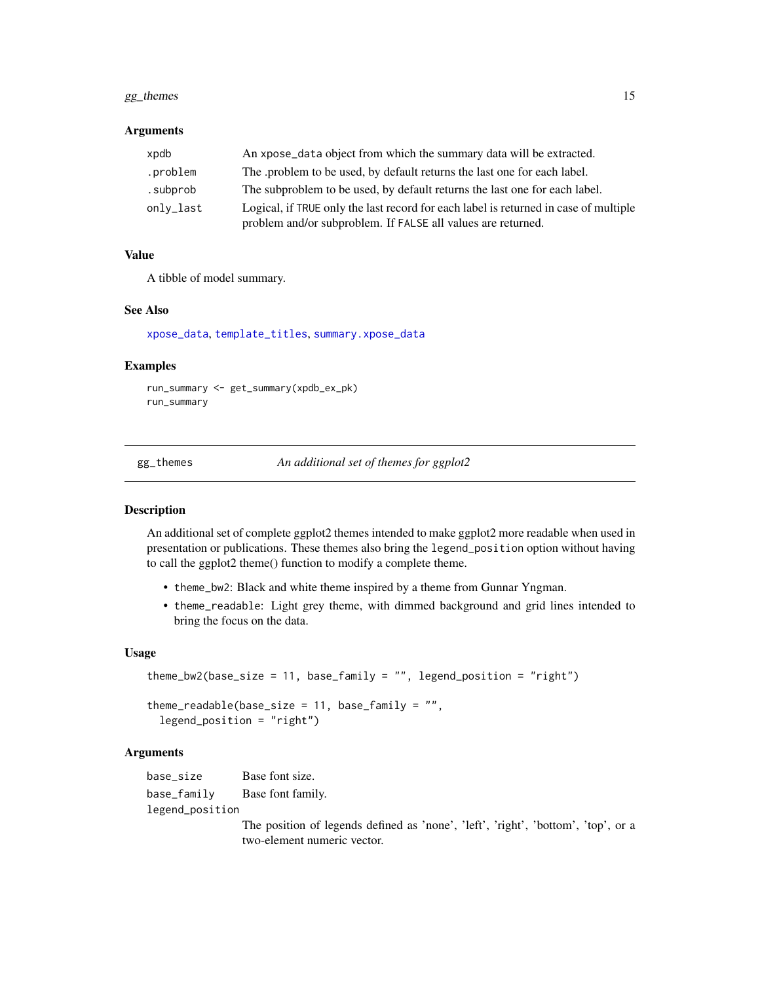### <span id="page-14-0"></span>gg\_themes 15

#### **Arguments**

| xpdb      | An xpose_data object from which the summary data will be extracted.                                                                                  |  |
|-----------|------------------------------------------------------------------------------------------------------------------------------------------------------|--|
| .problem  | The problem to be used, by default returns the last one for each label.                                                                              |  |
| .subprob  | The subproblem to be used, by default returns the last one for each label.                                                                           |  |
| only_last | Logical, if TRUE only the last record for each label is returned in case of multiple<br>problem and/or subproblem. If FALSE all values are returned. |  |

#### Value

A tibble of model summary.

#### See Also

[xpose\\_data](#page-55-1), [template\\_titles](#page-42-1), [summary.xpose\\_data](#page-42-2)

#### Examples

```
run_summary <- get_summary(xpdb_ex_pk)
run_summary
```
gg\_themes *An additional set of themes for ggplot2*

#### Description

An additional set of complete ggplot2 themes intended to make ggplot2 more readable when used in presentation or publications. These themes also bring the legend\_position option without having to call the ggplot2 theme() function to modify a complete theme.

- theme\_bw2: Black and white theme inspired by a theme from Gunnar Yngman.
- theme\_readable: Light grey theme, with dimmed background and grid lines intended to bring the focus on the data.

#### Usage

```
theme_bw2(base_size = 11, base_family = "", legend_position = "right")
theme_readable(base_size = 11, base_family = "",
  legend_position = "right")
```
#### Arguments

base\_size Base font size. base\_family Base font family. legend\_position

> The position of legends defined as 'none', 'left', 'right', 'bottom', 'top', or a two-element numeric vector.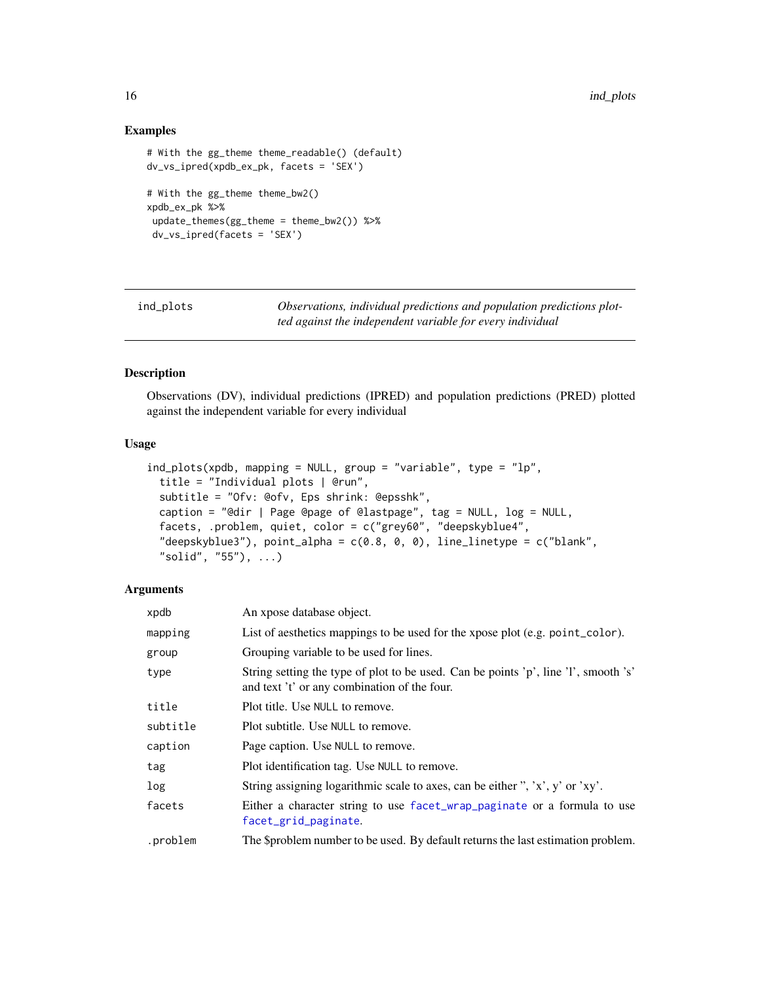### Examples

```
# With the gg_theme theme_readable() (default)
dv_vs_ipred(xpdb_ex_pk, facets = 'SEX')
# With the gg_theme theme_bw2()
xpdb_ex_pk %>%
update_themes(gg_theme = theme_bw2()) %>%
 dv_vs_ipred(facets = 'SEX')
```
ind\_plots *Observations, individual predictions and population predictions plotted against the independent variable for every individual*

#### Description

Observations (DV), individual predictions (IPRED) and population predictions (PRED) plotted against the independent variable for every individual

### Usage

```
ind_plots(xpdb, mapping = NULL, group = "variable", type = "lp",
 title = "Individual plots | @run",
  subtitle = "Ofv: @ofv, Eps shrink: @epsshk",
 caption = "@dir | Page @page of @lastpage", tag = NULL, log = NULL,
  facets, .problem, quiet, color = c("grey60", "deepskyblue4",
  "deepskyblue3"), point_alpha = c(0.8, 0, 0), line_linetype = c("blank",
  "solid", "55"), ...)
```
#### **Arguments**

| xpdb     | An xpose database object.                                                                                                           |
|----------|-------------------------------------------------------------------------------------------------------------------------------------|
| mapping  | List of aesthetics mappings to be used for the xpose plot (e.g. point_color).                                                       |
| group    | Grouping variable to be used for lines.                                                                                             |
| type     | String setting the type of plot to be used. Can be points 'p', line 'l', smooth 's'<br>and text 't' or any combination of the four. |
| title    | Plot title. Use NULL to remove.                                                                                                     |
| subtitle | Plot subtitle. Use NULL to remove.                                                                                                  |
| caption  | Page caption. Use NULL to remove.                                                                                                   |
| tag      | Plot identification tag. Use NULL to remove.                                                                                        |
| log      | String assigning logarithmic scale to axes, can be either ", 'x', y' or 'xy'.                                                       |
| facets   | Either a character string to use facet_wrap_paginate or a formula to use<br>facet_grid_paginate.                                    |
| .problem | The \$problem number to be used. By default returns the last estimation problem.                                                    |

<span id="page-15-0"></span>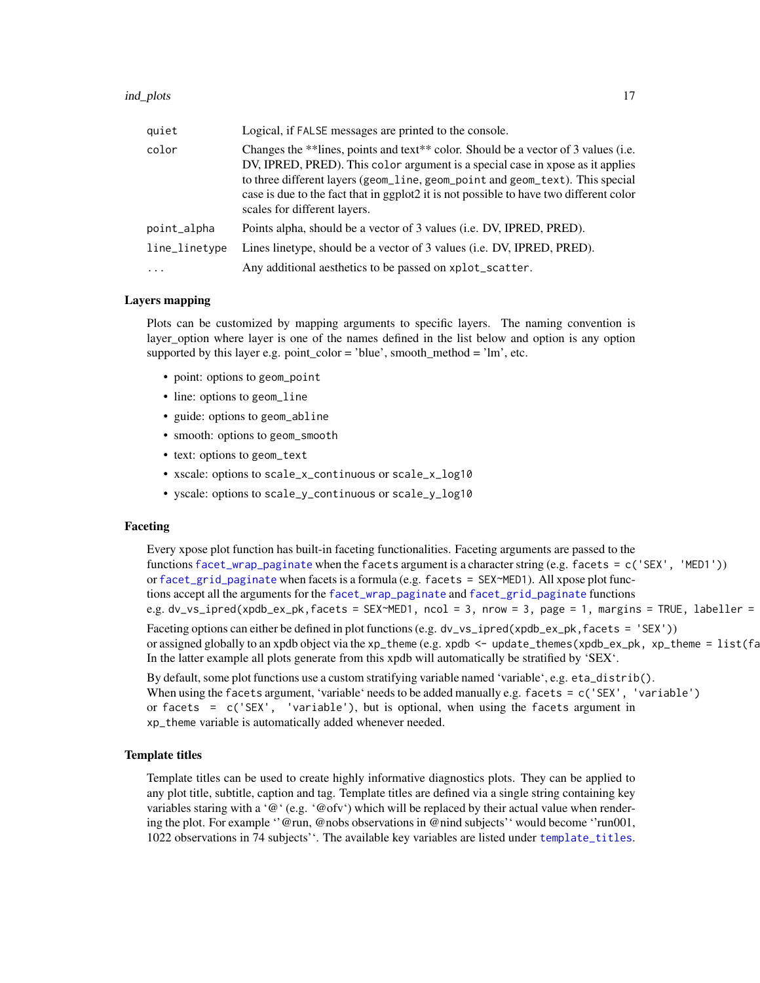#### <span id="page-16-0"></span>ind\_plots 17

| quiet                                                                                                                                                                                                                                                                                                                                                                                    | Logical, if FALSE messages are printed to the console.                 |
|------------------------------------------------------------------------------------------------------------------------------------------------------------------------------------------------------------------------------------------------------------------------------------------------------------------------------------------------------------------------------------------|------------------------------------------------------------------------|
| color<br>Changes the **lines, points and text** color. Should be a vector of 3 values (i.e.<br>DV, IPRED, PRED). This color argument is a special case in xpose as it applies<br>to three different layers (geom_line, geom_point and geom_text). This special<br>case is due to the fact that in ggplot2 it is not possible to have two different color<br>scales for different layers. |                                                                        |
| point_alpha                                                                                                                                                                                                                                                                                                                                                                              | Points alpha, should be a vector of 3 values (i.e. DV, IPRED, PRED).   |
| line_linetype                                                                                                                                                                                                                                                                                                                                                                            | Lines linetype, should be a vector of 3 values (i.e. DV, IPRED, PRED). |
| $\ddotsc$                                                                                                                                                                                                                                                                                                                                                                                | Any additional aesthetics to be passed on xplot_scatter.               |

#### Layers mapping

Plots can be customized by mapping arguments to specific layers. The naming convention is layer\_option where layer is one of the names defined in the list below and option is any option supported by this layer e.g. point\_color = 'blue', smooth\_method = 'lm', etc.

- point: options to geom\_point
- line: options to geom\_line
- guide: options to geom\_abline
- smooth: options to geom\_smooth
- text: options to geom\_text
- xscale: options to scale\_x\_continuous or scale\_x\_log10
- yscale: options to scale\_y\_continuous or scale\_y\_log10

### Faceting

Every xpose plot function has built-in faceting functionalities. Faceting arguments are passed to the functions [facet\\_wrap\\_paginate](#page-0-0) when the facets argument is a character string (e.g. facets = c('SEX', 'MED1')) or [facet\\_grid\\_paginate](#page-0-0) when facets is a formula (e.g. facets = SEX~MED1). All xpose plot functions accept all the arguments for the [facet\\_wrap\\_paginate](#page-0-0) and [facet\\_grid\\_paginate](#page-0-0) functions e.g. dv\_vs\_ipred(xpdb\_ex\_pk,facets = SEX~MED1, ncol = 3, nrow = 3, page = 1, margins = TRUE, labeller =

Faceting options can either be defined in plot functions (e.g. dv\_vs\_ipred(xpdb\_ex\_pk, facets = 'SEX')) or assigned globally to an xpdb object via the xp\_theme (e.g. xpdb <- update\_themes(xpdb\_ex\_pk, xp\_theme =  $list(fa)$ In the latter example all plots generate from this xpdb will automatically be stratified by 'SEX'.

By default, some plot functions use a custom stratifying variable named 'variable', e.g. eta\_distrib(). When using the facets argument, 'variable' needs to be added manually e.g. facets = c('SEX', 'variable') or facets = c('SEX', 'variable'), but is optional, when using the facets argument in xp\_theme variable is automatically added whenever needed.

#### Template titles

Template titles can be used to create highly informative diagnostics plots. They can be applied to any plot title, subtitle, caption and tag. Template titles are defined via a single string containing key variables staring with a ' $@$ ' (e.g. ' $@$  ofv') which will be replaced by their actual value when rendering the plot. For example ''@run, @nobs observations in @nind subjects'' would become ''run001, 1022 observations in 74 subjects''. The available key variables are listed under [template\\_titles](#page-42-1).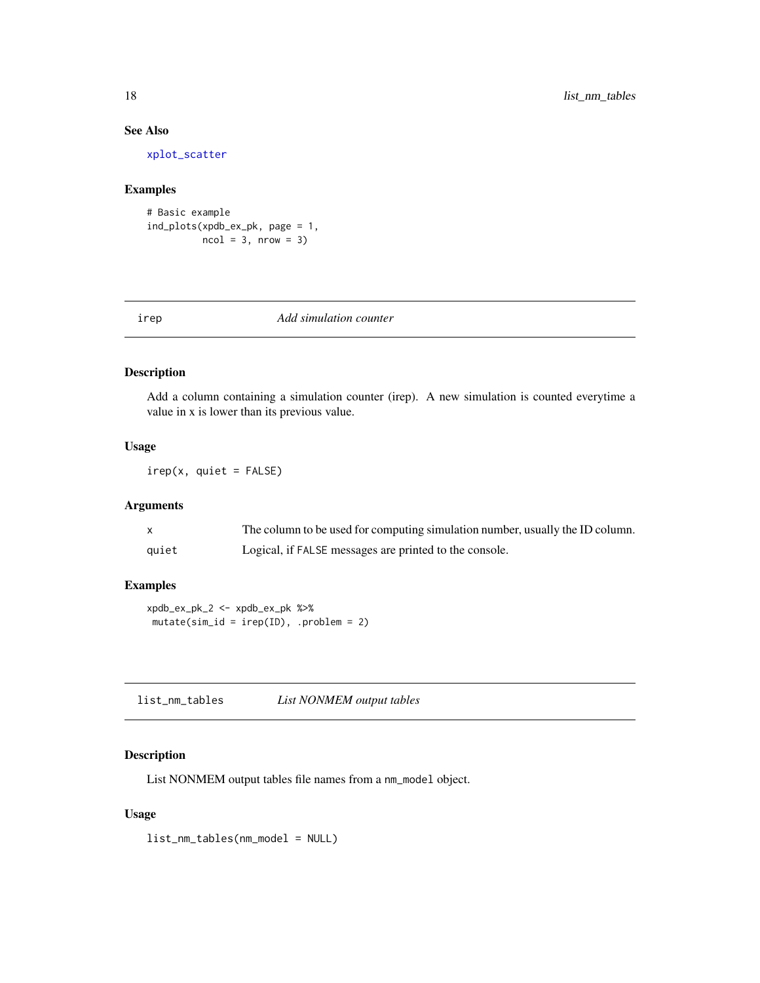### See Also

[xplot\\_scatter](#page-53-1)

#### Examples

```
# Basic example
ind_plots(xpdb_ex_pk, page = 1,
         ncol = 3, nrow = 3
```
#### irep *Add simulation counter*

### Description

Add a column containing a simulation counter (irep). A new simulation is counted everytime a value in x is lower than its previous value.

### Usage

irep(x, quiet = FALSE)

### Arguments

|       | The column to be used for computing simulation number, usually the ID column. |
|-------|-------------------------------------------------------------------------------|
| quiet | Logical, if FALSE messages are printed to the console.                        |

### Examples

xpdb\_ex\_pk\_2 <- xpdb\_ex\_pk %>%  $mutate(sim_id = irep(ID),$ .problem = 2)

list\_nm\_tables *List NONMEM output tables*

### Description

List NONMEM output tables file names from a nm\_model object.

### Usage

list\_nm\_tables(nm\_model = NULL)

<span id="page-17-0"></span>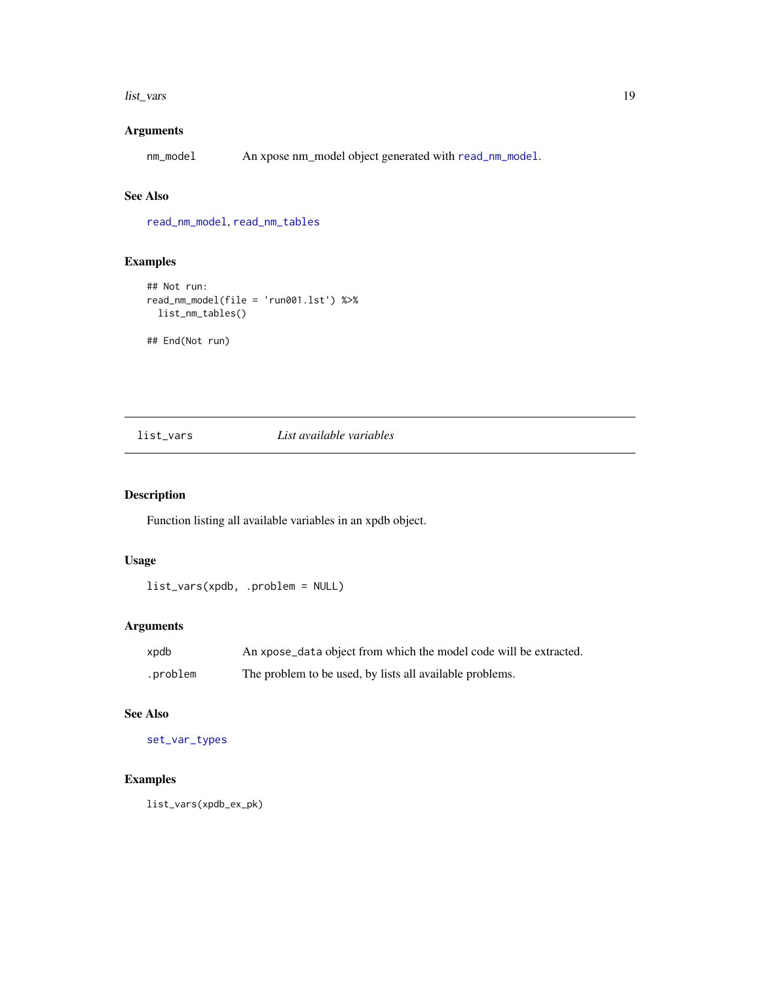#### <span id="page-18-0"></span>list\_vars and the contract of the contract of the contract of the contract of the contract of the contract of the contract of the contract of the contract of the contract of the contract of the contract of the contract of

## Arguments

nm\_model An xpose nm\_model object generated with [read\\_nm\\_model](#page-31-1).

### See Also

[read\\_nm\\_model](#page-31-1), [read\\_nm\\_tables](#page-33-1)

## Examples

```
## Not run:
read_nm_model(file = 'run001.lst') %>%
  list_nm_tables()
## End(Not run)
```
<span id="page-18-1"></span>

#### list\_vars *List available variables*

### Description

Function listing all available variables in an xpdb object.

### Usage

```
list_vars(xpdb, .problem = NULL)
```
### Arguments

| xpdb     | An xpose_data object from which the model code will be extracted. |
|----------|-------------------------------------------------------------------|
| .problem | The problem to be used, by lists all available problems.          |

### See Also

[set\\_var\\_types](#page-38-1)

### Examples

list\_vars(xpdb\_ex\_pk)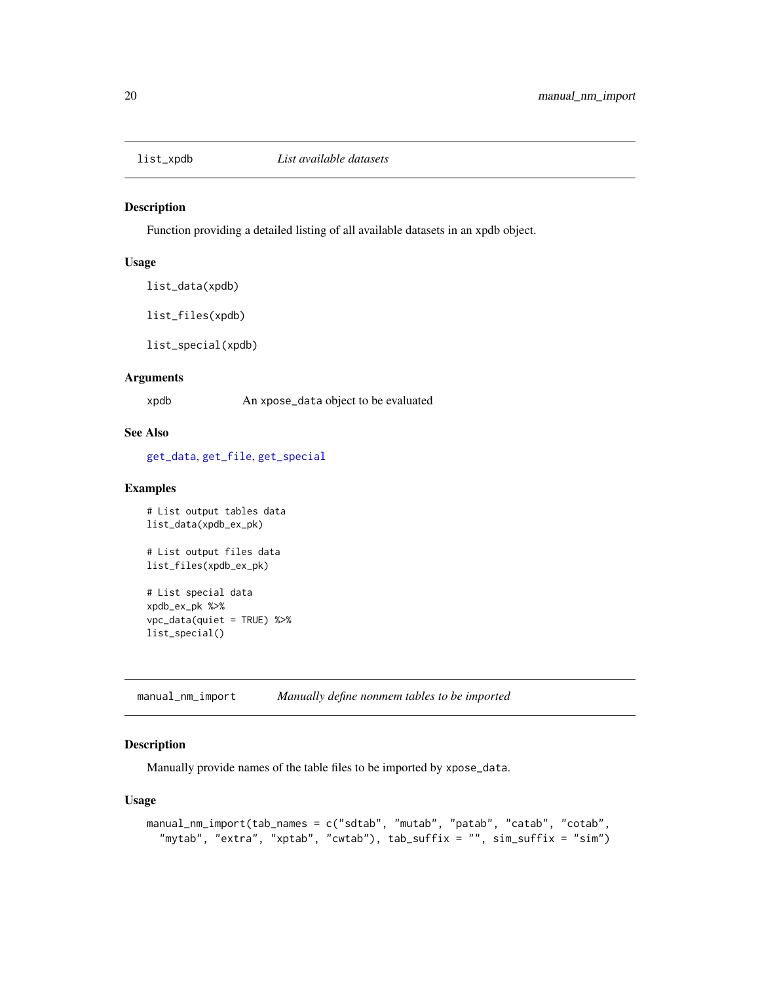<span id="page-19-1"></span><span id="page-19-0"></span>

Function providing a detailed listing of all available datasets in an xpdb object.

#### Usage

list\_data(xpdb)

list\_files(xpdb)

list\_special(xpdb)

### Arguments

xpdb An xpose\_data object to be evaluated

### See Also

[get\\_data](#page-10-1), [get\\_file](#page-11-1), [get\\_special](#page-13-1)

#### Examples

```
# List output tables data
list_data(xpdb_ex_pk)
# List output files data
list_files(xpdb_ex_pk)
# List special data
xpdb_ex_pk %>%
vpc_data(quiet = TRUE) %>%
list_special()
```
<span id="page-19-2"></span>manual\_nm\_import *Manually define nonmem tables to be imported*

### Description

Manually provide names of the table files to be imported by xpose\_data.

#### Usage

```
manual_nm_import(tab_names = c("sdtab", "mutab", "patab", "catab", "cotab",
 "mytab", "extra", "xptab", "cwtab"), tab_suffix = "", sim_suffix = "sim")
```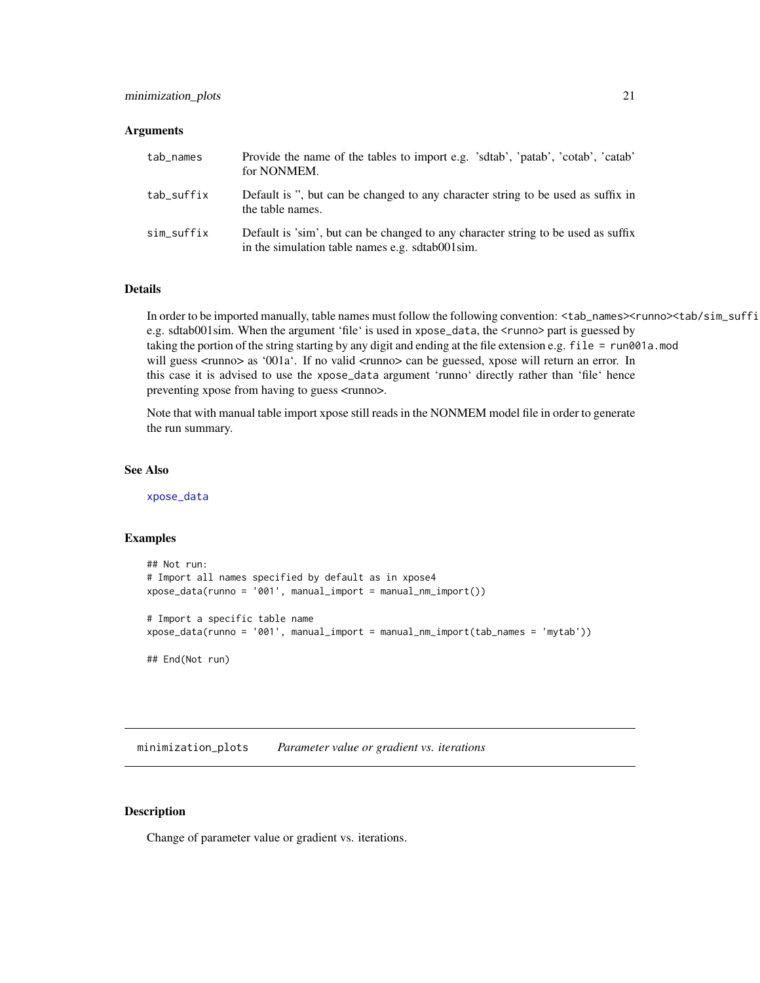#### <span id="page-20-0"></span>**Arguments**

| tab_names  | Provide the name of the tables to import e.g. 'sdtab', 'patab', 'cotab', 'catab'<br>for NONMEM.                                      |
|------------|--------------------------------------------------------------------------------------------------------------------------------------|
| tab_suffix | Default is ", but can be changed to any character string to be used as suffix in<br>the table names.                                 |
| sim_suffix | Default is 'sim', but can be changed to any character string to be used as suffix<br>in the simulation table names e.g. sdtab001sim. |

### Details

In order to be imported manually, table names must follow the following convention: <tab\_names><runno><tab/sim\_suffi e.g. sdtab001sim. When the argument 'file' is used in xpose\_data, the <runno> part is guessed by taking the portion of the string starting by any digit and ending at the file extension e.g. file = run001a.mod will guess <runno> as '001a'. If no valid <runno> can be guessed, xpose will return an error. In this case it is advised to use the xpose\_data argument 'runno' directly rather than 'file' hence preventing xpose from having to guess <runno>.

Note that with manual table import xpose still reads in the NONMEM model file in order to generate the run summary.

### See Also

[xpose\\_data](#page-55-1)

### Examples

```
## Not run:
# Import all names specified by default as in xpose4
xpose_data(runno = '001', manual_import = manual_nm_import())
# Import a specific table name
xpose_data(runno = '001', manual_import = manual_nm_import(tab_names = 'mytab'))
## End(Not run)
```
minimization\_plots *Parameter value or gradient vs. iterations*

#### Description

Change of parameter value or gradient vs. iterations.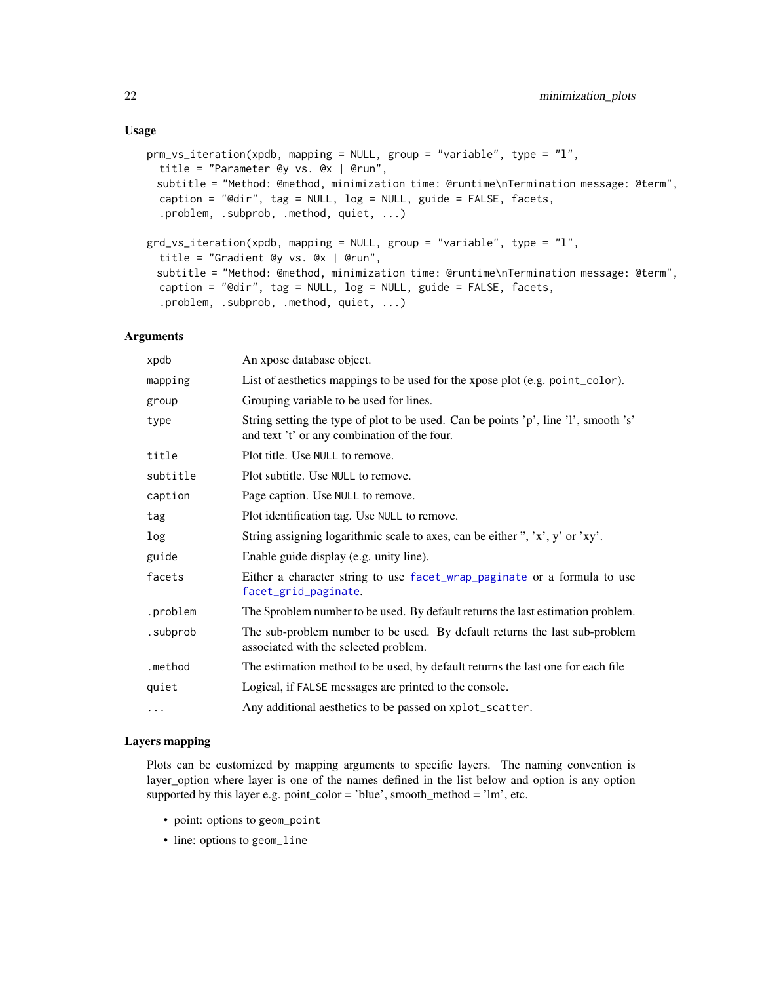#### <span id="page-21-0"></span>Usage

```
prm_vs_iteration(xpdb, mapping = NULL, group = "variable", type = "l",
  title = "Parameter @y vs. @x | @run",
 subtitle = "Method: @method, minimization time: @runtime\nTermination message: @term",
 caption = "@dir", tag = NULL, log = NULL, guide = FALSE, facets,
  .problem, .subprob, .method, quiet, ...)
grd_vs_iteration(xpdb, mapping = NULL, group = "variable", type = "l",
  title = "Gradient @y vs. @x | @run",
 subtitle = "Method: @method, minimization time: @runtime\nTermination message: @term",
 caption = "@dir", tag = NULL, log = NULL, guide = FALSE, facets,
  .problem, .subprob, .method, quiet, ...)
```
#### Arguments

| An xpose database object.                                                                                                           |
|-------------------------------------------------------------------------------------------------------------------------------------|
| List of aesthetics mappings to be used for the xpose plot (e.g. point_color).                                                       |
| Grouping variable to be used for lines.                                                                                             |
| String setting the type of plot to be used. Can be points 'p', line 'l', smooth 's'<br>and text 't' or any combination of the four. |
| Plot title. Use NULL to remove.                                                                                                     |
| Plot subtitle. Use NULL to remove.                                                                                                  |
| Page caption. Use NULL to remove.                                                                                                   |
| Plot identification tag. Use NULL to remove.                                                                                        |
| String assigning logarithmic scale to axes, can be either ", 'x', y' or 'xy'.                                                       |
| Enable guide display (e.g. unity line).                                                                                             |
| Either a character string to use facet_wrap_paginate or a formula to use<br>facet_grid_paginate.                                    |
| The \$problem number to be used. By default returns the last estimation problem.                                                    |
| The sub-problem number to be used. By default returns the last sub-problem<br>associated with the selected problem.                 |
| The estimation method to be used, by default returns the last one for each file                                                     |
| Logical, if FALSE messages are printed to the console.                                                                              |
| Any additional aesthetics to be passed on xplot_scatter.                                                                            |
|                                                                                                                                     |

#### Layers mapping

Plots can be customized by mapping arguments to specific layers. The naming convention is layer\_option where layer is one of the names defined in the list below and option is any option supported by this layer e.g. point\_color = 'blue', smooth\_method = 'lm', etc.

- point: options to geom\_point
- line: options to geom\_line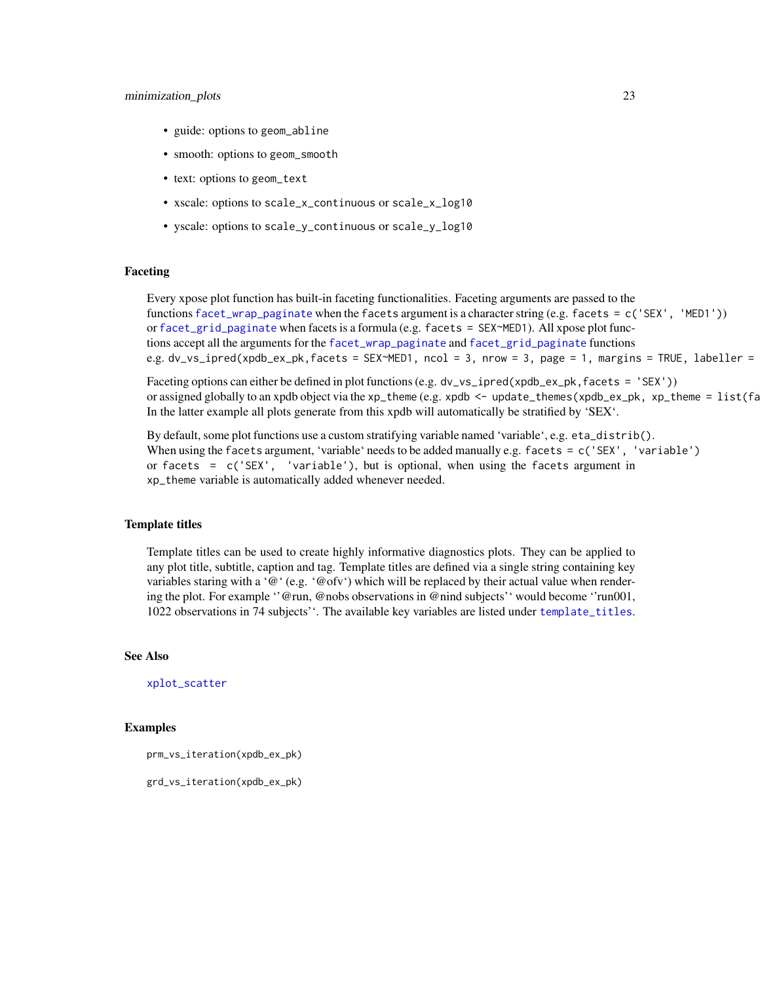#### <span id="page-22-0"></span>minimization\_plots 23

- guide: options to geom\_abline
- smooth: options to geom\_smooth
- text: options to geom\_text
- xscale: options to scale\_x\_continuous or scale\_x\_log10
- yscale: options to scale\_y\_continuous or scale\_y\_log10

### Faceting

Every xpose plot function has built-in faceting functionalities. Faceting arguments are passed to the functions [facet\\_wrap\\_paginate](#page-0-0) when the facets argument is a character string (e.g. facets = c('SEX', 'MED1')) or [facet\\_grid\\_paginate](#page-0-0) when facets is a formula (e.g. facets = SEX~MED1). All xpose plot functions accept all the arguments for the [facet\\_wrap\\_paginate](#page-0-0) and [facet\\_grid\\_paginate](#page-0-0) functions e.g. dv\_vs\_ipred(xpdb\_ex\_pk,facets = SEX~MED1, ncol = 3, nrow = 3, page = 1, margins = TRUE, labeller =

Faceting options can either be defined in plot functions (e.g. dv\_vs\_ipred(xpdb\_ex\_pk, facets = 'SEX')) or assigned globally to an xpdb object via the xp\_theme (e.g. xpdb <- update\_themes(xpdb\_ex\_pk, xp\_theme =  $list(fa)$ In the latter example all plots generate from this xpdb will automatically be stratified by 'SEX'.

By default, some plot functions use a custom stratifying variable named 'variable', e.g. eta\_distrib(). When using the facets argument, 'variable' needs to be added manually e.g. facets = c('SEX', 'variable') or facets = c('SEX', 'variable'), but is optional, when using the facets argument in xp\_theme variable is automatically added whenever needed.

#### Template titles

Template titles can be used to create highly informative diagnostics plots. They can be applied to any plot title, subtitle, caption and tag. Template titles are defined via a single string containing key variables staring with a '@' (e.g. '@ofv') which will be replaced by their actual value when rendering the plot. For example ''@run, @nobs observations in @nind subjects'' would become ''run001, 1022 observations in 74 subjects''. The available key variables are listed under [template\\_titles](#page-42-1).

#### See Also

[xplot\\_scatter](#page-53-1)

#### Examples

prm\_vs\_iteration(xpdb\_ex\_pk)

grd\_vs\_iteration(xpdb\_ex\_pk)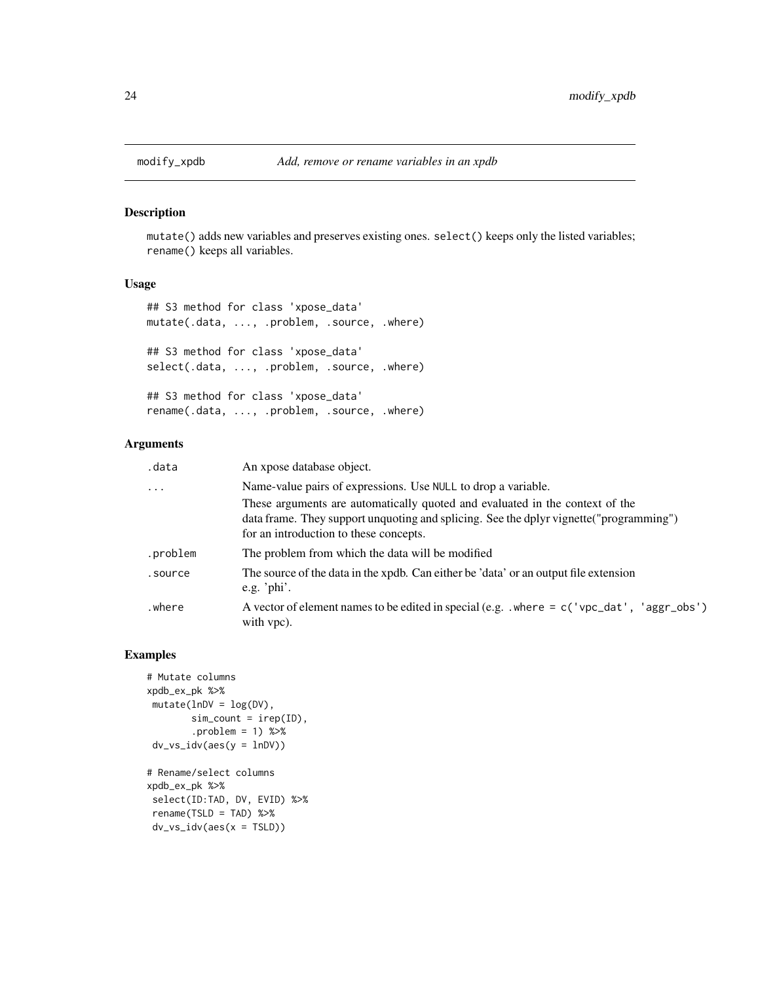<span id="page-23-0"></span>

mutate() adds new variables and preserves existing ones. select() keeps only the listed variables; rename() keeps all variables.

#### Usage

```
## S3 method for class 'xpose_data'
mutate(.data, ..., .problem, .source, .where)
## S3 method for class 'xpose_data'
select(.data, ..., .problem, .source, .where)
## S3 method for class 'xpose_data'
rename(.data, ..., .problem, .source, .where)
```
### Arguments

| .data      | An xpose database object.                                                                                                                                                                                         |  |
|------------|-------------------------------------------------------------------------------------------------------------------------------------------------------------------------------------------------------------------|--|
| $\ddots$ . | Name-value pairs of expressions. Use NULL to drop a variable.                                                                                                                                                     |  |
|            | These arguments are automatically quoted and evaluated in the context of the<br>data frame. They support unquoting and splicing. See the dplyr vignette ("programming")<br>for an introduction to these concepts. |  |
| .problem   | The problem from which the data will be modified                                                                                                                                                                  |  |
| .source    | The source of the data in the xpdb. Can either be 'data' or an output file extension<br>e.g. ' $phi$ '.                                                                                                           |  |
| where.     | A vector of element names to be edited in special (e.g. $\cdot$ where = c('vpc_dat', 'aggr_obs')<br>with vpc).                                                                                                    |  |

```
# Mutate columns
xpdb_ex_pk %>%
mutate(lnDV = log(DV),
       sim\_count = irep(ID),
       .problem = 1) %>%
dv_v_s_idv(aes(y = lnDV))# Rename/select columns
xpdb_ex_pk %>%
select(ID:TAD, DV, EVID) %>%
rename(TSLD = TAD) %>%
dv_vs_idv(aes(x = TSLD))
```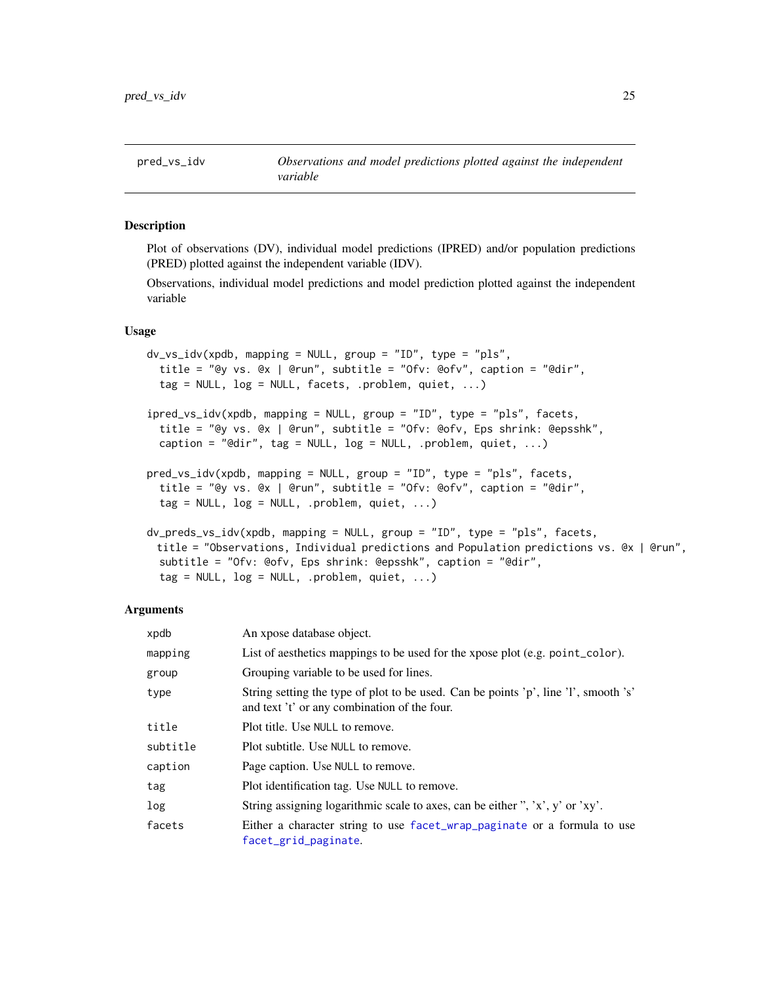<span id="page-24-0"></span>Plot of observations (DV), individual model predictions (IPRED) and/or population predictions (PRED) plotted against the independent variable (IDV).

Observations, individual model predictions and model prediction plotted against the independent variable

#### Usage

```
dv_vs_idv(xpdb, mapping = NULL, group = "ID", type = "pls",
 title = "@y vs. @x | @run", subtitle = "Ofv: @ofv", caption = "@dir",
 tag = NULL, log = NULL, facets, .problem, quiet, ...)
ipred_vs_idv(xpdb, mapping = NULL, group = "ID", type = "pls", facets,
  title = "@y vs. @x | @run", subtitle = "Ofv: @ofv, Eps shrink: @epsshk",
  caption = "@dir", tag = NULL, log = NULL, .problem, quiet, ...)
pred_vs_idv(xpdb, mapping = NULL, group = "ID", type = "pls", facets,
  title = "@y vs. @x | @run", subtitle = "Ofv: @ofv", caption = "@dir",
 tag = NULL, log = NULL, .problem, quiet, ...)dv_preds_vs_idv(xpdb, mapping = NULL, group = "ID", type = "pls", facets,
 title = "Observations, Individual predictions and Population predictions vs. @x | @run",
  subtitle = "Ofv: @ofv, Eps shrink: @epsshk", caption = "@dir",
  tag = NULL, log = NULL, .problem, quiet, ...)
```
#### Arguments

| xpdb     | An xpose database object.                                                                                                           |
|----------|-------------------------------------------------------------------------------------------------------------------------------------|
| mapping  | List of aesthetics mappings to be used for the xpose plot (e.g. point_color).                                                       |
| group    | Grouping variable to be used for lines.                                                                                             |
| type     | String setting the type of plot to be used. Can be points 'p', line 'l', smooth 's'<br>and text 't' or any combination of the four. |
| title    | Plot title. Use NULL to remove.                                                                                                     |
| subtitle | Plot subtitle. Use NULL to remove.                                                                                                  |
| caption  | Page caption. Use NULL to remove.                                                                                                   |
| tag      | Plot identification tag. Use NULL to remove.                                                                                        |
| log      | String assigning logarithmic scale to axes, can be either ", 'x', y' or 'xy'.                                                       |
| facets   | Either a character string to use facet_wrap_paginate or a formula to use<br>facet_grid_paginate.                                    |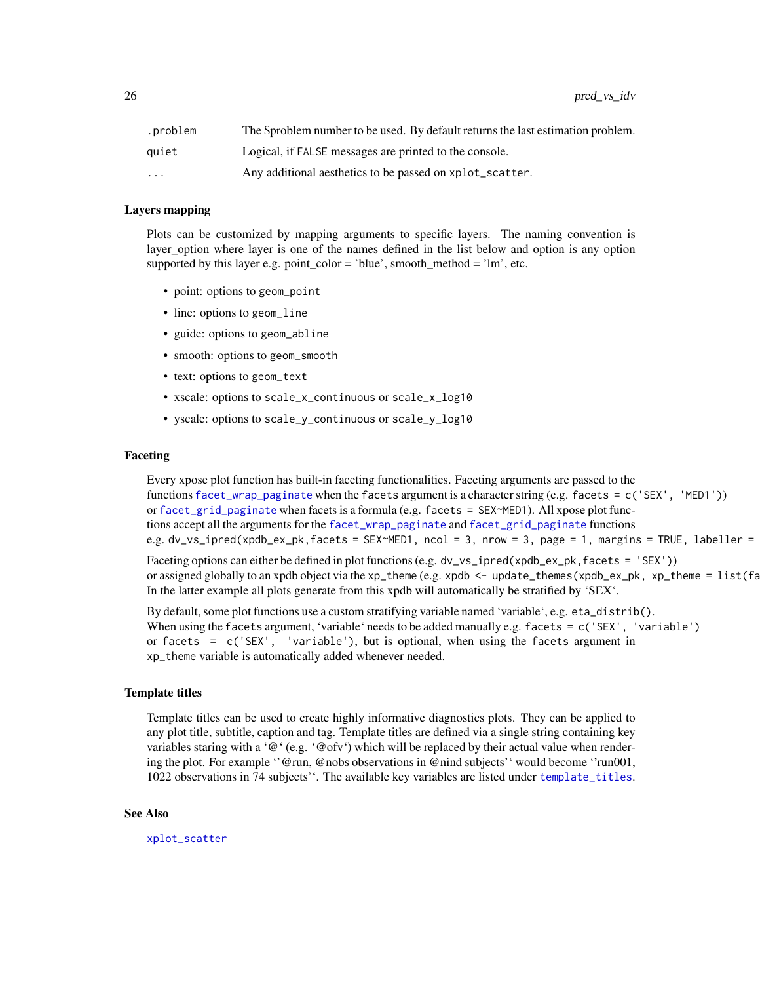<span id="page-25-0"></span>

| .problem                | The \$problem number to be used. By default returns the last estimation problem. |
|-------------------------|----------------------------------------------------------------------------------|
| auiet                   | Logical, if FALSE messages are printed to the console.                           |
| $\cdot$ $\cdot$ $\cdot$ | Any additional aesthetics to be passed on xplot_scatter.                         |

#### Layers mapping

Plots can be customized by mapping arguments to specific layers. The naming convention is layer\_option where layer is one of the names defined in the list below and option is any option supported by this layer e.g. point\_color = 'blue', smooth\_method = 'lm', etc.

- point: options to geom\_point
- line: options to geom\_line
- guide: options to geom\_abline
- smooth: options to geom\_smooth
- text: options to geom\_text
- xscale: options to scale\_x\_continuous or scale\_x\_log10
- yscale: options to scale\_y\_continuous or scale\_y\_log10

#### Faceting

Every xpose plot function has built-in faceting functionalities. Faceting arguments are passed to the functions [facet\\_wrap\\_paginate](#page-0-0) when the facets argument is a character string (e.g. facets = c('SEX', 'MED1')) or [facet\\_grid\\_paginate](#page-0-0) when facets is a formula (e.g. facets = SEX~MED1). All xpose plot functions accept all the arguments for the [facet\\_wrap\\_paginate](#page-0-0) and [facet\\_grid\\_paginate](#page-0-0) functions e.g. dv\_vs\_ipred(xpdb\_ex\_pk,facets = SEX~MED1, ncol = 3, nrow = 3, page = 1, margins = TRUE, labeller =

Faceting options can either be defined in plot functions (e.g. dv\_vs\_ipred(xpdb\_ex\_pk, facets = 'SEX')) or assigned globally to an xpdb object via the xp\_theme (e.g. xpdb  $\leq$  - update\_themes(xpdb\_ex\_pk, xp\_theme =  $list(fa)$ In the latter example all plots generate from this xpdb will automatically be stratified by 'SEX'.

By default, some plot functions use a custom stratifying variable named 'variable', e.g. eta\_distrib(). When using the facets argument, 'variable' needs to be added manually e.g. facets = c('SEX', 'variable') or facets = c('SEX', 'variable'), but is optional, when using the facets argument in xp\_theme variable is automatically added whenever needed.

#### Template titles

Template titles can be used to create highly informative diagnostics plots. They can be applied to any plot title, subtitle, caption and tag. Template titles are defined via a single string containing key variables staring with a ' $@$ ' (e.g. ' $@$  ofv') which will be replaced by their actual value when rendering the plot. For example ''@run, @nobs observations in @nind subjects'' would become ''run001, 1022 observations in 74 subjects''. The available key variables are listed under [template\\_titles](#page-42-1).

#### See Also

[xplot\\_scatter](#page-53-1)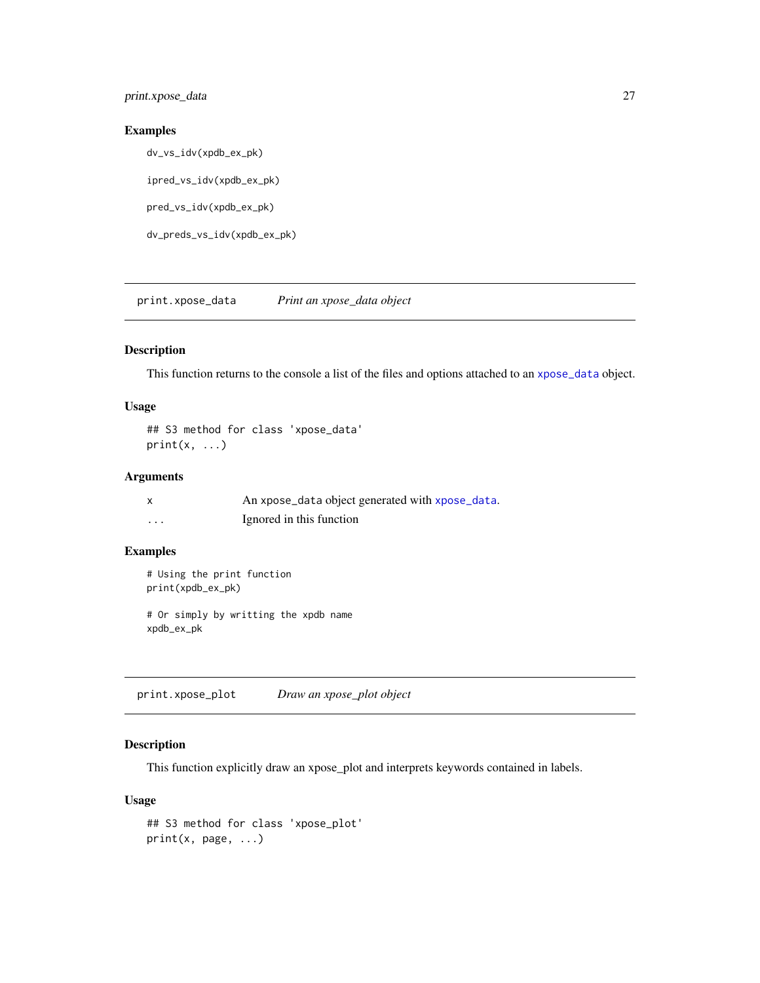### <span id="page-26-0"></span>print.xpose\_data 27

### Examples

dv\_vs\_idv(xpdb\_ex\_pk)

ipred\_vs\_idv(xpdb\_ex\_pk)

pred\_vs\_idv(xpdb\_ex\_pk)

dv\_preds\_vs\_idv(xpdb\_ex\_pk)

print.xpose\_data *Print an xpose\_data object*

### Description

This function returns to the console a list of the files and options attached to an [xpose\\_data](#page-55-1) object.

#### Usage

## S3 method for class 'xpose\_data'  $print(x, \ldots)$ 

### Arguments

|          | An xpose_data object generated with xpose_data. |
|----------|-------------------------------------------------|
| $\cdots$ | Ignored in this function                        |

### Examples

```
# Using the print function
print(xpdb_ex_pk)
```
# Or simply by writting the xpdb name xpdb\_ex\_pk

print.xpose\_plot *Draw an xpose\_plot object*

### Description

This function explicitly draw an xpose\_plot and interprets keywords contained in labels.

### Usage

```
## S3 method for class 'xpose_plot'
print(x, page, ...)
```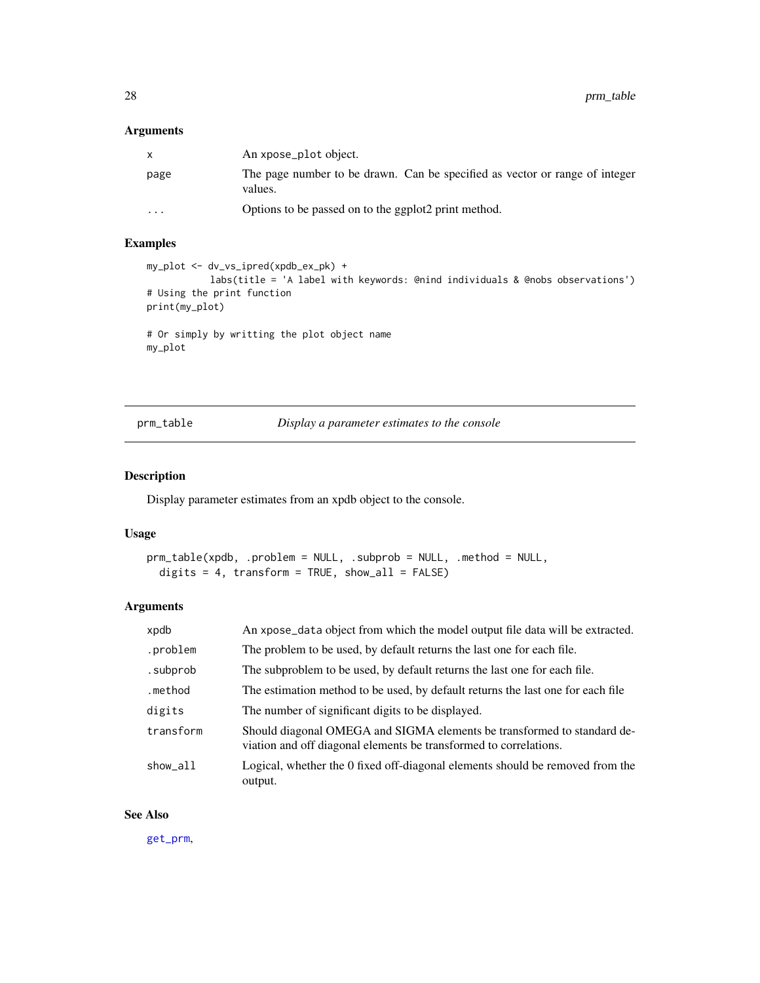### <span id="page-27-0"></span>Arguments

| $\mathsf{x}$ | An xpose_plot object.                                                                  |
|--------------|----------------------------------------------------------------------------------------|
| page         | The page number to be drawn. Can be specified as vector or range of integer<br>values. |
| $\cdots$     | Options to be passed on to the ggplot2 print method.                                   |

### Examples

```
my_plot <- dv_vs_ipred(xpdb_ex_pk) +
           labs(title = 'A label with keywords: @nind individuals & @nobs observations')
# Using the print function
print(my_plot)
# Or simply by writting the plot object name
```
my\_plot

prm\_table *Display a parameter estimates to the console*

### Description

Display parameter estimates from an xpdb object to the console.

#### Usage

```
prm_table(xpdb, .problem = NULL, .subprob = NULL, .method = NULL,
 digits = 4, transform = TRUE, show_all = FALSE)
```
### Arguments

| xpdb      | An xpose_data object from which the model output file data will be extracted.                                                                |
|-----------|----------------------------------------------------------------------------------------------------------------------------------------------|
| .problem  | The problem to be used, by default returns the last one for each file.                                                                       |
| .subprob  | The subproblem to be used, by default returns the last one for each file.                                                                    |
| .method   | The estimation method to be used, by default returns the last one for each file                                                              |
| digits    | The number of significant digits to be displayed.                                                                                            |
| transform | Should diagonal OMEGA and SIGMA elements be transformed to standard de-<br>viation and off diagonal elements be transformed to correlations. |
| show_all  | Logical, whether the 0 fixed off-diagonal elements should be removed from the<br>output.                                                     |

### See Also

[get\\_prm](#page-12-1),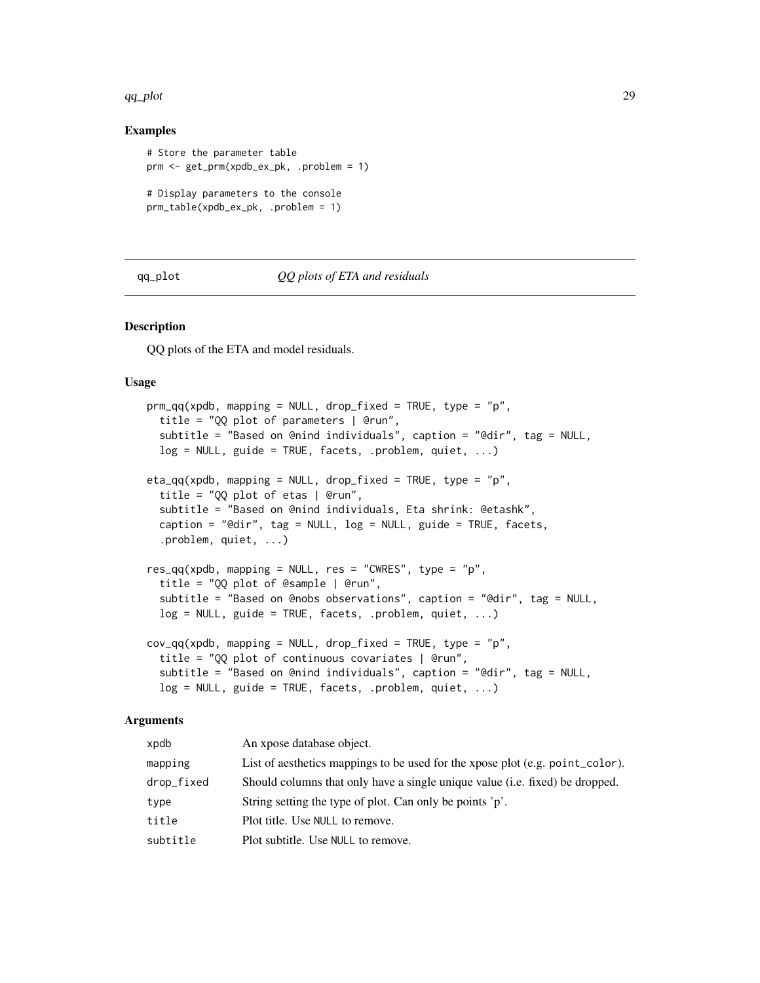#### <span id="page-28-0"></span>qq\_plot 29

### Examples

```
# Store the parameter table
prm <- get_prm(xpdb_ex_pk, .problem = 1)
# Display parameters to the console
prm_table(xpdb_ex_pk, .problem = 1)
```
#### qq\_plot *QQ plots of ETA and residuals*

#### Description

QQ plots of the ETA and model residuals.

#### Usage

```
prm_qq(xpdb, mapping = NULL, drop_fixed = TRUE, type = "p",title = "QQ plot of parameters | @run",
  subtitle = "Based on @nind individuals", caption = "@dir", tag = NULL,
  log = NULL, guide = TRUE, facets, .problem, quiet, ...)
eta_qq(xpdb, mapping = NULL, drop_fixed = TRUE, type = "p",
  title = "QQ plot of etas | @run",
  subtitle = "Based on @nind individuals, Eta shrink: @etashk",
  caption = "@dir", tag = NULL, log = NULL, guide = TRUE, facets,
  .problem, quiet, ...)
res_qq(xpdb, mapping = NULL, res = "CWRES", type = "p",title = "QQ plot of @sample | @run",
  subtitle = "Based on @nobs observations", caption = "@dir", tag = NULL,
  log = NULL, guide = TRUE, facets, .problem, quiet, ...)
cov_qq(xpdb, mapping = NULL, drop_fixed = TRUE, type = "p",title = "QQ plot of continuous covariates | @run",
  subtitle = "Based on @nind individuals", caption = "@dir", tag = NULL,
  log = NULL, guide = TRUE, facets, .problem, quiet, ...)
```
#### Arguments

| xpdb       | An xpose database object.                                                     |
|------------|-------------------------------------------------------------------------------|
| mapping    | List of aesthetics mappings to be used for the xpose plot (e.g. point_color). |
| drop_fixed | Should columns that only have a single unique value (i.e. fixed) be dropped.  |
| type       | String setting the type of plot. Can only be points 'p'.                      |
| title      | Plot title. Use NULL to remove.                                               |
| subtitle   | Plot subtitle. Use NULL to remove.                                            |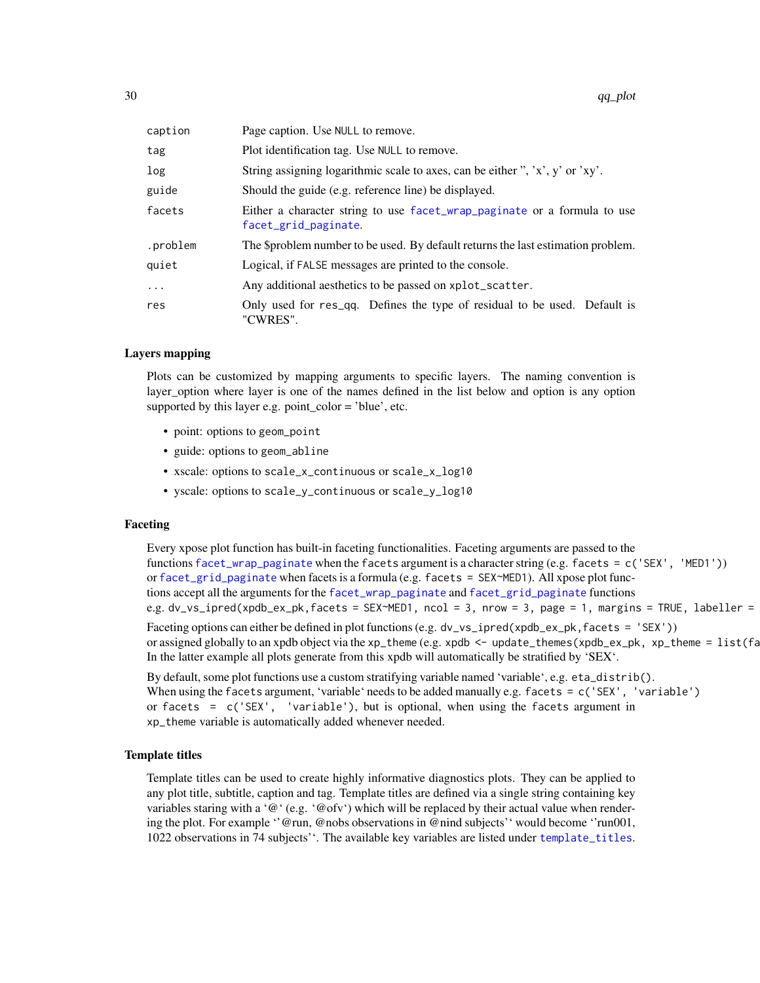<span id="page-29-0"></span>

| caption  | Page caption. Use NULL to remove.                                                                |
|----------|--------------------------------------------------------------------------------------------------|
| tag      | Plot identification tag. Use NULL to remove.                                                     |
| log      | String assigning logarithmic scale to axes, can be either ", 'x', y' or 'xy'.                    |
| guide    | Should the guide (e.g. reference line) be displayed.                                             |
| facets   | Either a character string to use facet_wrap_paginate or a formula to use<br>facet_grid_paginate. |
| .problem | The \$problem number to be used. By default returns the last estimation problem.                 |
| quiet    | Logical, if FALSE messages are printed to the console.                                           |
| $\cdots$ | Any additional aesthetics to be passed on xplot_scatter.                                         |
| res      | Only used for res_qq. Defines the type of residual to be used. Default is<br>"CWRES".            |

#### Layers mapping

Plots can be customized by mapping arguments to specific layers. The naming convention is layer\_option where layer is one of the names defined in the list below and option is any option supported by this layer e.g. point\_color = 'blue', etc.

- point: options to geom\_point
- guide: options to geom\_abline
- xscale: options to scale\_x\_continuous or scale\_x\_log10
- yscale: options to scale\_y\_continuous or scale\_y\_log10

#### Faceting

Every xpose plot function has built-in faceting functionalities. Faceting arguments are passed to the functions [facet\\_wrap\\_paginate](#page-0-0) when the facets argument is a character string (e.g. facets = c('SEX', 'MED1')) or [facet\\_grid\\_paginate](#page-0-0) when facets is a formula (e.g. facets = SEX~MED1). All xpose plot functions accept all the arguments for the [facet\\_wrap\\_paginate](#page-0-0) and [facet\\_grid\\_paginate](#page-0-0) functions e.g. dv\_vs\_ipred(xpdb\_ex\_pk,facets = SEX~MED1, ncol = 3, nrow = 3, page = 1, margins = TRUE, labeller = Faceting options can either be defined in plot functions (e.g. dv\_vs\_ipred(xpdb\_ex\_pk,facets = 'SEX')) or assigned globally to an xpdb object via the xp\_theme (e.g. xpdb  $\leq$  - update\_themes(xpdb\_ex\_pk, xp\_theme =  $list(fa)$ In the latter example all plots generate from this xpdb will automatically be stratified by 'SEX'.

By default, some plot functions use a custom stratifying variable named 'variable', e.g. eta\_distrib(). When using the facets argument, 'variable' needs to be added manually e.g. facets = c('SEX', 'variable') or facets = c('SEX', 'variable'), but is optional, when using the facets argument in xp\_theme variable is automatically added whenever needed.

#### Template titles

Template titles can be used to create highly informative diagnostics plots. They can be applied to any plot title, subtitle, caption and tag. Template titles are defined via a single string containing key variables staring with a ' $@$ ' (e.g. ' $@$ ofv') which will be replaced by their actual value when rendering the plot. For example ''@run, @nobs observations in @nind subjects'' would become ''run001, 1022 observations in 74 subjects''. The available key variables are listed under [template\\_titles](#page-42-1).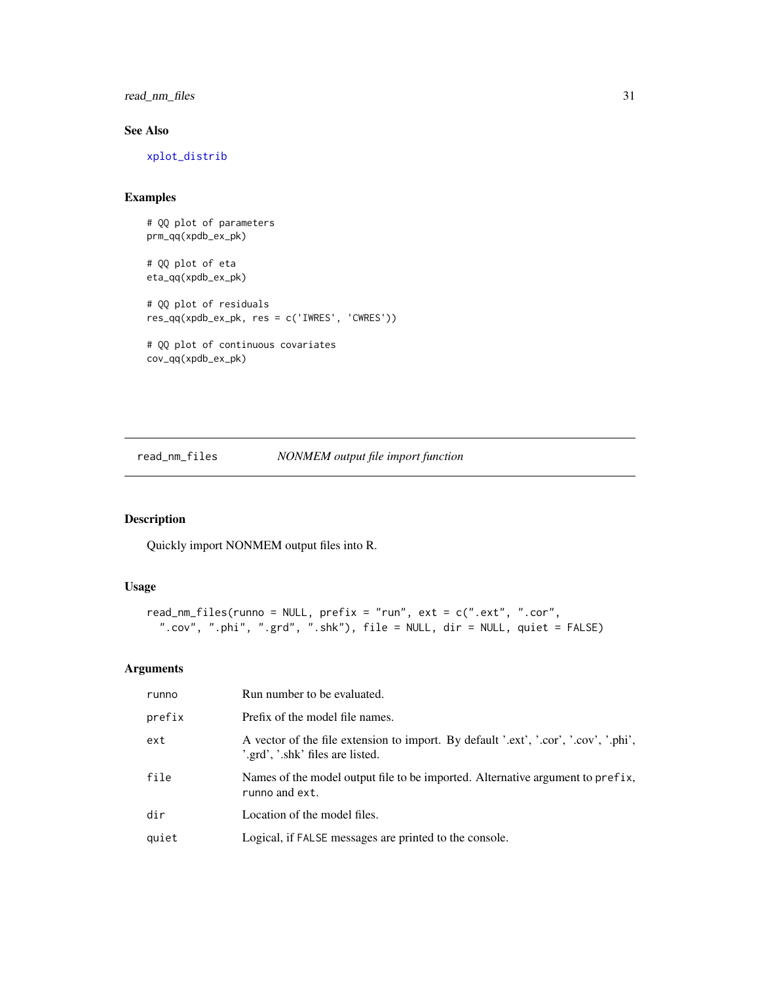<span id="page-30-0"></span>read\_nm\_files 31

### See Also

[xplot\\_distrib](#page-50-1)

### Examples

```
# QQ plot of parameters
prm_qq(xpdb_ex_pk)
# QQ plot of eta
eta_qq(xpdb_ex_pk)
# QQ plot of residuals
res_qq(xpdb_ex_pk, res = c('IWRES', 'CWRES'))
# QQ plot of continuous covariates
cov_qq(xpdb_ex_pk)
```
<span id="page-30-1"></span>read\_nm\_files *NONMEM output file import function*

### Description

Quickly import NONMEM output files into R.

### Usage

```
read_nm_files(runno = NULL, prefix = "run", ext = c(".ext", ".cor",
  ".cov", ".phi", ".grd", ".shk"), file = NULL, dir = NULL, quiet = FALSE)
```
### Arguments

| runno  | Run number to be evaluated.                                                                                              |
|--------|--------------------------------------------------------------------------------------------------------------------------|
| prefix | Prefix of the model file names.                                                                                          |
| ext    | A vector of the file extension to import. By default '.ext', '.cor', '.cov', '.phi',<br>'.grd', '.shk' files are listed. |
| file   | Names of the model output file to be imported. Alternative argument to prefix,<br>runno and ext.                         |
| dir    | Location of the model files.                                                                                             |
| quiet  | Logical, if FALSE messages are printed to the console.                                                                   |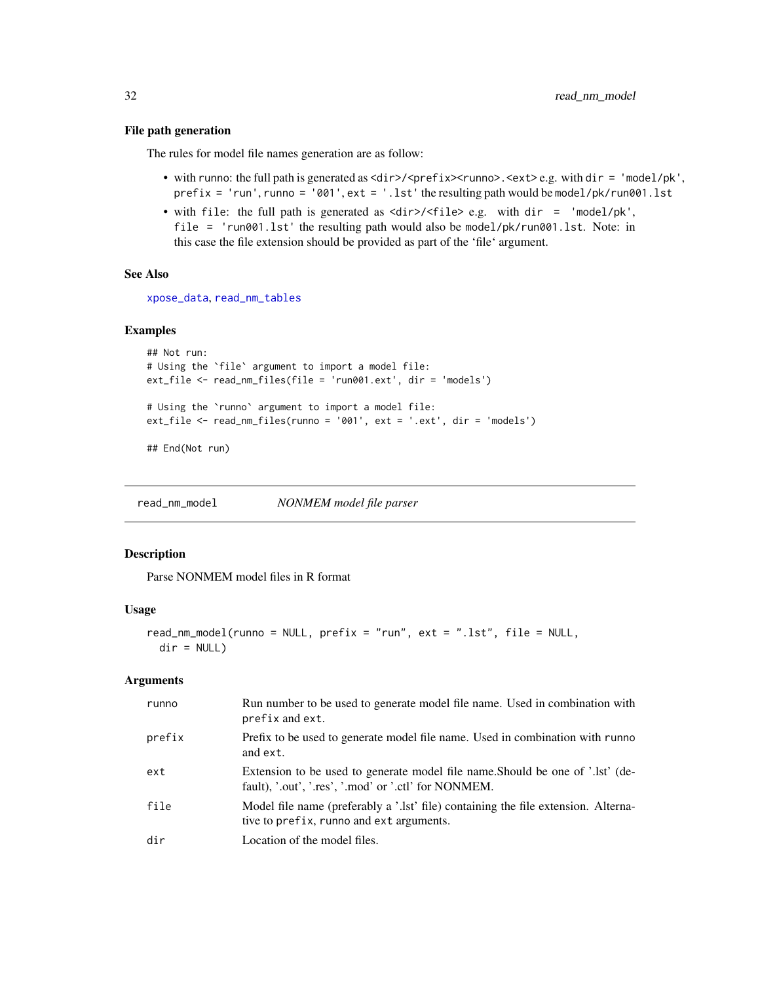#### File path generation

The rules for model file names generation are as follow:

- with runno: the full path is generated as <dir>/<prefix><runno>.<ext>e.g. with dir = 'model/pk',  $prefix = 'run', runno = '001', ext = '.lst'$  the resulting path would be model/pk/run001.lst
- with file: the full path is generated as <dir>/<file> e.g. with dir = 'model/pk', file = 'run001.lst' the resulting path would also be model/pk/run001.lst. Note: in this case the file extension should be provided as part of the 'file' argument.

### See Also

[xpose\\_data](#page-55-1), [read\\_nm\\_tables](#page-33-1)

#### Examples

```
## Not run:
# Using the `file` argument to import a model file:
ext_file <- read_nm_files(file = 'run001.ext', dir = 'models')
# Using the `runno` argument to import a model file:
ext_file <- read_nm_files(runno = '001', ext = '.ext', dir = 'models')
```
## End(Not run)

<span id="page-31-1"></span>read\_nm\_model *NONMEM model file parser*

#### Description

Parse NONMEM model files in R format

#### Usage

```
read_nm_model(runno = NULL, prefix = "run", ext = ".lst", file = NULL,
  dir = NULL)
```
### Arguments

| runno  | Run number to be used to generate model file name. Used in combination with<br>prefix and ext.                                         |
|--------|----------------------------------------------------------------------------------------------------------------------------------------|
| prefix | Prefix to be used to generate model file name. Used in combination with runno<br>and ext.                                              |
| ext    | Extension to be used to generate model file name. Should be one of '.lst' (de-<br>fault), '.out', '.res', '.mod' or '.ctl' for NONMEM. |
| file   | Model file name (preferably a '.lst' file) containing the file extension. Alterna-<br>tive to prefix, runno and ext arguments.         |
| dir    | Location of the model files.                                                                                                           |

<span id="page-31-0"></span>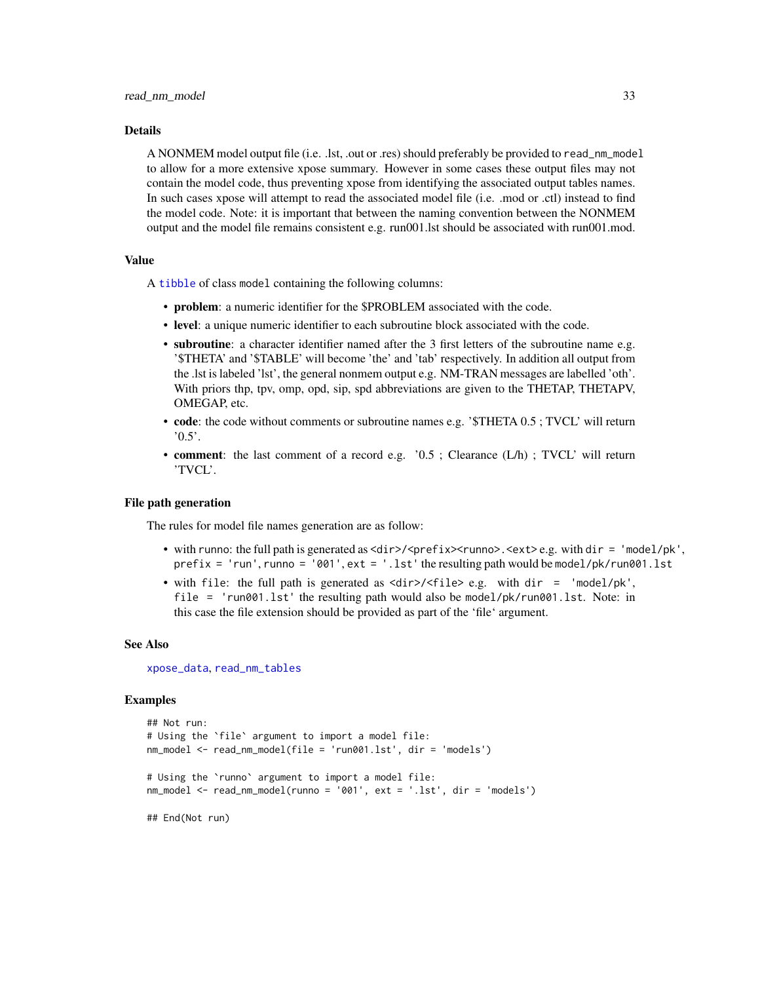#### <span id="page-32-0"></span>Details

A NONMEM model output file (i.e. .lst, .out or .res) should preferably be provided to read\_nm\_model to allow for a more extensive xpose summary. However in some cases these output files may not contain the model code, thus preventing xpose from identifying the associated output tables names. In such cases xpose will attempt to read the associated model file (i.e. .mod or .ctl) instead to find the model code. Note: it is important that between the naming convention between the NONMEM output and the model file remains consistent e.g. run001.lst should be associated with run001.mod.

#### Value

A [tibble](#page-0-0) of class model containing the following columns:

- problem: a numeric identifier for the \$PROBLEM associated with the code.
- level: a unique numeric identifier to each subroutine block associated with the code.
- subroutine: a character identifier named after the 3 first letters of the subroutine name e.g. '\$THETA' and '\$TABLE' will become 'the' and 'tab' respectively. In addition all output from the .lst is labeled 'lst', the general nonmem output e.g. NM-TRAN messages are labelled 'oth'. With priors thp, tpv, omp, opd, sip, spd abbreviations are given to the THETAP, THETAPV, OMEGAP, etc.
- code: the code without comments or subroutine names e.g. '\$THETA 0.5; TVCL' will return  $'0.5'.$
- **comment**: the last comment of a record e.g. '0.5; Clearance (L/h); TVCL' will return 'TVCL'.

#### File path generation

The rules for model file names generation are as follow:

- with runno: the full path is generated as  $\langle \text{dir}\rangle / \langle \text{prefix}\rangle$   $\langle \text{runno}\rangle$ .  $\langle \text{ext}\rangle$  e.g. with dir = 'model/pk',  $prefix = 'run', runno = '001', ext = '.lst'$  the resulting path would be model/pk/run001.lst
- with file: the full path is generated as <dir>/<file> e.g. with dir = 'model/pk', file = 'run001.lst' the resulting path would also be model/pk/run001.lst. Note: in this case the file extension should be provided as part of the 'file' argument.

#### See Also

[xpose\\_data](#page-55-1), [read\\_nm\\_tables](#page-33-1)

```
## Not run:
# Using the `file` argument to import a model file:
nm_model <- read_nm_model(file = 'run001.lst', dir = 'models')
# Using the `runno` argument to import a model file:
nm_model <- read_nm_model(runno = '001', ext = '.lst', dir = 'models')
## End(Not run)
```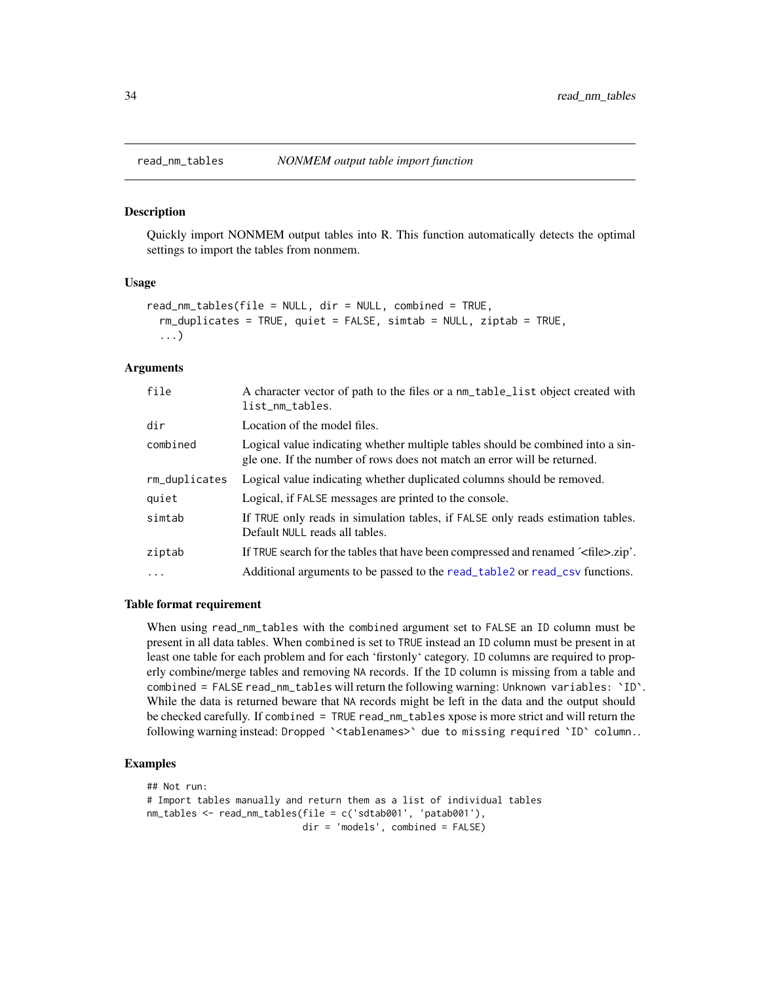<span id="page-33-1"></span><span id="page-33-0"></span>

Quickly import NONMEM output tables into R. This function automatically detects the optimal settings to import the tables from nonmem.

#### Usage

```
read_nm_tables(file = NULL, dir = NULL, combined = TRUE,
 rm_duplicates = TRUE, quiet = FALSE, simtab = NULL, ziptab = TRUE,
 ...)
```
#### Arguments

| file          | A character vector of path to the files or a nm_table_list object created with<br>list_nm_tables.                                                           |
|---------------|-------------------------------------------------------------------------------------------------------------------------------------------------------------|
| dir           | Location of the model files.                                                                                                                                |
| combined      | Logical value indicating whether multiple tables should be combined into a sin-<br>gle one. If the number of rows does not match an error will be returned. |
| rm_duplicates | Logical value indicating whether duplicated columns should be removed.                                                                                      |
| quiet         | Logical, if FALSE messages are printed to the console.                                                                                                      |
| simtab        | If TRUE only reads in simulation tables, if FALSE only reads estimation tables.<br>Default NULL reads all tables.                                           |
| ziptab        | If TRUE search for the tables that have been compressed and renamed $\leq$ file $>$ .zip'.                                                                  |
| $\cdots$      | Additional arguments to be passed to the read_table2 or read_csv functions.                                                                                 |
|               |                                                                                                                                                             |

#### Table format requirement

When using read\_nm\_tables with the combined argument set to FALSE an ID column must be present in all data tables. When combined is set to TRUE instead an ID column must be present in at least one table for each problem and for each 'firstonly' category. ID columns are required to properly combine/merge tables and removing NA records. If the ID column is missing from a table and combined = FALSE read\_nm\_tables will return the following warning: Unknown variables: `ID`. While the data is returned beware that NA records might be left in the data and the output should be checked carefully. If combined = TRUE read\_nm\_tables xpose is more strict and will return the following warning instead: Dropped `<tablenames>` due to missing required `ID` column..

```
## Not run:
# Import tables manually and return them as a list of individual tables
nm_tables <- read_nm_tables(file = c('sdtab001', 'patab001'),
                            dir = 'models', combined = FALSE)
```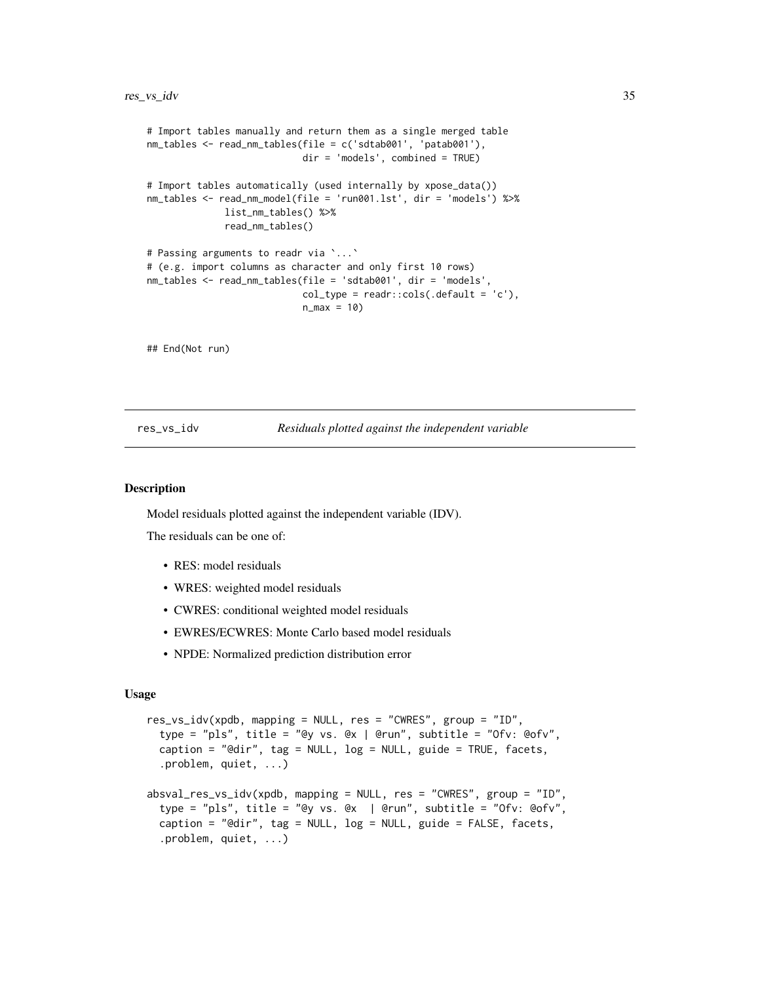```
# Import tables manually and return them as a single merged table
nm_tables <- read_nm_tables(file = c('sdtab001', 'patab001'),
                            dir = 'models', combined = TRUE)
# Import tables automatically (used internally by xpose_data())
nm_tables <- read_nm_model(file = 'run001.lst', dir = 'models') %>%
             list_nm_tables() %>%
             read_nm_tables()
# Passing arguments to readr via `...`
# (e.g. import columns as character and only first 10 rows)
nm_tables <- read_nm_tables(file = 'sdtab001', dir = 'models',
                            col_type = readr::cols(.default = 'c'),n_{max} = 10
```
## End(Not run)

res\_vs\_idv *Residuals plotted against the independent variable*

#### **Description**

Model residuals plotted against the independent variable (IDV).

The residuals can be one of:

- RES: model residuals
- WRES: weighted model residuals
- CWRES: conditional weighted model residuals
- EWRES/ECWRES: Monte Carlo based model residuals
- NPDE: Normalized prediction distribution error

#### Usage

```
res_vs_idv(xpdb, mapping = NULL, res = "CWRES", group = "ID",
 type = "pls", title = "@y vs. @x | @run", subtitle = "Ofv: @ofv",
 caption = "@dir", tag = NULL, log = NULL, guide = TRUE, facets,
 .problem, quiet, ...)
absval_res_vs_idv(xpdb, mapping = NULL, res = "CWRES", group = "ID",
 type = "pls", title = "@y vs. @x | @run", subtitle = "Ofv: @ofv",
 caption = "@dir", tag = NULL, log = NULL, guide = FALSE, facets,
 .problem, quiet, ...)
```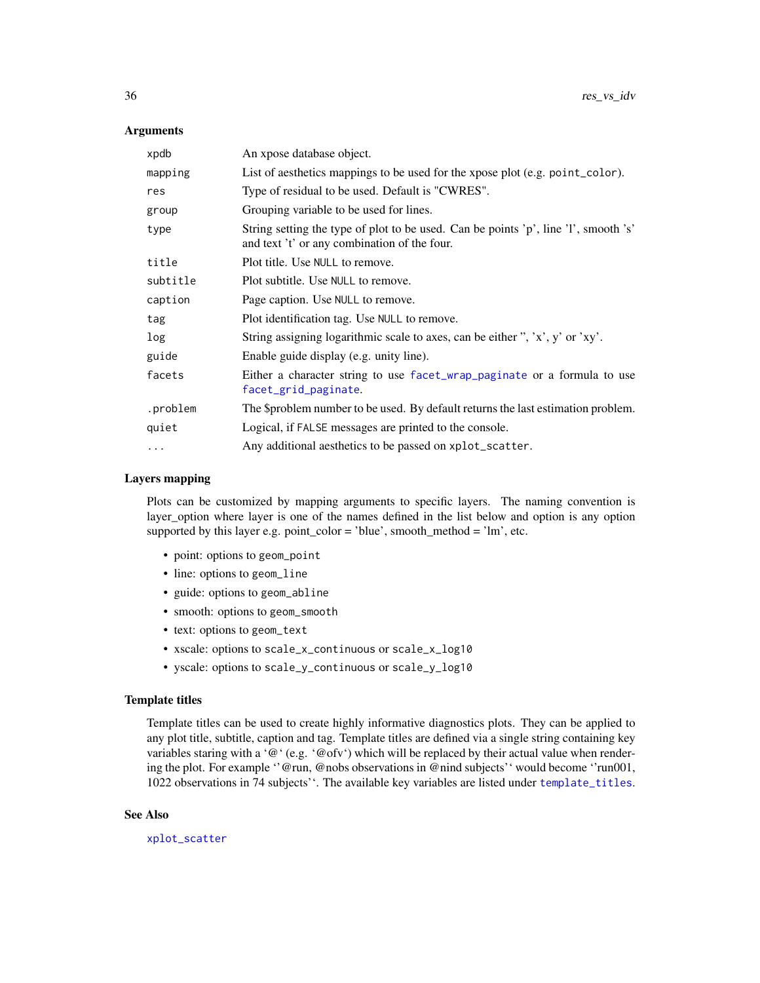#### **Arguments**

| xpdb     | An xpose database object.                                                                                                           |
|----------|-------------------------------------------------------------------------------------------------------------------------------------|
| mapping  | List of aesthetics mappings to be used for the xpose plot (e.g. point_color).                                                       |
| res      | Type of residual to be used. Default is "CWRES".                                                                                    |
| group    | Grouping variable to be used for lines.                                                                                             |
| type     | String setting the type of plot to be used. Can be points 'p', line 'l', smooth 's'<br>and text 't' or any combination of the four. |
| title    | Plot title. Use NULL to remove.                                                                                                     |
| subtitle | Plot subtitle. Use NULL to remove.                                                                                                  |
| caption  | Page caption. Use NULL to remove.                                                                                                   |
| tag      | Plot identification tag. Use NULL to remove.                                                                                        |
| log      | String assigning logarithmic scale to axes, can be either ", 'x', y' or 'xy'.                                                       |
| guide    | Enable guide display (e.g. unity line).                                                                                             |
| facets   | Either a character string to use facet_wrap_paginate or a formula to use<br>facet_grid_paginate.                                    |
| .problem | The \$problem number to be used. By default returns the last estimation problem.                                                    |
| quiet    | Logical, if FALSE messages are printed to the console.                                                                              |
| $\cdots$ | Any additional aesthetics to be passed on xplot_scatter.                                                                            |

#### Layers mapping

Plots can be customized by mapping arguments to specific layers. The naming convention is layer\_option where layer is one of the names defined in the list below and option is any option supported by this layer e.g. point\_color = 'blue', smooth\_method = 'lm', etc.

- point: options to geom\_point
- line: options to geom\_line
- guide: options to geom\_abline
- smooth: options to geom\_smooth
- text: options to geom\_text
- xscale: options to scale\_x\_continuous or scale\_x\_log10
- yscale: options to scale\_y\_continuous or scale\_y\_log10

#### Template titles

Template titles can be used to create highly informative diagnostics plots. They can be applied to any plot title, subtitle, caption and tag. Template titles are defined via a single string containing key variables staring with a ' $@'$  (e.g. ' $@$  ofv') which will be replaced by their actual value when rendering the plot. For example ''@run, @nobs observations in @nind subjects'' would become ''run001, 1022 observations in 74 subjects''. The available key variables are listed under [template\\_titles](#page-42-1).

#### See Also

[xplot\\_scatter](#page-53-1)

<span id="page-35-0"></span>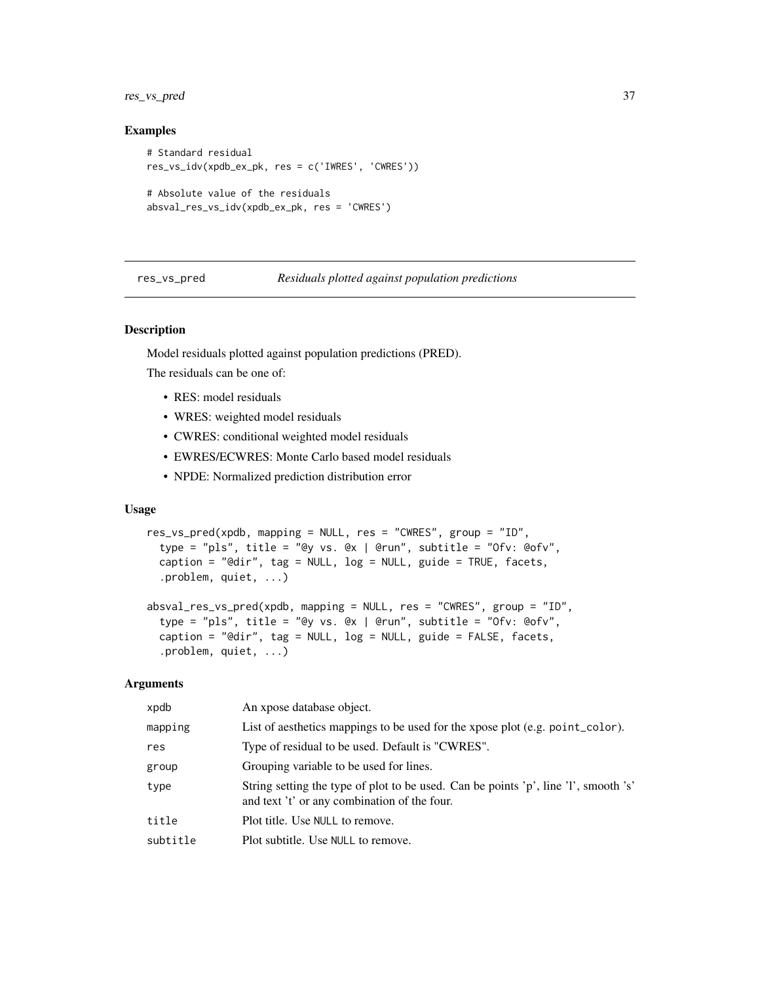<span id="page-36-0"></span>res\_vs\_pred 37

#### Examples

```
# Standard residual
res_vs_idv(xpdb_ex_pk, res = c('IWRES', 'CWRES'))
# Absolute value of the residuals
absval_res_vs_idv(xpdb_ex_pk, res = 'CWRES')
```
#### res\_vs\_pred *Residuals plotted against population predictions*

#### Description

Model residuals plotted against population predictions (PRED).

The residuals can be one of:

- RES: model residuals
- WRES: weighted model residuals
- CWRES: conditional weighted model residuals
- EWRES/ECWRES: Monte Carlo based model residuals
- NPDE: Normalized prediction distribution error

### Usage

```
res_vs_pred(xpdb, mapping = NULL, res = "CWRES", group = "ID",
  type = "pls", title = "@y vs. @x | @run", subtitle = "Ofv: @ofv",
  caption = "@dir", tag = NULL, log = NULL, guide = TRUE, facets,
  .problem, quiet, ...)
absval_res_vs_pred(xpdb, mapping = NULL, res = "CWRES", group = "ID",
  type = "pls", title = "@y vs. @x | @run", subtitle = "Ofv: @ofv",
 caption = "@dir", tag = NULL, log = NULL, guide = FALSE, facets,
  .problem, quiet, ...)
```
#### Arguments

| xpdb     | An xpose database object.                                                                                                           |
|----------|-------------------------------------------------------------------------------------------------------------------------------------|
| mapping  | List of aesthetics mappings to be used for the xpose plot (e.g. point_color).                                                       |
| res      | Type of residual to be used. Default is "CWRES".                                                                                    |
| group    | Grouping variable to be used for lines.                                                                                             |
| type     | String setting the type of plot to be used. Can be points 'p', line 'l', smooth 's'<br>and text 't' or any combination of the four. |
| title    | Plot title. Use NULL to remove.                                                                                                     |
| subtitle | Plot subtitle. Use NULL to remove.                                                                                                  |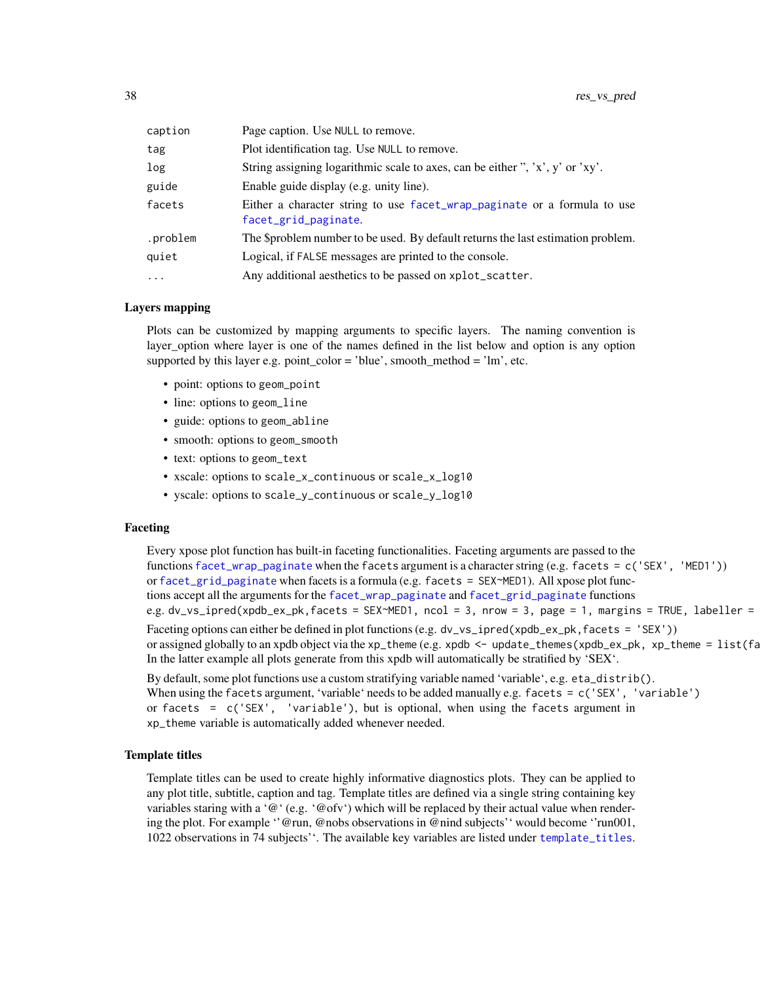<span id="page-37-0"></span>

| caption  | Page caption. Use NULL to remove.                                                                |
|----------|--------------------------------------------------------------------------------------------------|
| tag      | Plot identification tag. Use NULL to remove.                                                     |
| log      | String assigning logarithmic scale to axes, can be either ", 'x', y' or 'xy'.                    |
| guide    | Enable guide display (e.g. unity line).                                                          |
| facets   | Either a character string to use facet_wrap_paginate or a formula to use<br>facet_grid_paginate. |
| .problem | The \$problem number to be used. By default returns the last estimation problem.                 |
| quiet    | Logical, if FALSE messages are printed to the console.                                           |
| $\ddots$ | Any additional aesthetics to be passed on xplot_scatter.                                         |
|          |                                                                                                  |

#### Layers mapping

Plots can be customized by mapping arguments to specific layers. The naming convention is layer\_option where layer is one of the names defined in the list below and option is any option supported by this layer e.g. point\_color = 'blue', smooth\_method = 'lm', etc.

- point: options to geom\_point
- line: options to geom\_line
- guide: options to geom\_abline
- smooth: options to geom\_smooth
- text: options to geom\_text
- xscale: options to scale\_x\_continuous or scale\_x\_log10
- yscale: options to scale\_y\_continuous or scale\_y\_log10

#### Faceting

Every xpose plot function has built-in faceting functionalities. Faceting arguments are passed to the functions [facet\\_wrap\\_paginate](#page-0-0) when the facets argument is a character string (e.g. facets = c('SEX', 'MED1')) or [facet\\_grid\\_paginate](#page-0-0) when facets is a formula (e.g. facets = SEX~MED1). All xpose plot functions accept all the arguments for the [facet\\_wrap\\_paginate](#page-0-0) and [facet\\_grid\\_paginate](#page-0-0) functions e.g. dv\_vs\_ipred(xpdb\_ex\_pk,facets = SEX~MED1, ncol = 3, nrow = 3, page = 1, margins = TRUE, labeller = Faceting options can either be defined in plot functions (e.g. dv\_vs\_ipred(xpdb\_ex\_pk, facets = 'SEX')) or assigned globally to an xpdb object via the xp\_theme (e.g. xpdb  $\leq$  - update\_themes(xpdb\_ex\_pk, xp\_theme =  $list(fa)$ In the latter example all plots generate from this xpdb will automatically be stratified by 'SEX'.

By default, some plot functions use a custom stratifying variable named 'variable', e.g. eta\_distrib(). When using the facets argument, 'variable' needs to be added manually e.g. facets = c('SEX', 'variable') or facets = c('SEX', 'variable'), but is optional, when using the facets argument in xp\_theme variable is automatically added whenever needed.

#### Template titles

Template titles can be used to create highly informative diagnostics plots. They can be applied to any plot title, subtitle, caption and tag. Template titles are defined via a single string containing key variables staring with a ' $@$ ' (e.g. ' $@$ ofv') which will be replaced by their actual value when rendering the plot. For example ''@run, @nobs observations in @nind subjects'' would become ''run001, 1022 observations in 74 subjects''. The available key variables are listed under [template\\_titles](#page-42-1).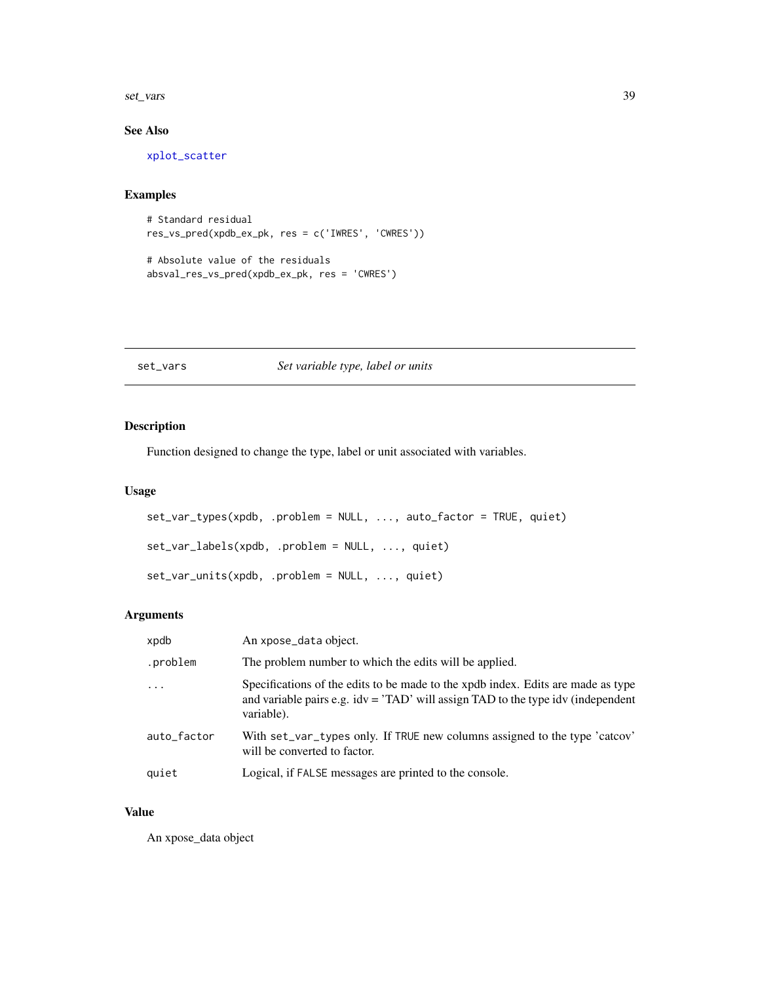<span id="page-38-0"></span>set\_vars 39

### See Also

[xplot\\_scatter](#page-53-1)

### Examples

```
# Standard residual
res_vs_pred(xpdb_ex_pk, res = c('IWRES', 'CWRES'))
```

```
# Absolute value of the residuals
absval_res_vs_pred(xpdb_ex_pk, res = 'CWRES')
```
#### set\_vars *Set variable type, label or units*

### <span id="page-38-1"></span>Description

Function designed to change the type, label or unit associated with variables.

### Usage

```
set_var_types(xpdb, .problem = NULL, ..., auto_factor = TRUE, quiet)
set_var_labels(xpdb, .problem = NULL, ..., quiet)
set_var_units(xpdb, .problem = NULL, ..., quiet)
```
### Arguments

| xpdb        | An xpose_data object.                                                                                                                                                                    |
|-------------|------------------------------------------------------------------------------------------------------------------------------------------------------------------------------------------|
| .problem    | The problem number to which the edits will be applied.                                                                                                                                   |
| $\ddots$    | Specifications of the edits to be made to the xpdb index. Edits are made as type<br>and variable pairs e.g. $idv = 'TAD'$ will assign $TAD$ to the type $idv$ (independent<br>variable). |
| auto_factor | With set_var_types only. If TRUE new columns assigned to the type 'catcov'<br>will be converted to factor.                                                                               |
| quiet       | Logical, if FALSE messages are printed to the console.                                                                                                                                   |

### Value

An xpose\_data object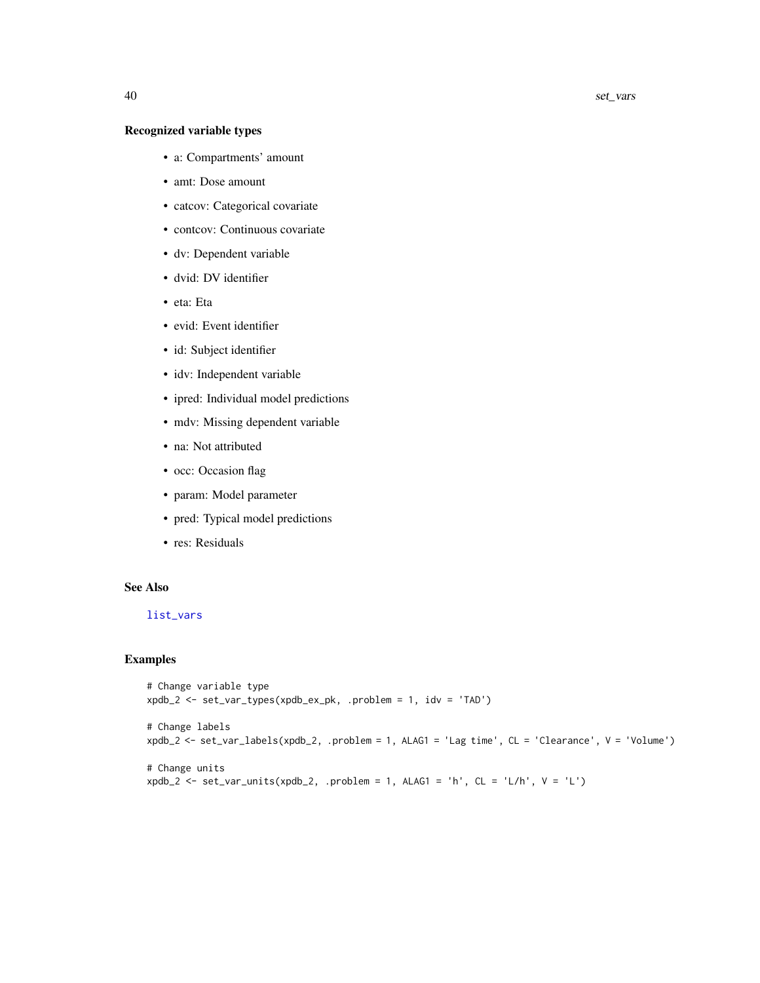### <span id="page-39-0"></span>Recognized variable types

- a: Compartments' amount
- amt: Dose amount
- catcov: Categorical covariate
- contcov: Continuous covariate
- dv: Dependent variable
- dvid: DV identifier
- eta: Eta
- evid: Event identifier
- id: Subject identifier
- idv: Independent variable
- ipred: Individual model predictions
- mdv: Missing dependent variable
- na: Not attributed
- occ: Occasion flag
- param: Model parameter
- pred: Typical model predictions
- res: Residuals

### See Also

#### [list\\_vars](#page-18-1)

```
# Change variable type
xpdb_2 <- set_var_types(xpdb_ex_pk, .problem = 1, idv = 'TAD')
# Change labels
xpdb_2 <- set_var_labels(xpdb_2, .problem = 1, ALAG1 = 'Lag time', CL = 'Clearance', V = 'Volume')
# Change units
xpdb_2 \leftarrow set\_var\_units(xpdb_2,.problem = 1, ALAG1 = 'h', CL = 'L/h', V = 'L')
```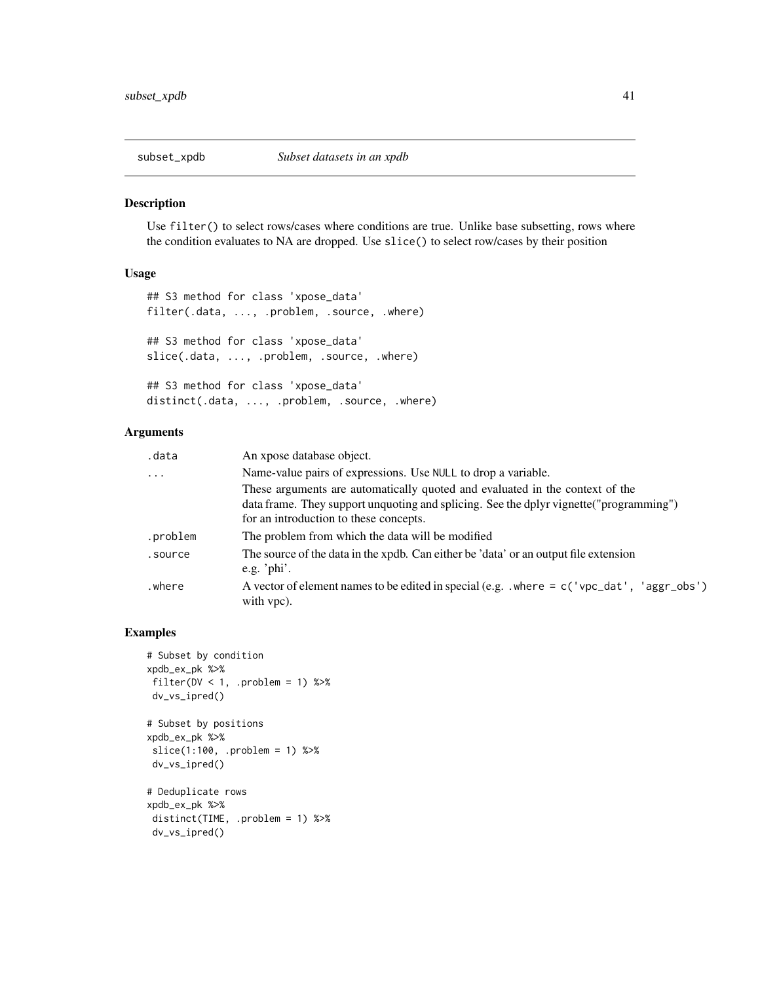<span id="page-40-0"></span>

Use filter() to select rows/cases where conditions are true. Unlike base subsetting, rows where the condition evaluates to NA are dropped. Use slice() to select row/cases by their position

## Usage

```
## S3 method for class 'xpose_data'
filter(.data, ..., .problem, .source, .where)
## S3 method for class 'xpose_data'
slice(.data, ..., .problem, .source, .where)
## S3 method for class 'xpose_data'
distinct(.data, ..., .problem, .source, .where)
```
### Arguments

| .data      | An xpose database object.                                                                                      |
|------------|----------------------------------------------------------------------------------------------------------------|
| $\ddots$ . | Name-value pairs of expressions. Use NULL to drop a variable.                                                  |
|            | These arguments are automatically quoted and evaluated in the context of the                                   |
|            | data frame. They support unquoting and splicing. See the dplyr vignette ("programming")                        |
|            | for an introduction to these concepts.                                                                         |
| .problem   | The problem from which the data will be modified                                                               |
| .source    | The source of the data in the xpdb. Can either be 'data' or an output file extension<br>e.g. ' $phi$ '.        |
| where.     | A vector of element names to be edited in special (e.g. $\cdot$ where = c('vpc_dat', 'aggr_obs')<br>with vpc). |

```
# Subset by condition
xpdb_ex_pk %>%
 filter(DV < 1, .problem = 1) %>%
 dv_vs_ipred()
# Subset by positions
xpdb_ex_pk %>%
 slice(1:100, .problem = 1) %>%
 dv_vs_ipred()
# Deduplicate rows
xpdb_ex_pk %>%
 distinct(TIME, .problem = 1) %>%
 dv_vs_ipred()
```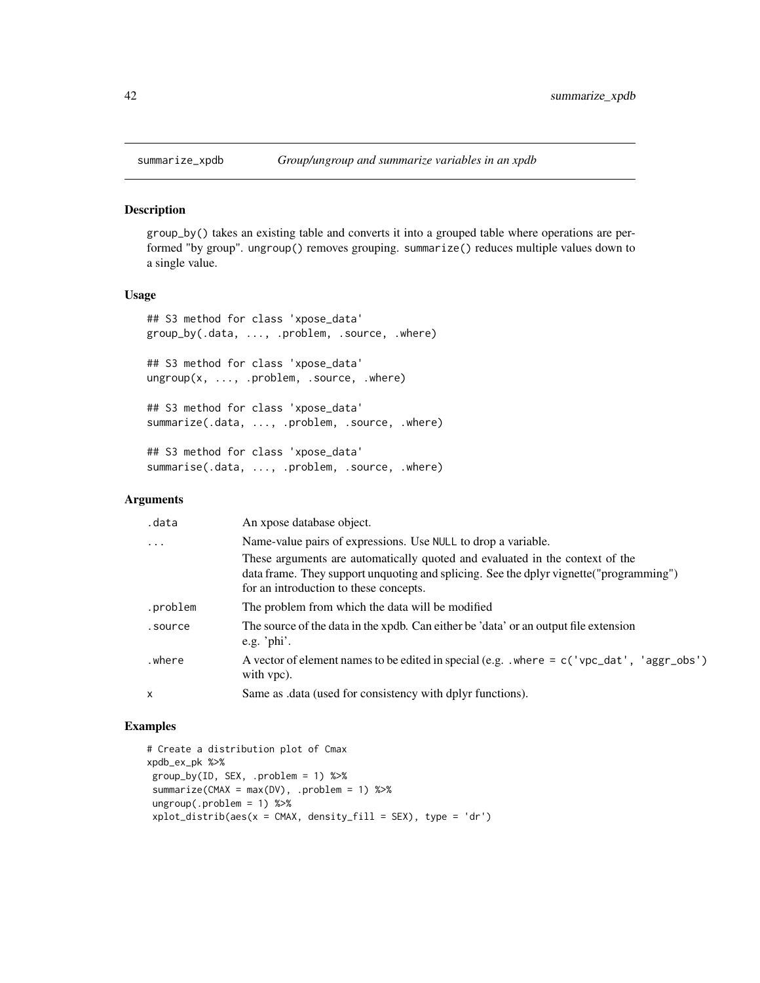<span id="page-41-0"></span>

group\_by() takes an existing table and converts it into a grouped table where operations are performed "by group". ungroup() removes grouping. summarize() reduces multiple values down to a single value.

#### Usage

```
## S3 method for class 'xpose_data'
group_by(.data, ..., .problem, .source, .where)
## S3 method for class 'xpose_data'
ungroup(x, ..., .problem, .source, .where)
## S3 method for class 'xpose_data'
summarize(.data, ..., .problem, .source, .where)
## S3 method for class 'xpose_data'
summarise(.data, ..., .problem, .source, .where)
```
#### Arguments

| .data    | An xpose database object.                                                                                                                                                                                         |
|----------|-------------------------------------------------------------------------------------------------------------------------------------------------------------------------------------------------------------------|
| $\cdots$ | Name-value pairs of expressions. Use NULL to drop a variable.                                                                                                                                                     |
|          | These arguments are automatically quoted and evaluated in the context of the<br>data frame. They support unquoting and splicing. See the dplyr vignette ("programming")<br>for an introduction to these concepts. |
| .problem | The problem from which the data will be modified                                                                                                                                                                  |
| .source  | The source of the data in the xpdb. Can either be 'data' or an output file extension<br>e.g. ' $phi$ '.                                                                                                           |
| where.   | A vector of element names to be edited in special (e.g. $\cdot$ where = c('vpc_dat', 'aggr_obs')<br>with vpc).                                                                                                    |
| X        | Same as .data (used for consistency with dplyr functions).                                                                                                                                                        |

```
# Create a distribution plot of Cmax
xpdb_ex_pk %>%
group_by(ID, SEX, .problem = 1) %>%
summarize(CMAX = max(DV), .problem = 1) %>%
ungroup(.problem = 1) %>%
xplot\_distrib(aes(x = CMAX, density_fill = SEX), type = 'dr')
```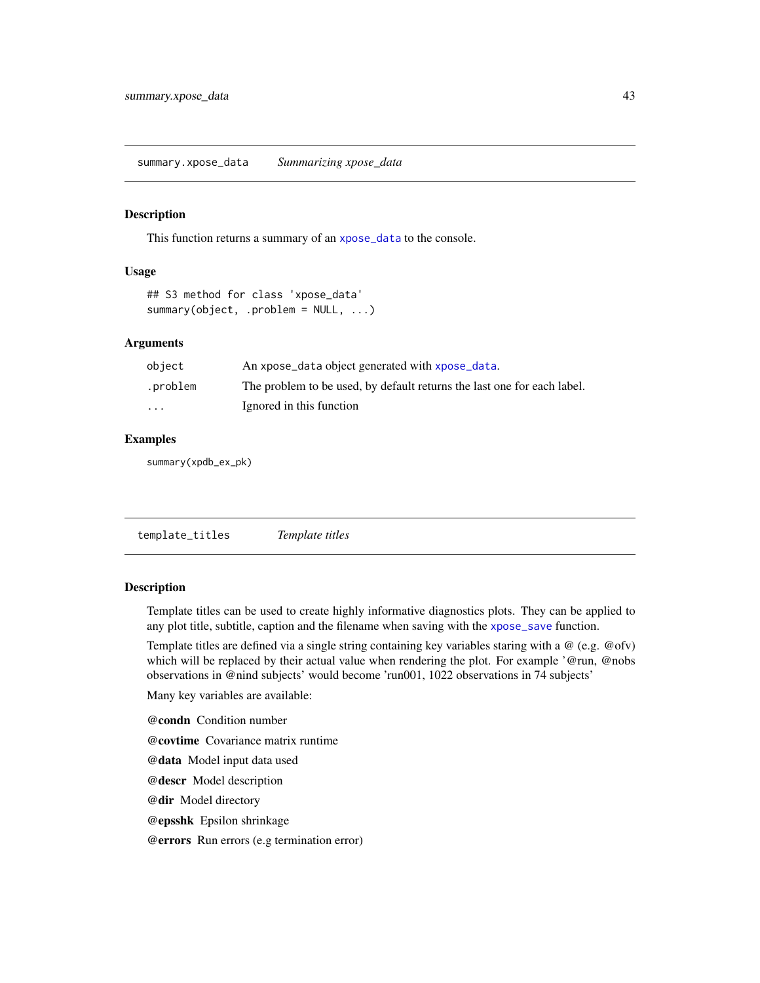<span id="page-42-2"></span><span id="page-42-0"></span>This function returns a summary of an [xpose\\_data](#page-55-1) to the console.

#### Usage

```
## S3 method for class 'xpose_data'
summary(object, .problem = NULL, ...)
```
#### Arguments

| object                  | An xpose_data object generated with xpose_data.                         |
|-------------------------|-------------------------------------------------------------------------|
| .problem                | The problem to be used, by default returns the last one for each label. |
| $\cdot$ $\cdot$ $\cdot$ | Ignored in this function                                                |

#### Examples

summary(xpdb\_ex\_pk)

<span id="page-42-1"></span>template\_titles *Template titles*

### Description

Template titles can be used to create highly informative diagnostics plots. They can be applied to any plot title, subtitle, caption and the filename when saving with the [xpose\\_save](#page-57-1) function.

Template titles are defined via a single string containing key variables staring with a @ (e.g. @ofv) which will be replaced by their actual value when rendering the plot. For example '@run, @nobs observations in @nind subjects' would become 'run001, 1022 observations in 74 subjects'

Many key variables are available:

@condn Condition number

@covtime Covariance matrix runtime

@data Model input data used

@descr Model description

@dir Model directory

@epsshk Epsilon shrinkage

@errors Run errors (e.g termination error)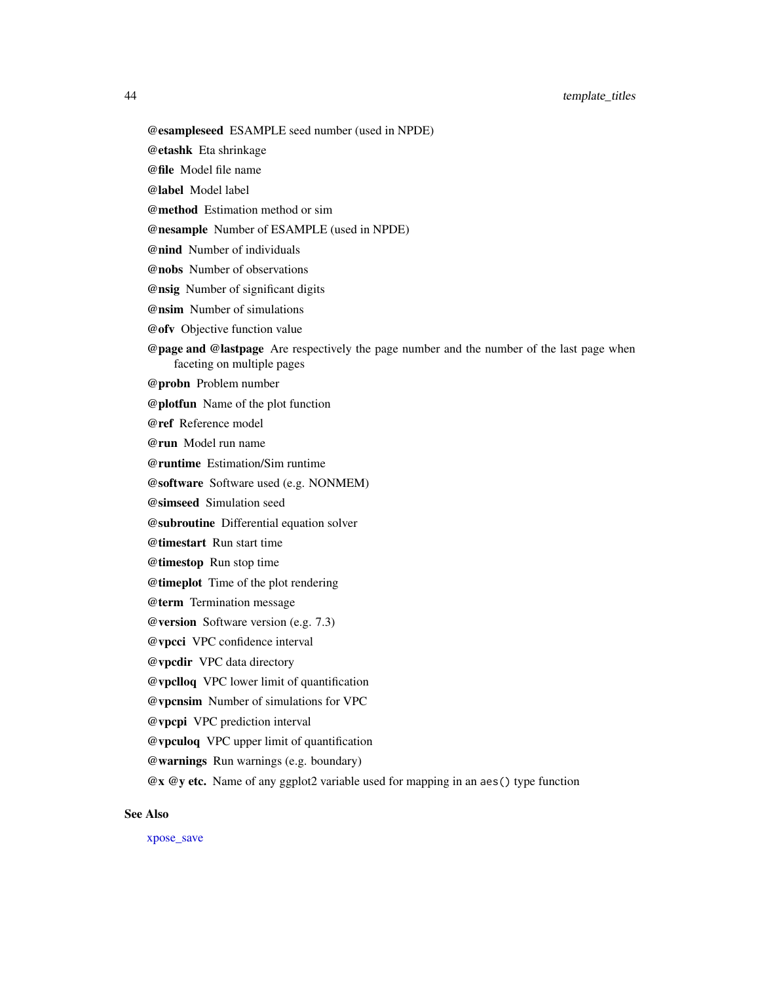### <span id="page-43-0"></span>44 template\_titles

@esampleseed ESAMPLE seed number (used in NPDE)

@etashk Eta shrinkage

@file Model file name

@label Model label

@method Estimation method or sim

@nesample Number of ESAMPLE (used in NPDE)

@nind Number of individuals

@nobs Number of observations

@nsig Number of significant digits

@nsim Number of simulations

@ofv Objective function value

@page and @lastpage Are respectively the page number and the number of the last page when faceting on multiple pages

@probn Problem number

@plotfun Name of the plot function

@ref Reference model

@run Model run name

@runtime Estimation/Sim runtime

@software Software used (e.g. NONMEM)

@simseed Simulation seed

@subroutine Differential equation solver

@timestart Run start time

@timestop Run stop time

@timeplot Time of the plot rendering

@term Termination message

@version Software version (e.g. 7.3)

@vpcci VPC confidence interval

@vpcdir VPC data directory

@vpclloq VPC lower limit of quantification

@vpcnsim Number of simulations for VPC

@vpcpi VPC prediction interval

@vpculoq VPC upper limit of quantification

@warnings Run warnings (e.g. boundary)

@x @y etc. Name of any ggplot2 variable used for mapping in an aes() type function

### See Also

[xpose\\_save](#page-57-1)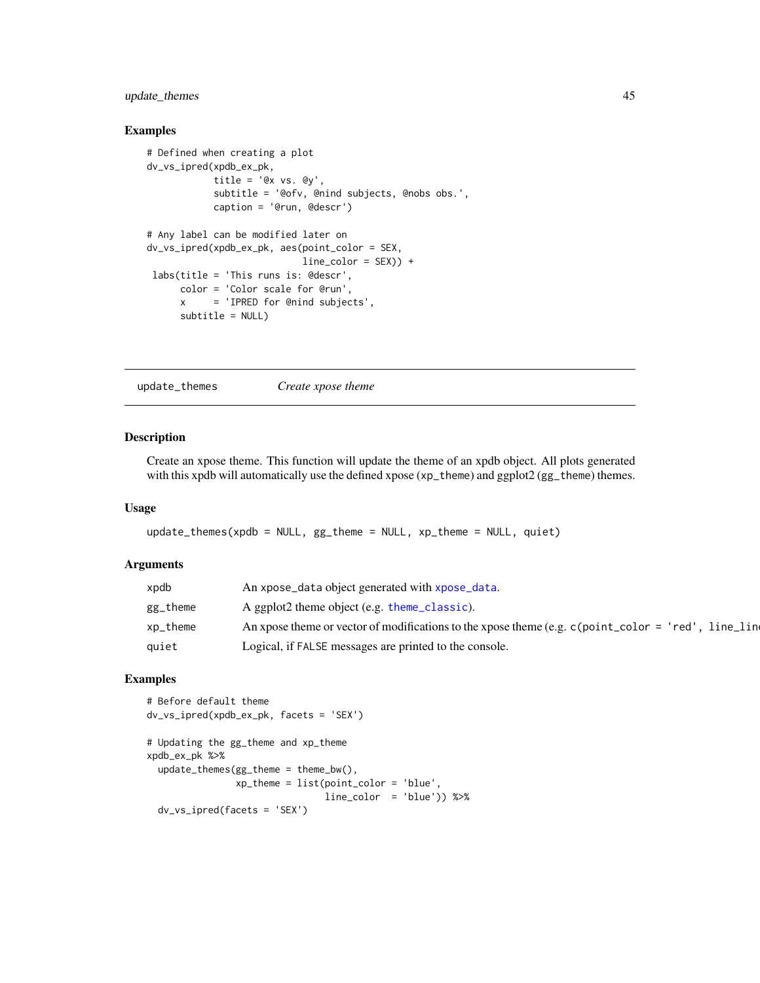### <span id="page-44-0"></span>update\_themes 45

#### Examples

```
# Defined when creating a plot
dv_vs_ipred(xpdb_ex_pk,
           title = 'Qx vs. Qy',
           subtitle = '@ofv, @nind subjects, @nobs obs.',
           caption = '@run, @descr')
# Any label can be modified later on
dv_vs_ipred(xpdb_ex_pk, aes(point_color = SEX,
                           line\_color = SEX) +
labs(title = 'This runs is: @descr',
     color = 'Color scale for @run',
     x = 'IPRED for @nind subjects',
     subtitle = NULL)
```
update\_themes *Create xpose theme*

### Description

Create an xpose theme. This function will update the theme of an xpdb object. All plots generated with this xpdb will automatically use the defined xpose (xp\_theme) and ggplot2 (gg\_theme) themes.

#### Usage

```
update_themes(xpdb = NULL, gg_theme = NULL, xp_theme = NULL, quiet)
```
#### Arguments

| xpdb     | An xpose_data object generated with xpose_data.                                                              |
|----------|--------------------------------------------------------------------------------------------------------------|
| gg_theme | A ggplot2 theme object (e.g. theme_classic).                                                                 |
| xp_theme | An xpose theme or vector of modifications to the xpose theme (e.g. $c$ (point _color = 'red')<br>. line line |
| quiet    | Logical, if FALSE messages are printed to the console.                                                       |

```
# Before default theme
dv_vs_ipred(xpdb_ex_pk, facets = 'SEX')
# Updating the gg_theme and xp_theme
xpdb_ex_pk %>%
 update_themes(gg_theme = theme_bw(),
               xp_theme = list(point_color = 'blue',
                               line_color = 'blue')) %>%
 dv_vs_ipred(facets = 'SEX')
```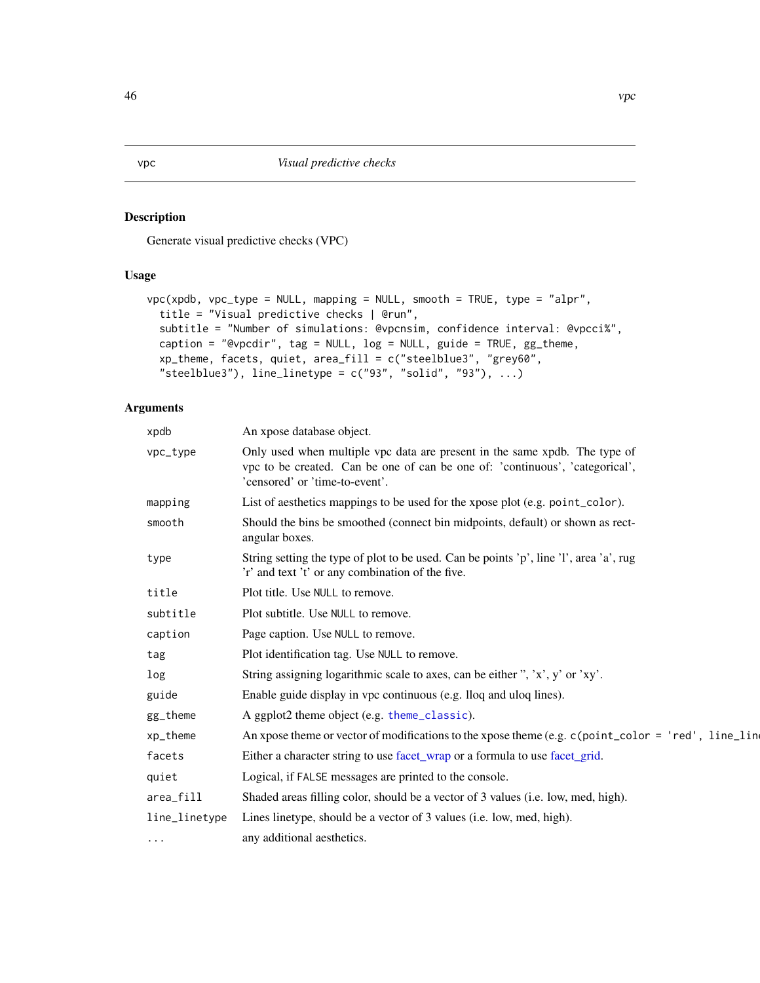<span id="page-45-1"></span><span id="page-45-0"></span>Generate visual predictive checks (VPC)

### Usage

```
vpc(xpdb, vpc_type = NULL, mapping = NULL, smooth = TRUE, type = "alpr",
  title = "Visual predictive checks | @run",
  subtitle = "Number of simulations: @vpcnsim, confidence interval: @vpcci%",
 caption = "@vpcdir", tag = NULL, log = NULL, guide = TRUE, gg_theme,
  xp_theme, facets, quiet, area_fill = c("steelblue3", "grey60",
  "steelblue3"), line_linetype = c("93", "solid", "93"), ...)
```
### Arguments

| xpdb          | An xpose database object.                                                                                                                                                                    |
|---------------|----------------------------------------------------------------------------------------------------------------------------------------------------------------------------------------------|
| vpc_type      | Only used when multiple vpc data are present in the same xpdb. The type of<br>vpc to be created. Can be one of can be one of: 'continuous', 'categorical',<br>'censored' or 'time-to-event'. |
| mapping       | List of aesthetics mappings to be used for the xpose plot (e.g. point_color).                                                                                                                |
| smooth        | Should the bins be smoothed (connect bin midpoints, default) or shown as rect-<br>angular boxes.                                                                                             |
| type          | String setting the type of plot to be used. Can be points 'p', line 'l', area 'a', rug<br>'r' and text 't' or any combination of the five.                                                   |
| title         | Plot title. Use NULL to remove.                                                                                                                                                              |
| subtitle      | Plot subtitle. Use NULL to remove.                                                                                                                                                           |
| caption       | Page caption. Use NULL to remove.                                                                                                                                                            |
| tag           | Plot identification tag. Use NULL to remove.                                                                                                                                                 |
| log           | String assigning logarithmic scale to axes, can be either ", 'x', y' or 'xy'.                                                                                                                |
| guide         | Enable guide display in vpc continuous (e.g. lloq and uloq lines).                                                                                                                           |
| gg_theme      | A ggplot2 theme object (e.g. theme_classic).                                                                                                                                                 |
| xp_theme      | An xpose theme or vector of modifications to the xpose theme (e.g. $c$ (point_color = 'red', line_line                                                                                       |
| facets        | Either a character string to use facet_wrap or a formula to use facet_grid.                                                                                                                  |
| quiet         | Logical, if FALSE messages are printed to the console.                                                                                                                                       |
| area_fill     | Shaded areas filling color, should be a vector of 3 values (i.e. low, med, high).                                                                                                            |
| line_linetype | Lines linetype, should be a vector of 3 values (i.e. low, med, high).                                                                                                                        |
| $\cdots$      | any additional aesthetics.                                                                                                                                                                   |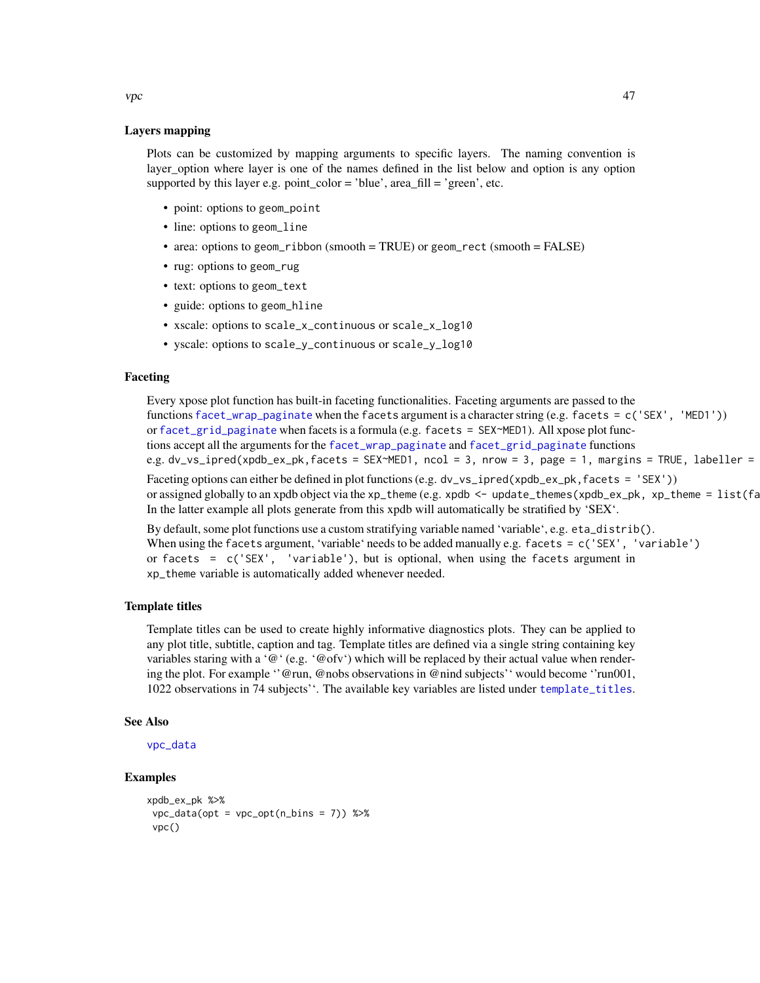Layers mapping

Plots can be customized by mapping arguments to specific layers. The naming convention is layer\_option where layer is one of the names defined in the list below and option is any option supported by this layer e.g. point\_color = 'blue',  $area_f = [file]$  = 'green', etc.

- point: options to geom\_point
- line: options to geom\_line
- area: options to geom\_ribbon (smooth = TRUE) or geom\_rect (smooth = FALSE)
- rug: options to geom\_rug
- text: options to geom\_text
- guide: options to geom\_hline
- xscale: options to scale\_x\_continuous or scale\_x\_log10
- yscale: options to scale\_y\_continuous or scale\_y\_log10

#### Faceting

Every xpose plot function has built-in faceting functionalities. Faceting arguments are passed to the functions [facet\\_wrap\\_paginate](#page-0-0) when the facets argument is a character string (e.g. facets = c('SEX', 'MED1')) or [facet\\_grid\\_paginate](#page-0-0) when facets is a formula (e.g. facets = SEX~MED1). All xpose plot functions accept all the arguments for the [facet\\_wrap\\_paginate](#page-0-0) and [facet\\_grid\\_paginate](#page-0-0) functions e.g. dv\_vs\_ipred(xpdb\_ex\_pk,facets = SEX~MED1, ncol = 3, nrow = 3, page = 1, margins = TRUE, labeller =

Faceting options can either be defined in plot functions (e.g. dv\_vs\_ipred(xpdb\_ex\_pk, facets = 'SEX')) or assigned globally to an xpdb object via the xp\_theme (e.g. xpdb <- update\_themes(xpdb\_ex\_pk, xp\_theme =  $list(fa)$ In the latter example all plots generate from this xpdb will automatically be stratified by 'SEX'.

By default, some plot functions use a custom stratifying variable named 'variable', e.g. eta\_distrib(). When using the facets argument, 'variable' needs to be added manually e.g. facets  $= c('SEX', 'variable')$ or facets = c('SEX', 'variable'), but is optional, when using the facets argument in xp\_theme variable is automatically added whenever needed.

#### Template titles

Template titles can be used to create highly informative diagnostics plots. They can be applied to any plot title, subtitle, caption and tag. Template titles are defined via a single string containing key variables staring with a ' $@$ ' (e.g. ' $@$  ofv') which will be replaced by their actual value when rendering the plot. For example ''@run, @nobs observations in @nind subjects'' would become ''run001, 1022 observations in 74 subjects''. The available key variables are listed under [template\\_titles](#page-42-1).

#### See Also

```
vpc_data
```
#### Examples

```
xpdb_ex_pk %>%
vpc\_data(opt = vpc\_opt(n\_bins = 7)) %>%
 vpc()
```
<span id="page-46-0"></span> $\vee$  vpc  $\vee$  47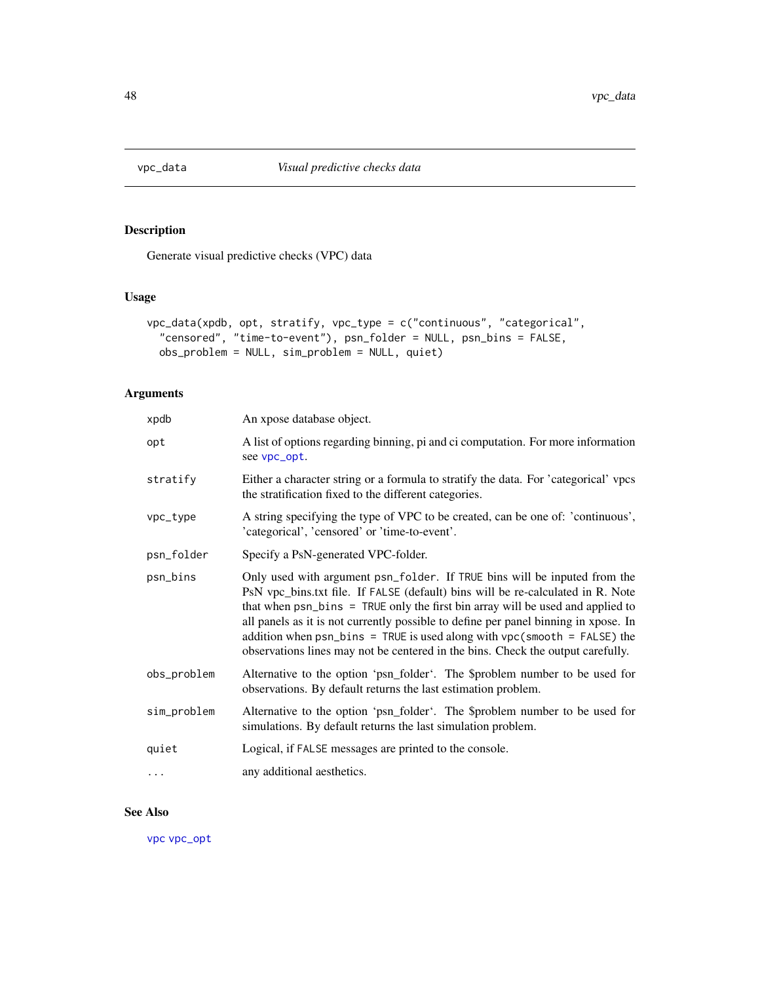<span id="page-47-1"></span><span id="page-47-0"></span>

Generate visual predictive checks (VPC) data

## Usage

```
vpc_data(xpdb, opt, stratify, vpc_type = c("continuous", "categorical",
  "censored", "time-to-event"), psn_folder = NULL, psn_bins = FALSE,
 obs_problem = NULL, sim_problem = NULL, quiet)
```
### Arguments

| xpdb        | An xpose database object.                                                                                                                                                                                                                                                                                                                                                                                                                                                                                |
|-------------|----------------------------------------------------------------------------------------------------------------------------------------------------------------------------------------------------------------------------------------------------------------------------------------------------------------------------------------------------------------------------------------------------------------------------------------------------------------------------------------------------------|
| opt         | A list of options regarding binning, pi and ci computation. For more information<br>see vpc_opt.                                                                                                                                                                                                                                                                                                                                                                                                         |
| stratify    | Either a character string or a formula to stratify the data. For 'categorical' vpcs<br>the stratification fixed to the different categories.                                                                                                                                                                                                                                                                                                                                                             |
| vpc_type    | A string specifying the type of VPC to be created, can be one of: 'continuous',<br>'categorical', 'censored' or 'time-to-event'.                                                                                                                                                                                                                                                                                                                                                                         |
| psn_folder  | Specify a PsN-generated VPC-folder.                                                                                                                                                                                                                                                                                                                                                                                                                                                                      |
| psn_bins    | Only used with argument psn_folder. If TRUE bins will be inputed from the<br>PsN vpc_bins.txt file. If FALSE (default) bins will be re-calculated in R. Note<br>that when psn_bins = TRUE only the first bin array will be used and applied to<br>all panels as it is not currently possible to define per panel binning in xpose. In<br>addition when $psn_bins = TRUE$ is used along with $vpc(smooth = FALSE)$ the<br>observations lines may not be centered in the bins. Check the output carefully. |
| obs_problem | Alternative to the option 'psn_folder'. The \$problem number to be used for<br>observations. By default returns the last estimation problem.                                                                                                                                                                                                                                                                                                                                                             |
| sim_problem | Alternative to the option 'psn_folder'. The \$problem number to be used for<br>simulations. By default returns the last simulation problem.                                                                                                                                                                                                                                                                                                                                                              |
| quiet       | Logical, if FALSE messages are printed to the console.                                                                                                                                                                                                                                                                                                                                                                                                                                                   |
| $\cdots$    | any additional aesthetics.                                                                                                                                                                                                                                                                                                                                                                                                                                                                               |

### See Also

[vpc](#page-45-1) [vpc\\_opt](#page-48-1)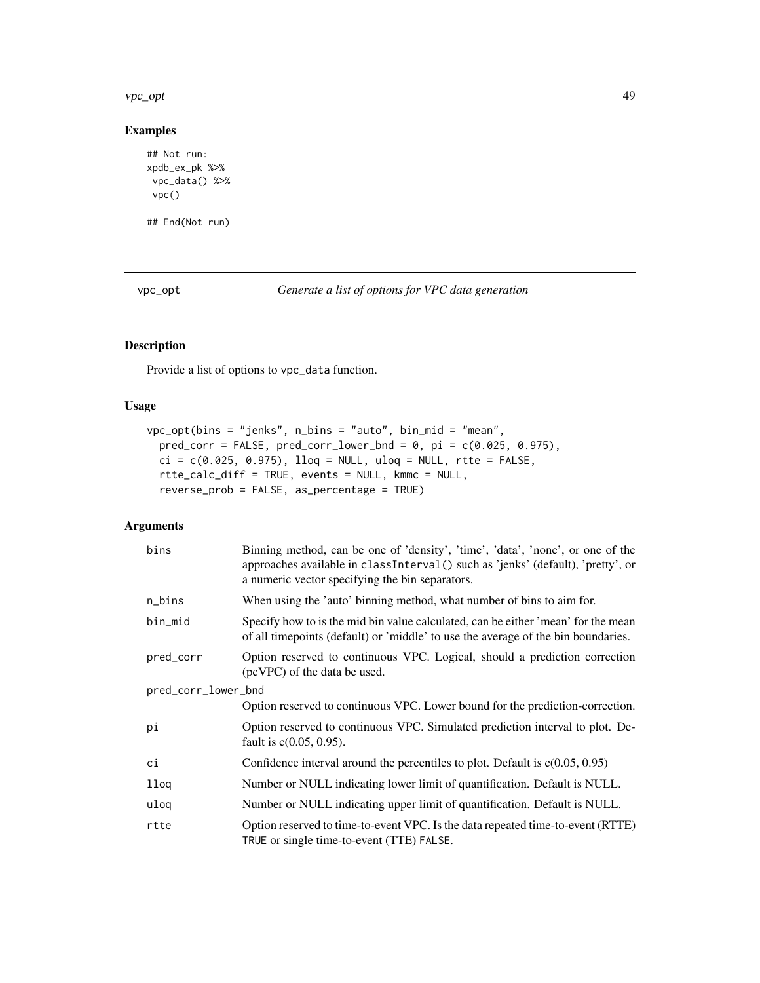<span id="page-48-0"></span>vpc\_opt 49

### Examples

```
## Not run:
xpdb_ex_pk %>%
vpc_data() %>%
vpc()
## End(Not run)
```
<span id="page-48-1"></span>vpc\_opt *Generate a list of options for VPC data generation*

### Description

Provide a list of options to vpc\_data function.

### Usage

```
vpc_opt(bins = "jenks", n_bins = "auto", bin_mid = "mean",
 pred\_corr = FALSE, pred\_corr\_lower\_bnd = 0, pi = c(0.025, 0.975),ci = c(0.025, 0.975), llog = NULL, uloc = NULL, rtte = FALSE,rtte_calc_diff = TRUE, events = NULL, kmmc = NULL,
  reverse_prob = FALSE, as_percentage = TRUE)
```
## Arguments

| bins                | Binning method, can be one of 'density', 'time', 'data', 'none', or one of the<br>approaches available in classInterval() such as 'jenks' (default), 'pretty', or<br>a numeric vector specifying the bin separators. |  |
|---------------------|----------------------------------------------------------------------------------------------------------------------------------------------------------------------------------------------------------------------|--|
| n_bins              | When using the 'auto' binning method, what number of bins to aim for.                                                                                                                                                |  |
| bin_mid             | Specify how to is the mid bin value calculated, can be either 'mean' for the mean<br>of all time points (default) or 'middle' to use the average of the bin boundaries.                                              |  |
| pred_corr           | Option reserved to continuous VPC. Logical, should a prediction correction<br>(pcVPC) of the data be used.                                                                                                           |  |
| pred_corr_lower_bnd |                                                                                                                                                                                                                      |  |
|                     | Option reserved to continuous VPC. Lower bound for the prediction-correction.                                                                                                                                        |  |
| рi                  | Option reserved to continuous VPC. Simulated prediction interval to plot. De-<br>fault is $c(0.05, 0.95)$ .                                                                                                          |  |
| ci                  | Confidence interval around the percentiles to plot. Default is $c(0.05, 0.95)$                                                                                                                                       |  |
| llog                | Number or NULL indicating lower limit of quantification. Default is NULL.                                                                                                                                            |  |
| uloq                | Number or NULL indicating upper limit of quantification. Default is NULL.                                                                                                                                            |  |
| rtte                | Option reserved to time-to-event VPC. Is the data repeated time-to-event (RTTE)<br>TRUE or single time-to-event (TTE) FALSE.                                                                                         |  |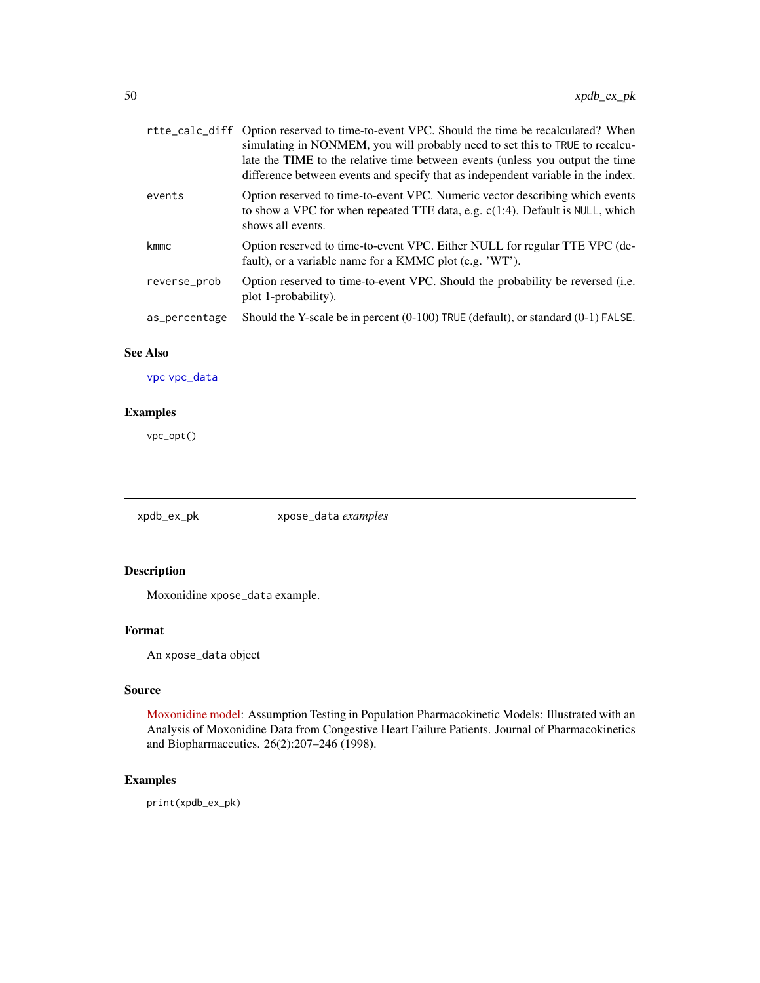<span id="page-49-0"></span>

|               | rtte_calc_diff Option reserved to time-to-event VPC. Should the time be recalculated? When<br>simulating in NONMEM, you will probably need to set this to TRUE to recalcu-<br>late the TIME to the relative time between events (unless you output the time<br>difference between events and specify that as independent variable in the index. |
|---------------|-------------------------------------------------------------------------------------------------------------------------------------------------------------------------------------------------------------------------------------------------------------------------------------------------------------------------------------------------|
| events        | Option reserved to time-to-event VPC. Numeric vector describing which events<br>to show a VPC for when repeated TTE data, e.g. $c(1:4)$ . Default is NULL, which<br>shows all events.                                                                                                                                                           |
| kmmc          | Option reserved to time-to-event VPC. Either NULL for regular TTE VPC (de-<br>fault), or a variable name for a KMMC plot (e.g. 'WT').                                                                                                                                                                                                           |
| reverse_prob  | Option reserved to time-to-event VPC. Should the probability be reversed (i.e.<br>plot 1-probability).                                                                                                                                                                                                                                          |
| as_percentage | Should the Y-scale be in percent (0-100) TRUE (default), or standard (0-1) FALSE.                                                                                                                                                                                                                                                               |

### See Also

[vpc](#page-45-1) [vpc\\_data](#page-47-1)

### Examples

vpc\_opt()

xpdb\_ex\_pk xpose\_data *examples*

### Description

Moxonidine xpose\_data example.

### Format

An xpose\_data object

### Source

[Moxonidine model:](http://link.springer.com/article/10.1023/A:1020561807903) Assumption Testing in Population Pharmacokinetic Models: Illustrated with an Analysis of Moxonidine Data from Congestive Heart Failure Patients. Journal of Pharmacokinetics and Biopharmaceutics. 26(2):207–246 (1998).

### Examples

print(xpdb\_ex\_pk)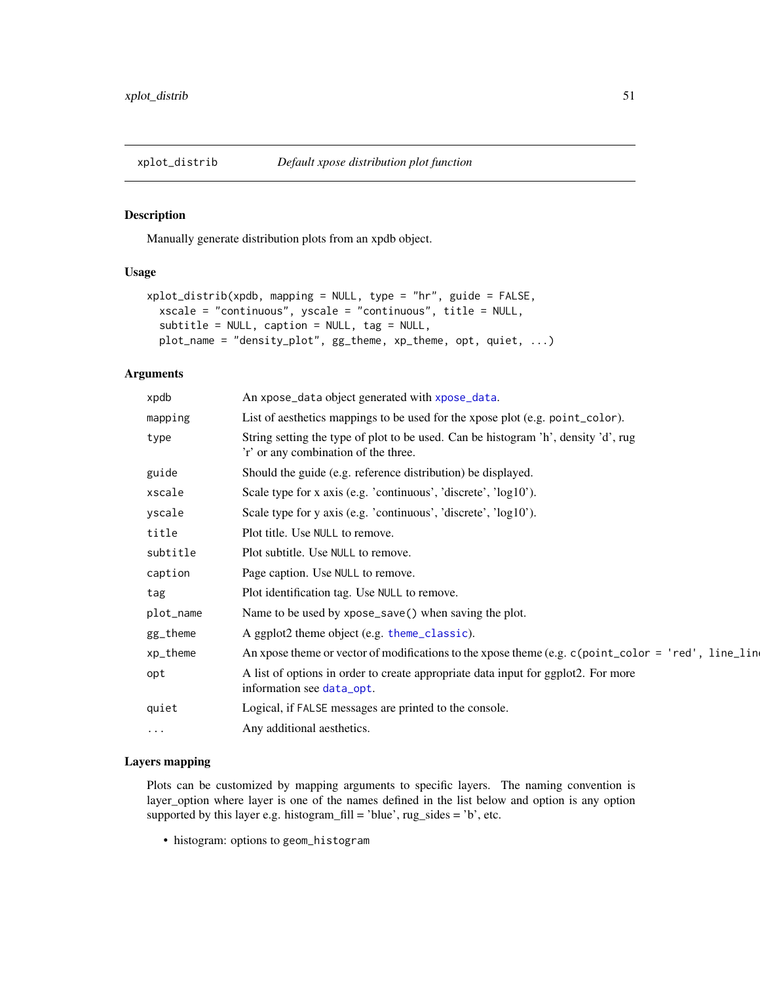<span id="page-50-1"></span><span id="page-50-0"></span>

Manually generate distribution plots from an xpdb object.

### Usage

```
xplot_distrib(xpdb, mapping = NULL, type = "hr", guide = FALSE,
  xscale = "continuous", yscale = "continuous", title = NULL,
  subtitle = NULL, caption = NULL, tag = NULL,
 plot_name = "density_plot", gg_theme, xp_theme, opt, quiet, ...)
```
#### Arguments

| xpdb      | An xpose_data object generated with xpose_data.                                                                            |
|-----------|----------------------------------------------------------------------------------------------------------------------------|
| mapping   | List of aesthetics mappings to be used for the xpose plot (e.g. point_color).                                              |
| type      | String setting the type of plot to be used. Can be histogram 'h', density 'd', rug<br>'r' or any combination of the three. |
| guide     | Should the guide (e.g. reference distribution) be displayed.                                                               |
| xscale    | Scale type for x axis (e.g. 'continuous', 'discrete', 'log10').                                                            |
| yscale    | Scale type for y axis (e.g. 'continuous', 'discrete', 'log10').                                                            |
| title     | Plot title. Use NULL to remove.                                                                                            |
| subtitle  | Plot subtitle. Use NULL to remove.                                                                                         |
| caption   | Page caption. Use NULL to remove.                                                                                          |
| tag       | Plot identification tag. Use NULL to remove.                                                                               |
| plot_name | Name to be used by xpose_save() when saving the plot.                                                                      |
| gg_theme  | A ggplot2 theme object (e.g. theme_classic).                                                                               |
| xp_theme  | An xpose theme or vector of modifications to the xpose theme (e.g. c(point_color = 'red', line_line                        |
| opt       | A list of options in order to create appropriate data input for ggplot2. For more<br>information see data_opt.             |
| quiet     | Logical, if FALSE messages are printed to the console.                                                                     |
| $\cdots$  | Any additional aesthetics.                                                                                                 |
|           |                                                                                                                            |

#### Layers mapping

Plots can be customized by mapping arguments to specific layers. The naming convention is layer\_option where layer is one of the names defined in the list below and option is any option supported by this layer e.g. histogram\_fill = 'blue',  $rug\_sides = 'b'$ , etc.

• histogram: options to geom\_histogram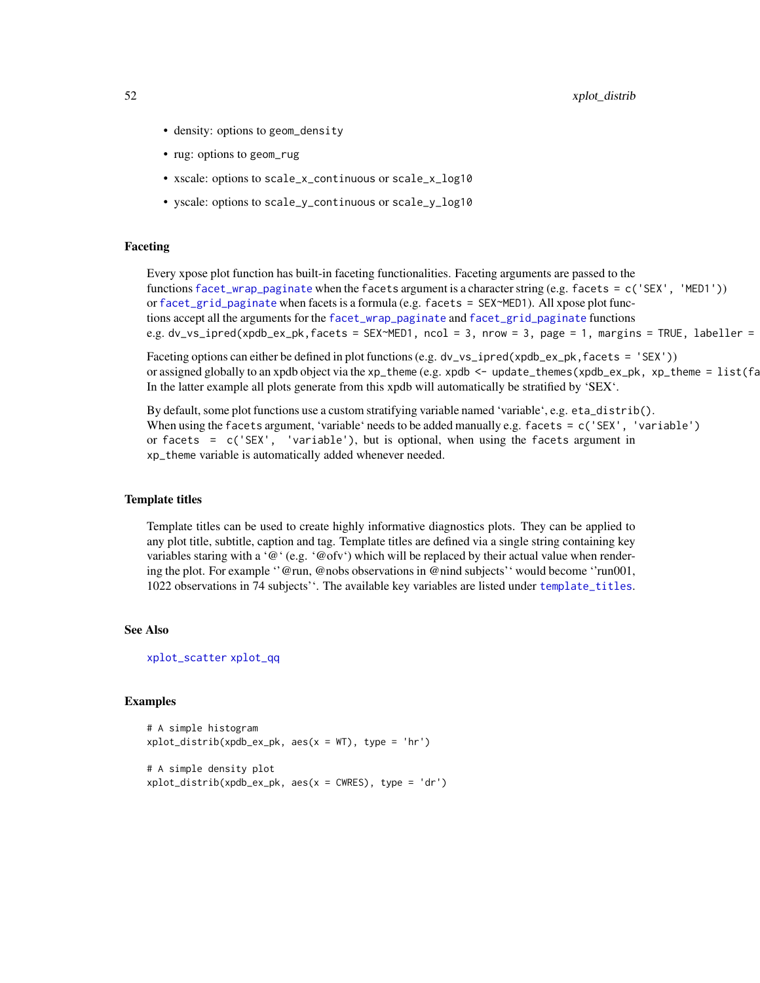<span id="page-51-0"></span>52 xplot\_distribute the state of the state of the state of the state of the state of the state of the state of the state of the state of the state of the state of the state of the state of the state of the state of the sta

- density: options to geom\_density
- rug: options to geom\_rug
- xscale: options to scale\_x\_continuous or scale\_x\_log10
- yscale: options to scale\_y\_continuous or scale\_y\_log10

### Faceting

Every xpose plot function has built-in faceting functionalities. Faceting arguments are passed to the functions [facet\\_wrap\\_paginate](#page-0-0) when the facets argument is a character string (e.g. facets = c('SEX', 'MED1')) or [facet\\_grid\\_paginate](#page-0-0) when facets is a formula (e.g. facets = SEX~MED1). All xpose plot functions accept all the arguments for the [facet\\_wrap\\_paginate](#page-0-0) and [facet\\_grid\\_paginate](#page-0-0) functions e.g. dv\_vs\_ipred(xpdb\_ex\_pk,facets = SEX~MED1, ncol = 3, nrow = 3, page = 1, margins = TRUE, labeller =

Faceting options can either be defined in plot functions (e.g. dv\_vs\_ipred(xpdb\_ex\_pk, facets = 'SEX')) or assigned globally to an xpdb object via the xp\_theme (e.g. xpdb  $\leq$  - update\_themes(xpdb\_ex\_pk, xp\_theme =  $list(fa)$ In the latter example all plots generate from this xpdb will automatically be stratified by 'SEX'.

By default, some plot functions use a custom stratifying variable named 'variable', e.g. eta\_distrib(). When using the facets argument, 'variable' needs to be added manually e.g. facets = c('SEX', 'variable') or facets =  $c('SEX', 'variable'), but is optional, when using the facets argument in$ xp\_theme variable is automatically added whenever needed.

#### Template titles

Template titles can be used to create highly informative diagnostics plots. They can be applied to any plot title, subtitle, caption and tag. Template titles are defined via a single string containing key variables staring with a ' $@$ ' (e.g. ' $@$  ofv') which will be replaced by their actual value when rendering the plot. For example ''@run, @nobs observations in @nind subjects'' would become ''run001, 1022 observations in 74 subjects''. The available key variables are listed under [template\\_titles](#page-42-1).

#### See Also

[xplot\\_scatter](#page-53-1) [xplot\\_qq](#page-52-1)

```
# A simple histogram
xplot\_distrib(xpdb_ex_pk, \text{aes}(x = WT), \text{type} = 'hr')# A simple density plot
xplot\_distrib(xpdb_ex_pk, aes(x = CWRES), type = 'dr')
```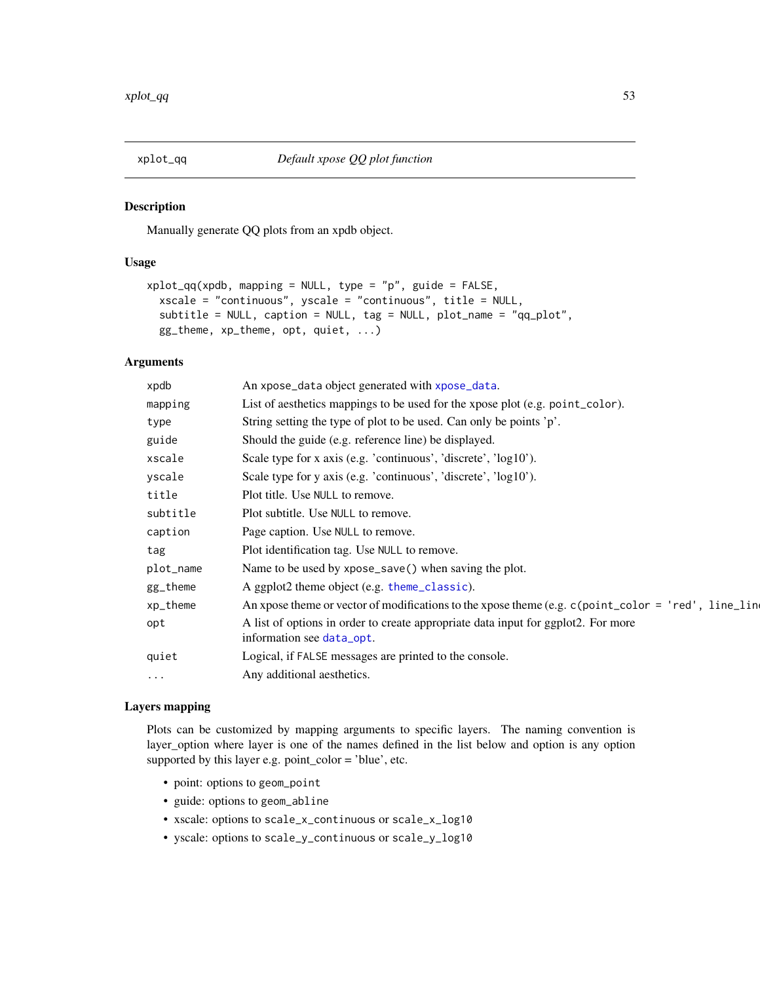<span id="page-52-1"></span><span id="page-52-0"></span>

Manually generate QQ plots from an xpdb object.

#### Usage

```
xplot_qq(xpdb, mapping = NULL, type = "p", guide = FALSE,
  xscale = "continuous", yscale = "continuous", title = NULL,
  subtitle = NULL, caption = NULL, tag = NULL, plot_name = "qq_plot",
 gg_theme, xp_theme, opt, quiet, ...)
```
### Arguments

| xpdb      | An xpose_data object generated with xpose_data.                                                                |
|-----------|----------------------------------------------------------------------------------------------------------------|
| mapping   | List of aesthetics mappings to be used for the xpose plot (e.g. point_color).                                  |
| type      | String setting the type of plot to be used. Can only be points 'p'.                                            |
| guide     | Should the guide (e.g. reference line) be displayed.                                                           |
| xscale    | Scale type for x axis (e.g. 'continuous', 'discrete', 'log10').                                                |
| yscale    | Scale type for y axis (e.g. 'continuous', 'discrete', 'log10').                                                |
| title     | Plot title. Use NULL to remove.                                                                                |
| subtitle  | Plot subtitle. Use NULL to remove.                                                                             |
| caption   | Page caption. Use NULL to remove.                                                                              |
| tag       | Plot identification tag. Use NULL to remove.                                                                   |
| plot_name | Name to be used by xpose_save() when saving the plot.                                                          |
| gg_theme  | A ggplot2 theme object (e.g. theme_classic).                                                                   |
| xp_theme  | An xpose theme or vector of modifications to the xpose theme (e.g. c(point_color = 'red', line_line            |
| opt       | A list of options in order to create appropriate data input for ggplot2. For more<br>information see data_opt. |
| quiet     | Logical, if FALSE messages are printed to the console.                                                         |
| $\cdots$  | Any additional aesthetics.                                                                                     |
|           |                                                                                                                |

#### Layers mapping

Plots can be customized by mapping arguments to specific layers. The naming convention is layer\_option where layer is one of the names defined in the list below and option is any option supported by this layer e.g. point\_color = 'blue', etc.

- point: options to geom\_point
- guide: options to geom\_abline
- xscale: options to scale\_x\_continuous or scale\_x\_log10
- yscale: options to scale\_y\_continuous or scale\_y\_log10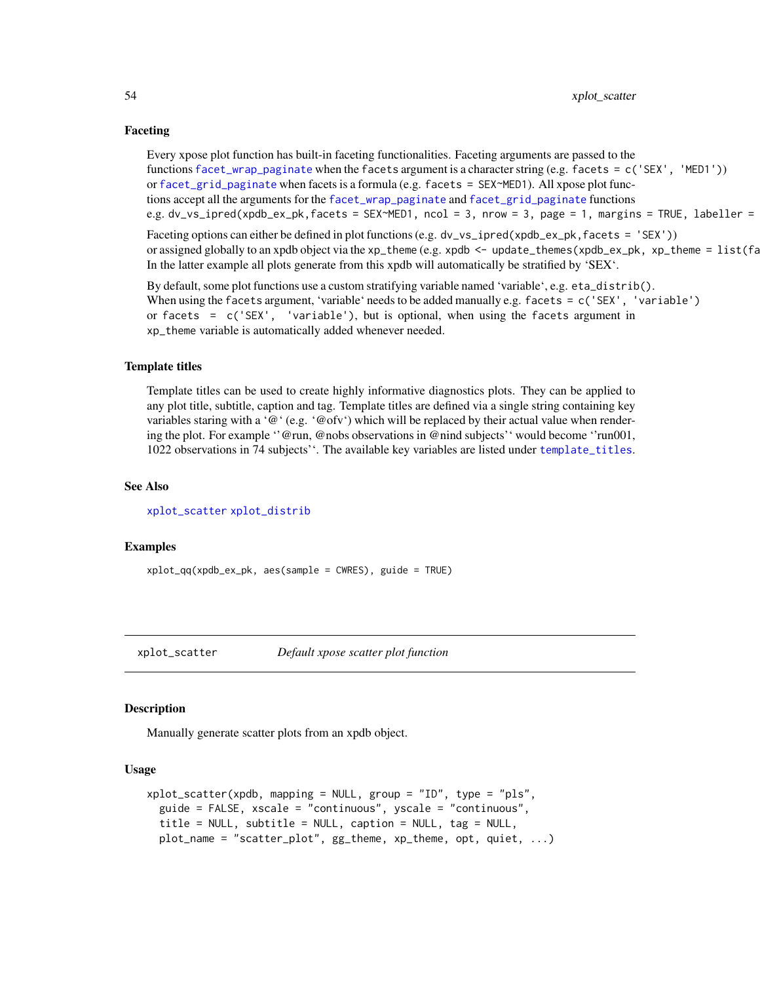#### Faceting

Every xpose plot function has built-in faceting functionalities. Faceting arguments are passed to the functions [facet\\_wrap\\_paginate](#page-0-0) when the facets argument is a character string (e.g. facets = c('SEX', 'MED1')) or [facet\\_grid\\_paginate](#page-0-0) when facets is a formula (e.g. facets = SEX~MED1). All xpose plot functions accept all the arguments for the [facet\\_wrap\\_paginate](#page-0-0) and [facet\\_grid\\_paginate](#page-0-0) functions e.g. dv\_vs\_ipred(xpdb\_ex\_pk,facets = SEX~MED1, ncol = 3, nrow = 3, page = 1, margins = TRUE, labeller =

Faceting options can either be defined in plot functions (e.g. dv\_vs\_ipred(xpdb\_ex\_pk,facets = 'SEX')) or assigned globally to an xpdb object via the xp\_theme (e.g. xpdb  $\leq$  - update\_themes(xpdb\_ex\_pk, xp\_theme =  $list(fa)$ In the latter example all plots generate from this xpdb will automatically be stratified by 'SEX'.

By default, some plot functions use a custom stratifying variable named 'variable', e.g. eta\_distrib(). When using the facets argument, 'variable' needs to be added manually e.g. facets = c('SEX', 'variable') or facets =  $c('SEX', 'variable'), but is optional, when using the facets argument in$ xp\_theme variable is automatically added whenever needed.

#### Template titles

Template titles can be used to create highly informative diagnostics plots. They can be applied to any plot title, subtitle, caption and tag. Template titles are defined via a single string containing key variables staring with a ' $@$ ' (e.g. ' $@$  ofv') which will be replaced by their actual value when rendering the plot. For example ''@run, @nobs observations in @nind subjects'' would become ''run001, 1022 observations in 74 subjects''. The available key variables are listed under [template\\_titles](#page-42-1).

#### See Also

[xplot\\_scatter](#page-53-1) [xplot\\_distrib](#page-50-1)

#### Examples

xplot\_qq(xpdb\_ex\_pk, aes(sample = CWRES), guide = TRUE)

<span id="page-53-1"></span>xplot\_scatter *Default xpose scatter plot function*

#### **Description**

Manually generate scatter plots from an xpdb object.

#### Usage

```
xplot_scatter(xpdb, mapping = NULL, group = "ID", type = "pls",
  guide = FALSE, xscale = "continuous", yscale = "continuous",
  title = NULL, subtitle = NULL, caption = NULL, tag = NULL,
 plot_name = "scatter_plot", gg_theme, xp_theme, opt, quiet, ...)
```
<span id="page-53-0"></span>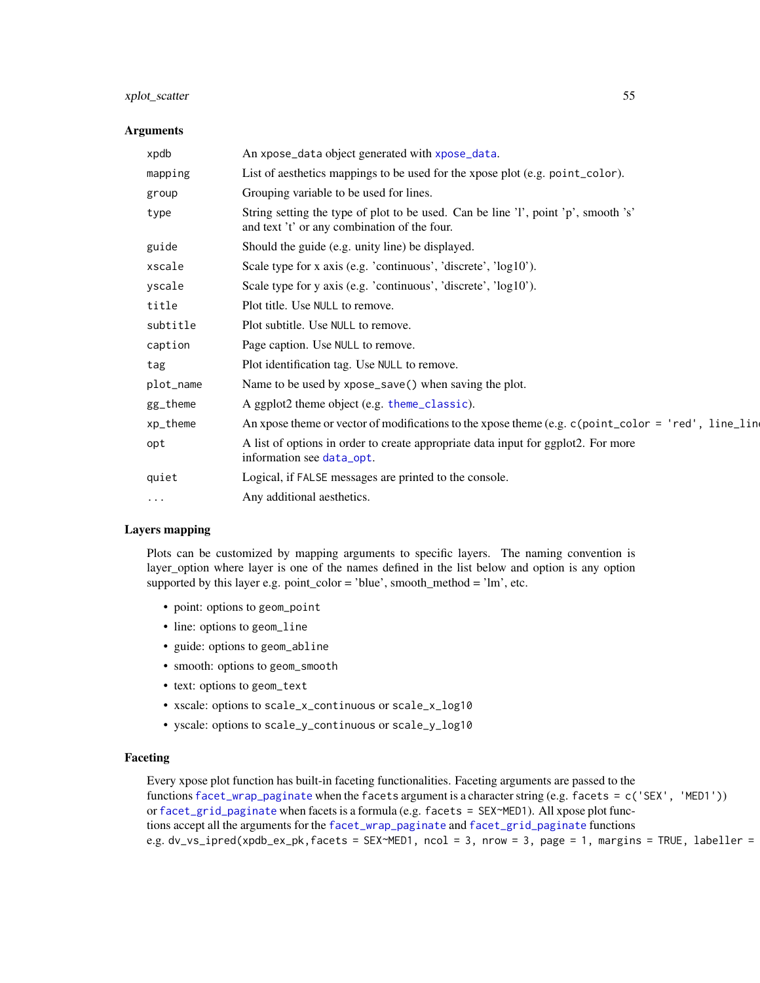### <span id="page-54-0"></span>xplot\_scatter 55

#### **Arguments**

| xpdb      | An xpose_data object generated with xpose_data.                                                                                    |
|-----------|------------------------------------------------------------------------------------------------------------------------------------|
| mapping   | List of aesthetics mappings to be used for the xpose plot (e.g. point_color).                                                      |
| group     | Grouping variable to be used for lines.                                                                                            |
| type      | String setting the type of plot to be used. Can be line 'l', point 'p', smooth 's'<br>and text 't' or any combination of the four. |
| guide     | Should the guide (e.g. unity line) be displayed.                                                                                   |
| xscale    | Scale type for x axis (e.g. 'continuous', 'discrete', 'log10').                                                                    |
| yscale    | Scale type for y axis (e.g. 'continuous', 'discrete', 'log10').                                                                    |
| title     | Plot title. Use NULL to remove.                                                                                                    |
| subtitle  | Plot subtitle. Use NULL to remove.                                                                                                 |
| caption   | Page caption. Use NULL to remove.                                                                                                  |
| tag       | Plot identification tag. Use NULL to remove.                                                                                       |
| plot_name | Name to be used by xpose_save() when saving the plot.                                                                              |
| gg_theme  | A ggplot2 theme object (e.g. theme_classic).                                                                                       |
| xp_theme  | An xpose theme or vector of modifications to the xpose theme (e.g. $c$ (point_color = 'red', line_line                             |
| opt       | A list of options in order to create appropriate data input for ggplot2. For more<br>information see data_opt.                     |
| quiet     | Logical, if FALSE messages are printed to the console.                                                                             |
| $\cdots$  | Any additional aesthetics.                                                                                                         |

#### Layers mapping

Plots can be customized by mapping arguments to specific layers. The naming convention is layer\_option where layer is one of the names defined in the list below and option is any option supported by this layer e.g. point\_color = 'blue', smooth\_method = 'lm', etc.

- point: options to geom\_point
- line: options to geom\_line
- guide: options to geom\_abline
- smooth: options to geom\_smooth
- text: options to geom\_text
- xscale: options to scale\_x\_continuous or scale\_x\_log10
- yscale: options to scale\_y\_continuous or scale\_y\_log10

### Faceting

Every xpose plot function has built-in faceting functionalities. Faceting arguments are passed to the functions [facet\\_wrap\\_paginate](#page-0-0) when the facets argument is a character string (e.g. facets = c('SEX', 'MED1')) or [facet\\_grid\\_paginate](#page-0-0) when facets is a formula (e.g. facets = SEX~MED1). All xpose plot functions accept all the arguments for the [facet\\_wrap\\_paginate](#page-0-0) and [facet\\_grid\\_paginate](#page-0-0) functions e.g.  $dv\_vs\_ipred(xpdb\_ex\_pk, facets = SEX~MED1, ncol = 3, nrow = 3, page = 1, margins = TRUE, labeller =$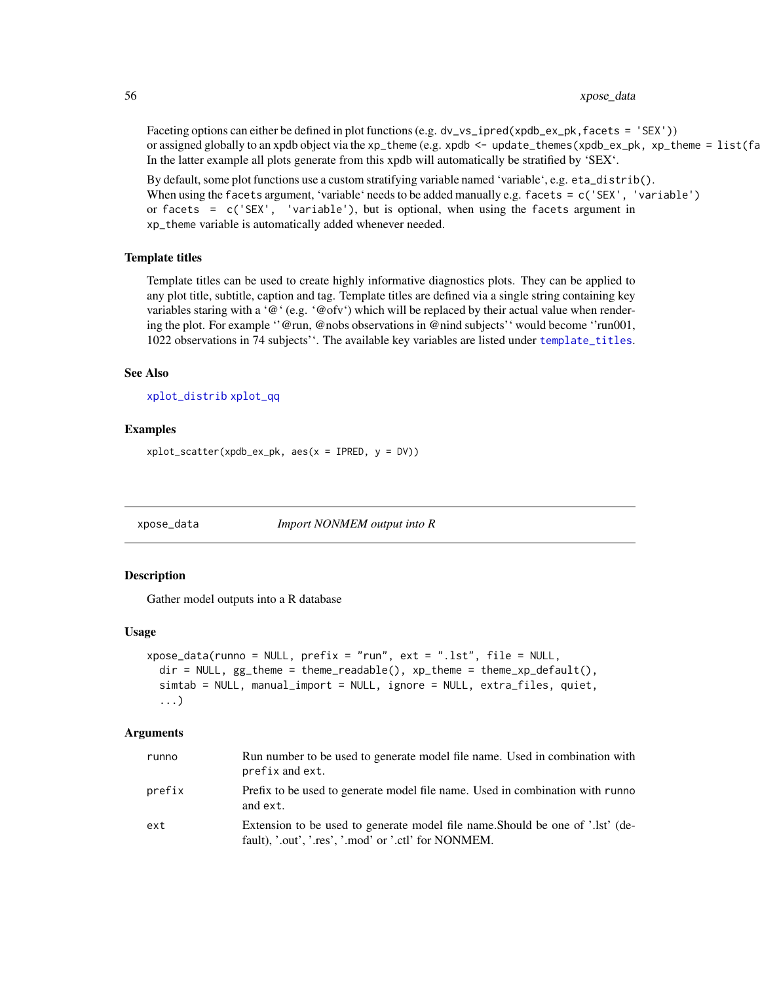### <span id="page-55-0"></span>56 xpose\_data

Faceting options can either be defined in plot functions (e.g. dv\_vs\_ipred(xpdb\_ex\_pk, facets = 'SEX')) or assigned globally to an xpdb object via the xp\_theme (e.g. xpdb  $\leq$  - update\_themes(xpdb\_ex\_pk, xp\_theme =  $list(fa)$ In the latter example all plots generate from this xpdb will automatically be stratified by  $SEX'$ .

By default, some plot functions use a custom stratifying variable named 'variable', e.g. eta\_distrib(). When using the facets argument, 'variable' needs to be added manually e.g. facets = c('SEX', 'variable') or facets = c('SEX', 'variable'), but is optional, when using the facets argument in xp\_theme variable is automatically added whenever needed.

#### Template titles

Template titles can be used to create highly informative diagnostics plots. They can be applied to any plot title, subtitle, caption and tag. Template titles are defined via a single string containing key variables staring with a ' $@$ ' (e.g. ' $@$ ofv') which will be replaced by their actual value when rendering the plot. For example ''@run, @nobs observations in @nind subjects'' would become ''run001, 1022 observations in 74 subjects''. The available key variables are listed under [template\\_titles](#page-42-1).

#### See Also

```
xplot_distrib xplot_qq
```
#### Examples

```
xplot\_scatter(xpdb\_ex\_pk, aes(x = IPRED, y = DV))
```
<span id="page-55-1"></span>xpose\_data *Import NONMEM output into R*

#### Description

Gather model outputs into a R database

#### Usage

```
xpose_data(runno = NULL, prefix = "run", ext = ".lst", file = NULL,
  dir = NULL, gg_t theme = theme_readable(), xp_t theme = theme_xp_default(),
  simtab = NULL, manual_import = NULL, ignore = NULL, extra_files, quiet,
  ...)
```
#### Arguments

| runno  | Run number to be used to generate model file name. Used in combination with<br>prefix and ext.                                         |
|--------|----------------------------------------------------------------------------------------------------------------------------------------|
| prefix | Prefix to be used to generate model file name. Used in combination with runno<br>and ext.                                              |
| ext    | Extension to be used to generate model file name. Should be one of '.lst' (de-<br>fault), '.out', '.res', '.mod' or '.ctl' for NONMEM. |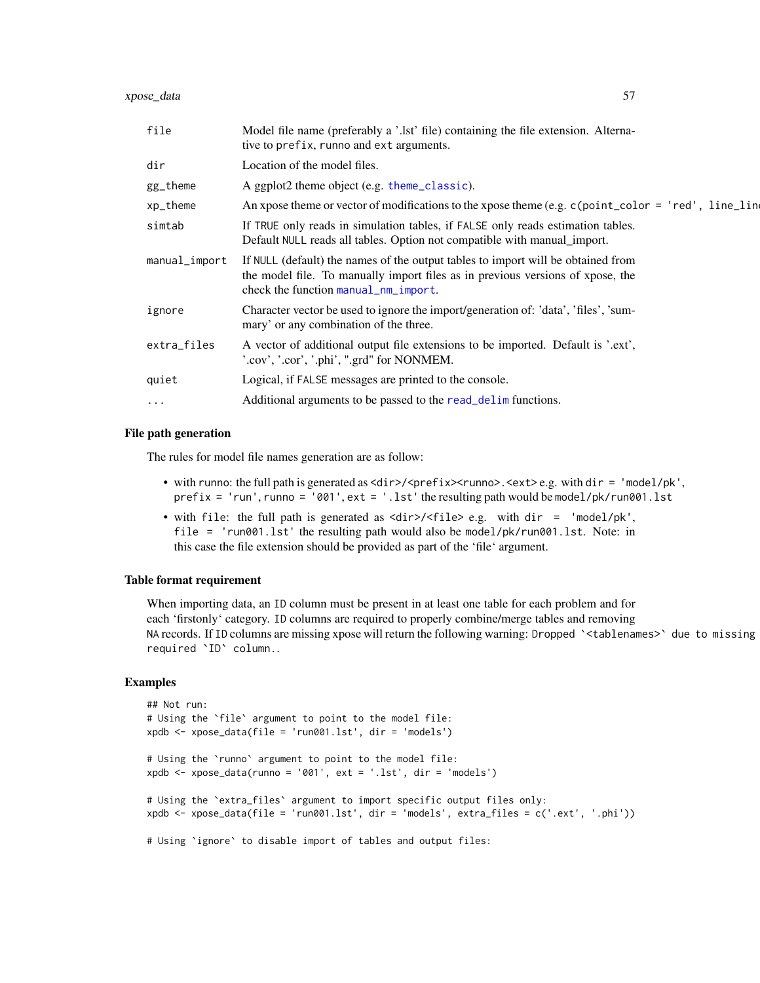<span id="page-56-0"></span>

| file          | Model file name (preferably a '.lst' file) containing the file extension. Alterna-<br>tive to prefix, runno and ext arguments.                                                                             |
|---------------|------------------------------------------------------------------------------------------------------------------------------------------------------------------------------------------------------------|
| dir           | Location of the model files.                                                                                                                                                                               |
| gg_theme      | A ggplot2 theme object (e.g. theme_classic).                                                                                                                                                               |
| xp_theme      | An xpose theme or vector of modifications to the xpose theme (e.g. c(point_color = 'red', line_lin                                                                                                         |
| simtab        | If TRUE only reads in simulation tables, if FALSE only reads estimation tables.<br>Default NULL reads all tables. Option not compatible with manual_import.                                                |
| manual_import | If NULL (default) the names of the output tables to import will be obtained from<br>the model file. To manually import files as in previous versions of xpose, the<br>check the function manual_nm_import. |
| ignore        | Character vector be used to ignore the import/generation of: 'data', 'files', 'sum-<br>mary' or any combination of the three.                                                                              |
| extra_files   | A vector of additional output file extensions to be imported. Default is '.ext',<br>'.cov', '.cor', '.phi', ".grd" for NONMEM.                                                                             |
| quiet         | Logical, if FALSE messages are printed to the console.                                                                                                                                                     |
| $\cdots$      | Additional arguments to be passed to the read_delim functions.                                                                                                                                             |
|               |                                                                                                                                                                                                            |

### File path generation

The rules for model file names generation are as follow:

- with runno: the full path is generated as  $\langle \text{dir}\rangle / \langle \text{prefix}\rangle$ .  $\langle \text{curl}\rangle$ .  $\langle \text{ext}\rangle$ e.g. with dir = 'model/pk', prefix = 'run', runno = '001', ext = '.lst' the resulting path would be model/pk/run001.lst
- with file: the full path is generated as <dir>/<file> e.g. with dir = 'model/pk', file = 'run001.lst' the resulting path would also be model/pk/run001.lst. Note: in this case the file extension should be provided as part of the 'file' argument.

## Table format requirement

When importing data, an ID column must be present in at least one table for each problem and for each 'firstonly' category. ID columns are required to properly combine/merge tables and removing NA records. If ID columns are missing xpose will return the following warning: Dropped `<tablenames>` due to missing required `ID` column..

```
## Not run:
# Using the `file` argument to point to the model file:
xpdb <- xpose_data(file = 'run001.lst', dir = 'models')
# Using the `runno` argument to point to the model file:
xpdb <- xpose_data(runno = '001', ext = '.lst', dir = 'models')
# Using the `extra_files` argument to import specific output files only:
xpdb <- xpose_data(file = 'run001.lst', dir = 'models', extra_files = c('.ext', '.phi'))
# Using `ignore` to disable import of tables and output files:
```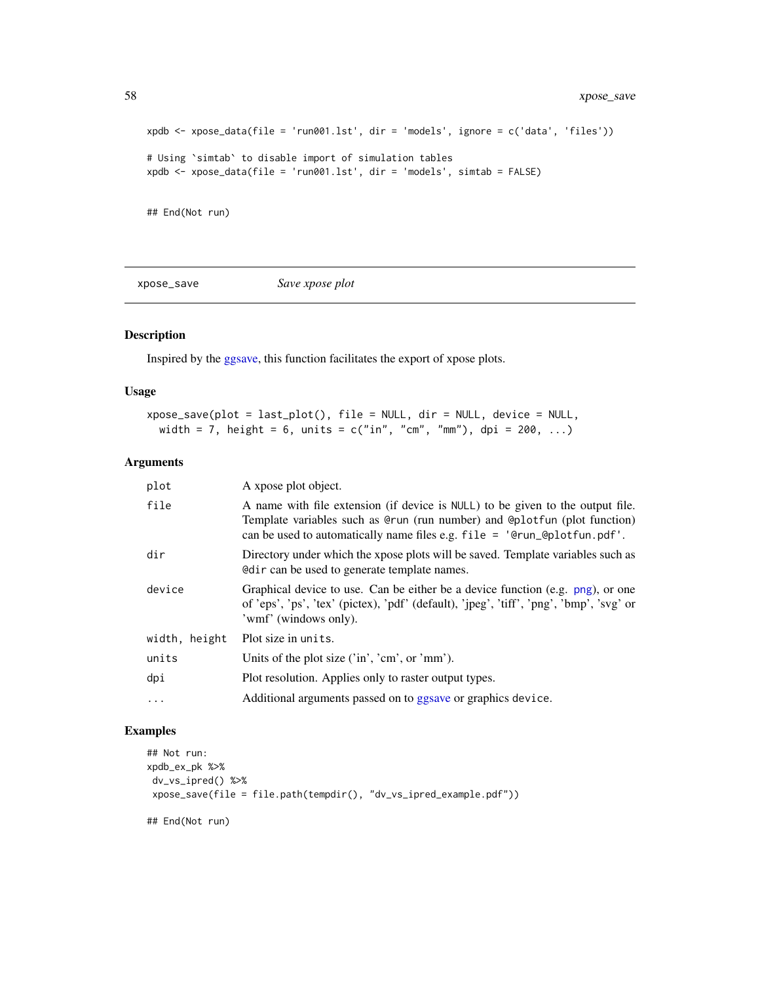```
xpdb <- xpose_data(file = 'run001.lst', dir = 'models', ignore = c('data', 'files'))
# Using `simtab` to disable import of simulation tables
xpdb <- xpose_data(file = 'run001.lst', dir = 'models', simtab = FALSE)
## End(Not run)
```
<span id="page-57-1"></span>xpose\_save *Save xpose plot*

### Description

Inspired by the [ggsave,](#page-0-0) this function facilitates the export of xpose plots.

### Usage

```
xpose_save(plot = last_plot(), file = NULL, dir = NULL, device = NULL,
 width = 7, height = 6, units = c("in", "cm", "mm"), dpi = 200, ...)
```
#### Arguments

| plot          | A xpose plot object.                                                                                                                                                                                                                      |
|---------------|-------------------------------------------------------------------------------------------------------------------------------------------------------------------------------------------------------------------------------------------|
| file          | A name with file extension (if device is NULL) to be given to the output file.<br>Template variables such as @run (run number) and @plotfun (plot function)<br>can be used to automatically name files e.g. $file = 'Qrun_Qplotfun.pdf'.$ |
| dir           | Directory under which the xpose plots will be saved. Template variables such as<br>In equal to generate template names.                                                                                                                   |
| device        | Graphical device to use. Can be either be a device function (e.g. png), or one<br>of 'eps', 'ps', 'tex' (pictex), 'pdf' (default), 'jpeg', 'tiff', 'png', 'bmp', 'svg' or<br>'wmf' (windows only).                                        |
| width, height | Plot size in units.                                                                                                                                                                                                                       |
| units         | Units of the plot size ('in', 'cm', or 'mm').                                                                                                                                                                                             |
| dpi           | Plot resolution. Applies only to raster output types.                                                                                                                                                                                     |
| $\ddots$ .    | Additional arguments passed on to ggsave or graphics device.                                                                                                                                                                              |

### Examples

```
## Not run:
xpdb_ex_pk %>%
dv_vs_ipred() %>%
xpose_save(file = file.path(tempdir(), "dv_vs_ipred_example.pdf"))
```
## End(Not run)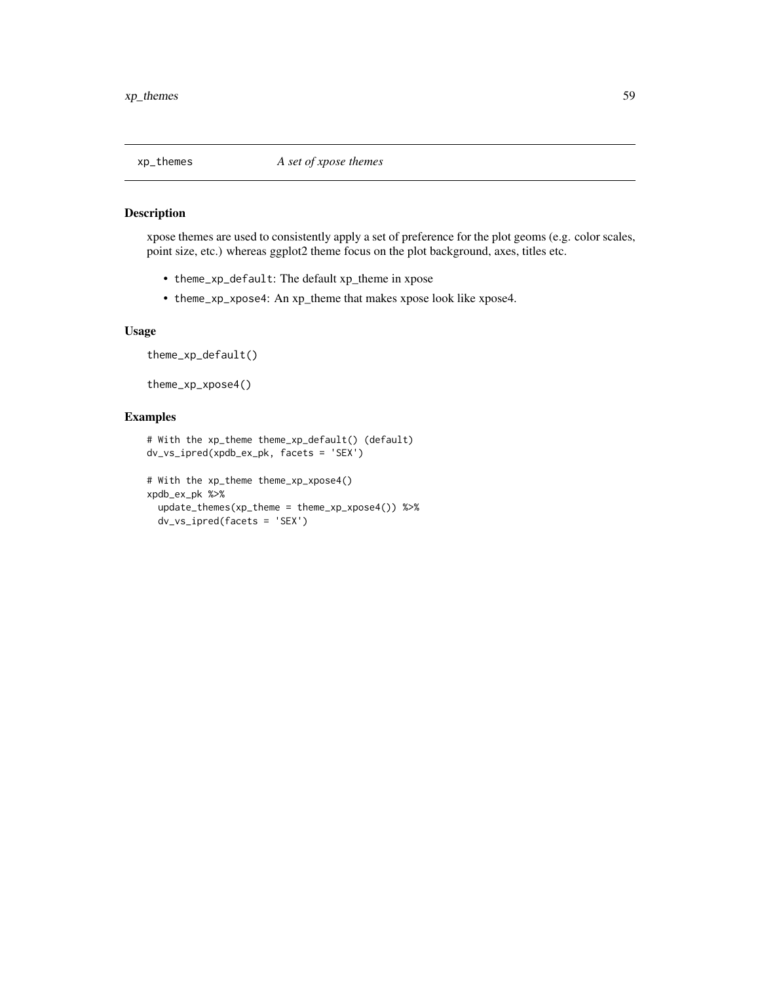<span id="page-58-0"></span>

xpose themes are used to consistently apply a set of preference for the plot geoms (e.g. color scales, point size, etc.) whereas ggplot2 theme focus on the plot background, axes, titles etc.

- theme\_xp\_default: The default xp\_theme in xpose
- theme\_xp\_xpose4: An xp\_theme that makes xpose look like xpose4.

#### Usage

theme\_xp\_default()

theme\_xp\_xpose4()

```
# With the xp_theme theme_xp_default() (default)
dv_vs_ipred(xpdb_ex_pk, facets = 'SEX')
# With the xp_theme theme_xp_xpose4()
xpdb_ex_pk %>%
 update_themes(xp_theme = theme_xp_xpose4()) %>%
 dv_vs_ipred(facets = 'SEX')
```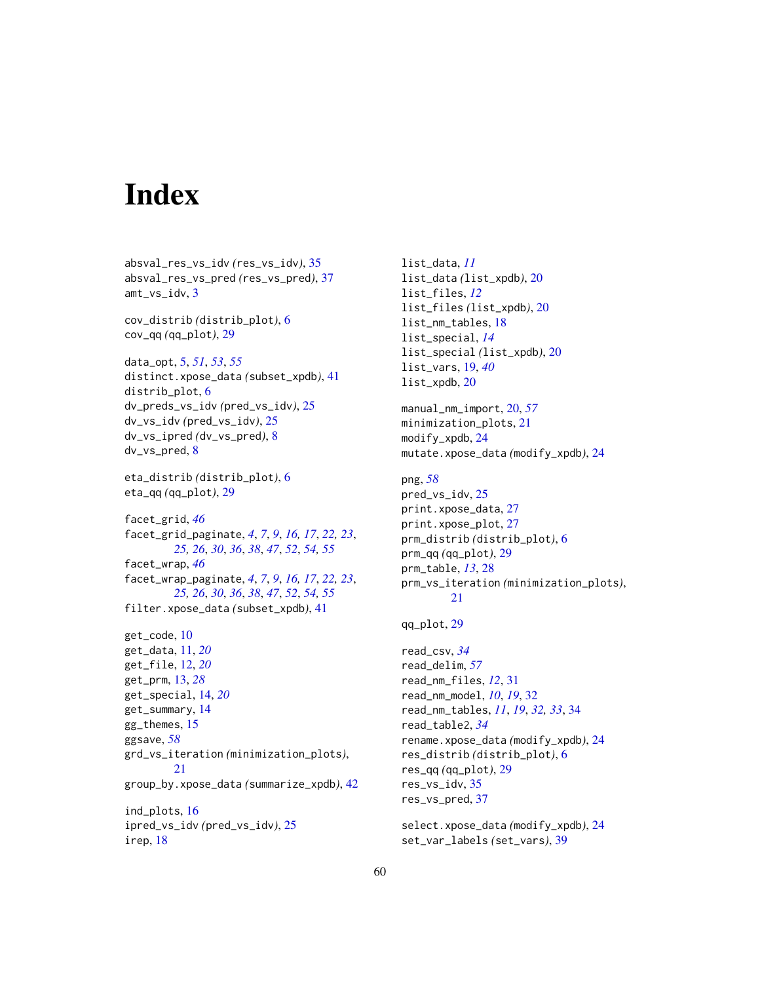# <span id="page-59-0"></span>**Index**

absval\_res\_vs\_idv *(*res\_vs\_idv*)*, [35](#page-34-0) absval\_res\_vs\_pred *(*res\_vs\_pred*)*, [37](#page-36-0) amt\_vs\_idv, [3](#page-2-0) cov\_distrib *(*distrib\_plot*)*, [6](#page-5-0) cov\_qq *(*qq\_plot*)*, [29](#page-28-0) data\_opt, [5,](#page-4-0) *[51](#page-50-0)*, *[53](#page-52-0)*, *[55](#page-54-0)* distinct.xpose\_data *(*subset\_xpdb*)*, [41](#page-40-0) distrib\_plot, [6](#page-5-0) dv\_preds\_vs\_idv *(*pred\_vs\_idv*)*, [25](#page-24-0) dv\_vs\_idv *(*pred\_vs\_idv*)*, [25](#page-24-0) dv\_vs\_ipred *(*dv\_vs\_pred*)*, [8](#page-7-0) dv\_vs\_pred, [8](#page-7-0) eta\_distrib *(*distrib\_plot*)*, [6](#page-5-0) eta\_qq *(*qq\_plot*)*, [29](#page-28-0) facet\_grid, *[46](#page-45-0)* facet\_grid\_paginate, *[4](#page-3-0)*, *[7](#page-6-0)*, *[9](#page-8-0)*, *[16,](#page-15-0) [17](#page-16-0)*, *[22,](#page-21-0) [23](#page-22-0)*, *[25,](#page-24-0) [26](#page-25-0)*, *[30](#page-29-0)*, *[36](#page-35-0)*, *[38](#page-37-0)*, *[47](#page-46-0)*, *[52](#page-51-0)*, *[54,](#page-53-0) [55](#page-54-0)* facet\_wrap, *[46](#page-45-0)* facet\_wrap\_paginate, *[4](#page-3-0)*, *[7](#page-6-0)*, *[9](#page-8-0)*, *[16,](#page-15-0) [17](#page-16-0)*, *[22,](#page-21-0) [23](#page-22-0)*, *[25,](#page-24-0) [26](#page-25-0)*, *[30](#page-29-0)*, *[36](#page-35-0)*, *[38](#page-37-0)*, *[47](#page-46-0)*, *[52](#page-51-0)*, *[54,](#page-53-0) [55](#page-54-0)* filter.xpose\_data *(*subset\_xpdb*)*, [41](#page-40-0) get\_code, [10](#page-9-0) get\_data, [11,](#page-10-0) *[20](#page-19-0)* get\_file, [12,](#page-11-0) *[20](#page-19-0)* get\_prm, [13,](#page-12-0) *[28](#page-27-0)* get\_special, [14,](#page-13-0) *[20](#page-19-0)* get\_summary, [14](#page-13-0) gg\_themes, [15](#page-14-0) ggsave, *[58](#page-57-0)* grd\_vs\_iteration *(*minimization\_plots*)*, [21](#page-20-0) group\_by.xpose\_data *(*summarize\_xpdb*)*, [42](#page-41-0) ind\_plots, [16](#page-15-0) ipred\_vs\_idv *(*pred\_vs\_idv*)*, [25](#page-24-0) irep, [18](#page-17-0)

list\_data, *[11](#page-10-0)* list\_data *(*list\_xpdb*)*, [20](#page-19-0) list\_files, *[12](#page-11-0)* list\_files *(*list\_xpdb*)*, [20](#page-19-0) list\_nm\_tables, [18](#page-17-0) list\_special, *[14](#page-13-0)* list\_special *(*list\_xpdb*)*, [20](#page-19-0) list\_vars, [19,](#page-18-0) *[40](#page-39-0)* list\_xpdb, [20](#page-19-0) manual\_nm\_import, [20,](#page-19-0) *[57](#page-56-0)* minimization\_plots, [21](#page-20-0) modify\_xpdb, [24](#page-23-0) mutate.xpose\_data *(*modify\_xpdb*)*, [24](#page-23-0) png, *[58](#page-57-0)* pred\_vs\_idv, [25](#page-24-0) print.xpose\_data, [27](#page-26-0) print.xpose\_plot, [27](#page-26-0) prm\_distrib *(*distrib\_plot*)*, [6](#page-5-0) prm\_qq *(*qq\_plot*)*, [29](#page-28-0) prm\_table, *[13](#page-12-0)*, [28](#page-27-0) prm\_vs\_iteration *(*minimization\_plots*)*, [21](#page-20-0) qq\_plot, [29](#page-28-0) read\_csv, *[34](#page-33-0)* read\_delim, *[57](#page-56-0)* read\_nm\_files, *[12](#page-11-0)*, [31](#page-30-0) read\_nm\_model, *[10](#page-9-0)*, *[19](#page-18-0)*, [32](#page-31-0) read\_nm\_tables, *[11](#page-10-0)*, *[19](#page-18-0)*, *[32,](#page-31-0) [33](#page-32-0)*, [34](#page-33-0) read\_table2, *[34](#page-33-0)* rename.xpose\_data *(*modify\_xpdb*)*, [24](#page-23-0) res\_distrib *(*distrib\_plot*)*, [6](#page-5-0) res\_qq *(*qq\_plot*)*, [29](#page-28-0) res\_vs\_idv, [35](#page-34-0) res\_vs\_pred, [37](#page-36-0) select.xpose\_data *(*modify\_xpdb*)*, [24](#page-23-0)

set\_var\_labels *(*set\_vars*)*, [39](#page-38-0)